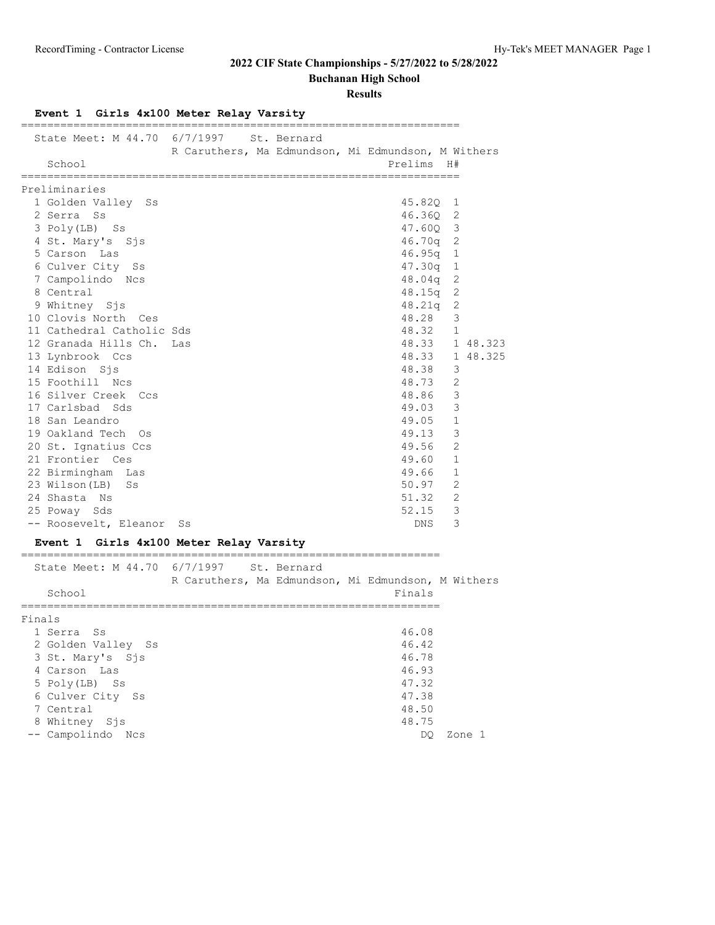**Buchanan High School**

### **Results**

| Event 1 Girls 4x100 Meter Relay Varsity<br>__________________ |                                                    |             |                                                    |    |                |
|---------------------------------------------------------------|----------------------------------------------------|-------------|----------------------------------------------------|----|----------------|
| State Meet: M 44.70 6/7/1997<br>School                        | R Caruthers, Ma Edmundson, Mi Edmundson, M Withers | St. Bernard | Prelims                                            | H# |                |
| =============<br>Preliminaries                                |                                                    |             |                                                    |    |                |
| 1 Golden Valley Ss                                            |                                                    |             | 45.82Q                                             |    | 1              |
| 2 Serra Ss                                                    |                                                    |             | 46.360 2                                           |    |                |
| 3 Poly(LB) Ss                                                 |                                                    |             | 47.60Q 3                                           |    |                |
| 4 St. Mary's Sis                                              |                                                    |             | $46.70q$ 2                                         |    |                |
| 5 Carson Las                                                  |                                                    |             | 46.95q                                             |    | 1              |
| 6 Culver City<br>Ss                                           |                                                    |             | 47.30q                                             |    | 1              |
| 7 Campolindo Ncs                                              |                                                    |             | 48.04q                                             |    | 2              |
| 8 Central                                                     |                                                    |             | 48.15q                                             |    | 2              |
| 9 Whitney Sjs                                                 |                                                    |             | 48.21q                                             |    | 2              |
| 10 Clovis North Ces                                           |                                                    |             | 48.28                                              |    | 3              |
| 11 Cathedral Catholic Sds                                     |                                                    |             | 48.32                                              |    | 1              |
| 12 Granada Hills Ch.                                          | Las                                                |             |                                                    |    | 48.33 1 48.323 |
| 13 Lynbrook Ccs                                               |                                                    |             | 48.33                                              |    | 1 48.325       |
| 14 Edison Sjs                                                 |                                                    |             | 48.38                                              |    | 3              |
| 15 Foothill Ncs                                               |                                                    |             | 48.73                                              |    | 2              |
| 16 Silver Creek Ccs<br>17 Carlsbad Sds                        |                                                    |             | 48.86<br>49.03                                     |    | 3<br>3         |
| 18 San Leandro                                                |                                                    |             | 49.05                                              |    | $\mathbf{1}$   |
| 19 Oakland Tech Os                                            |                                                    |             | 49.13                                              |    | 3              |
| 20 St. Ignatius Ccs                                           |                                                    |             | 49.56                                              |    | 2              |
| 21 Frontier Ces                                               |                                                    |             | 49.60                                              |    | $\mathbf{1}$   |
| 22 Birmingham<br>Las                                          |                                                    |             | 49.66                                              |    | 1              |
| 23 Wilson(LB)<br>Ss                                           |                                                    |             | 50.97                                              |    | 2              |
| 24 Shasta Ns                                                  |                                                    |             | 51.32                                              |    | 2              |
| 25 Poway Sds                                                  |                                                    |             | 52.15                                              |    | 3              |
| -- Roosevelt, Eleanor                                         | Ss                                                 |             | DNS.                                               |    | 3              |
| Event 1 Girls 4x100 Meter Relay Varsity                       |                                                    |             |                                                    |    |                |
| State Meet: M 44.70 6/7/1997                                  |                                                    | St. Bernard |                                                    |    |                |
|                                                               |                                                    |             | R Caruthers, Ma Edmundson, Mi Edmundson, M Withers |    |                |
| School                                                        |                                                    |             | Finals                                             |    |                |
| Finals                                                        |                                                    |             |                                                    |    |                |
| 1 Serra<br>Ss                                                 |                                                    |             | 46.08                                              |    |                |
| 2 Golden Valley Ss                                            |                                                    |             | 46.42                                              |    |                |
| 3 St. Mary's Sjs                                              |                                                    |             | 46.78                                              |    |                |
| 4 Carson Las                                                  |                                                    |             | 46.93                                              |    |                |
| 5 Poly(LB) Ss                                                 |                                                    |             | 47.32                                              |    |                |
| 6 Culver City Ss                                              |                                                    |             | 47.38                                              |    |                |
| 7 Central                                                     |                                                    |             | 48.50                                              |    |                |
| 8 Whitney Sjs                                                 |                                                    |             | 48.75                                              |    |                |

-- Campolindo Ncs DQ Zone 1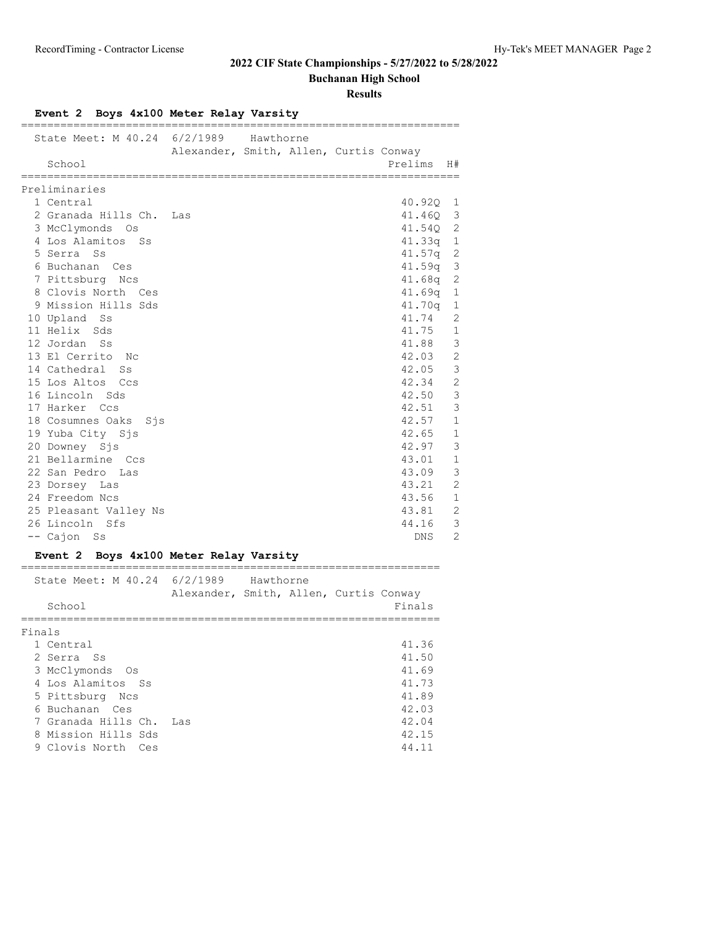**Buchanan High School**

**Results**

| ====================================   | Event 2 Boys 4x100 Meter Relay Varsity<br>================================ |                         |
|----------------------------------------|----------------------------------------------------------------------------|-------------------------|
| State Meet: M 40.24 6/2/1989<br>School | Hawthorne<br>Alexander, Smith, Allen, Curtis Conway                        | Prelims<br>H#           |
|                                        |                                                                            |                         |
| Preliminaries                          |                                                                            |                         |
| 1 Central                              |                                                                            | 40.920 1                |
| 2 Granada Hills Ch.                    | Las                                                                        | 41.46Q 3                |
| 3 McClymonds Os                        |                                                                            | 41.540 2                |
| 4 Los Alamitos Ss                      |                                                                            | $41.33q$ 1              |
| 5 Serra Ss                             |                                                                            | $41.57q$ 2              |
| 6 Buchanan Ces                         |                                                                            | $\mathcal{S}$<br>41.59q |
| 7 Pittsburg Ncs                        |                                                                            | $41.68q$ 2              |
| 8 Clovis North Ces                     |                                                                            | $41.69q$ 1              |
| 9 Mission Hills Sds                    |                                                                            | $41.70q$ 1              |
| 10 Upland Ss                           |                                                                            | 41.74<br>2              |
| 11 Helix Sds                           |                                                                            | 41.75 1                 |
| 12 Jordan Ss                           |                                                                            | $\mathbf{3}$<br>41.88   |
| 13 El Cerrito No                       |                                                                            | 2<br>42.03              |
| 14 Cathedral Ss                        |                                                                            | 3<br>42.05              |
| 15 Los Altos Ccs                       |                                                                            | $\overline{c}$<br>42.34 |
| 16 Lincoln Sds                         |                                                                            | $\mathcal{E}$<br>42.50  |
| 17 Harker Ccs                          |                                                                            | 3<br>42.51              |
| 18 Cosumnes Oaks<br>Sjs                |                                                                            | 42.57<br>$\mathbf{1}$   |
| 19 Yuba City Sjs                       |                                                                            | $42.65$ 1               |
| 20 Downey Sjs                          |                                                                            | 42.97<br>$\mathcal{E}$  |
| 21 Bellarmine Ccs                      |                                                                            | 43.01<br>1              |
| 22 San Pedro Las                       |                                                                            | 3<br>43.09              |
| 23 Dorsey Las                          |                                                                            | $\overline{c}$<br>43.21 |
| 24 Freedom Ncs                         |                                                                            | 43.56 1                 |
| 25 Pleasant Valley Ns                  |                                                                            | 2<br>43.81              |
| 26 Lincoln Sfs                         |                                                                            | $\overline{3}$<br>44.16 |
| -- Cajon Ss                            |                                                                            | 2<br>DNS                |
|                                        | Event 2 Boys 4x100 Meter Relay Varsity                                     |                         |

|        | State Meet: M 40.24 6/2/1989 Hawthorne | Alexander, Smith, Allen, Curtis Conway |  |        |
|--------|----------------------------------------|----------------------------------------|--|--------|
|        | School                                 |                                        |  | Finals |
| Finals |                                        |                                        |  |        |
|        | 1 Central                              |                                        |  | 41.36  |
|        | 2 Serra Ss                             |                                        |  | 41.50  |
|        | 3 McClymonds Os                        |                                        |  | 41.69  |
|        | 4 Los Alamitos Ss                      |                                        |  | 41.73  |
|        | 5 Pittsburg Ncs                        |                                        |  | 41.89  |
|        | 6 Buchanan Ces                         |                                        |  | 42.03  |
|        | 7 Granada Hills Ch. Las                |                                        |  | 42.04  |
|        | 8 Mission Hills Sds                    |                                        |  | 42.15  |
|        | 9 Clovis North<br>Ces                  |                                        |  | 44.11  |
|        |                                        |                                        |  |        |

# **Event 2 Boys 4x100 Meter Relay Varsity**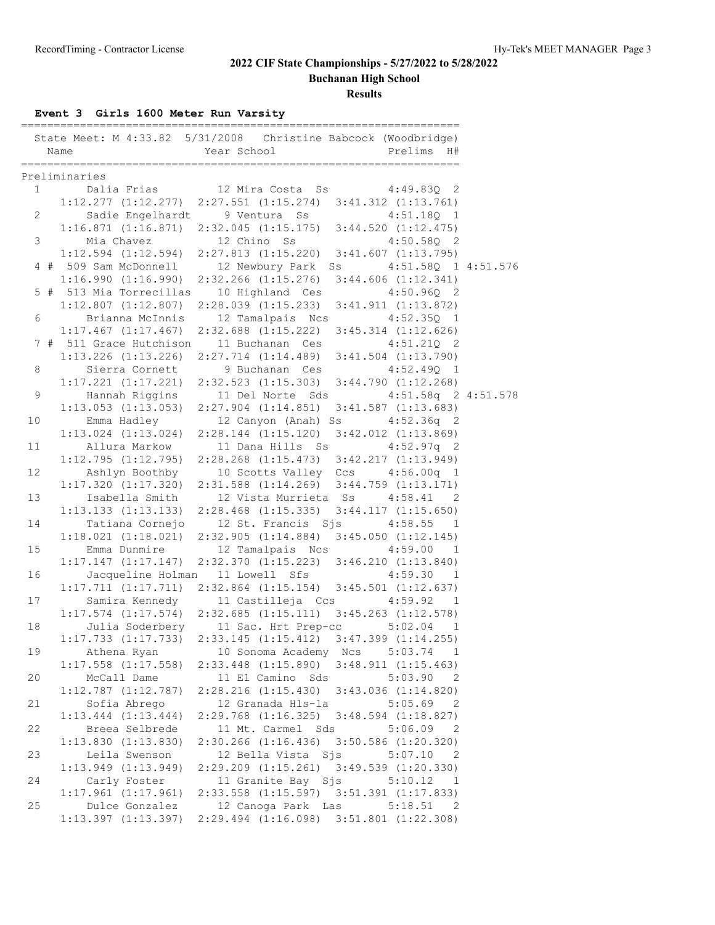**Buchanan High School**

**Results**

## **Event 3 Girls 1600 Meter Run Varsity**

|                | Name<br>================== | State Meet: M 4:33.82 5/31/2008 Christine Babcock (Woodbridge)<br>Prelims H#<br>Year School<br>--------------------------- |  |
|----------------|----------------------------|----------------------------------------------------------------------------------------------------------------------------|--|
|                | Preliminaries              |                                                                                                                            |  |
| 1              |                            | Dalia Frias 12 Mira Costa Ss 4:49.83Q 2                                                                                    |  |
|                |                            | $1:12.277$ $(1:12.277)$ $2:27.551$ $(1:15.274)$ $3:41.312$ $(1:13.761)$                                                    |  |
| $\overline{2}$ |                            | Sadie Engelhardt 9 Ventura Ss<br>$4:51.18Q$ 1                                                                              |  |
|                |                            | $1:16.871$ $(1:16.871)$ $2:32.045$ $(1:15.175)$ $3:44.520$ $(1:12.475)$                                                    |  |
| 3              | Mia Chavez 12 Chino Ss     | $4:50.58Q$ 2                                                                                                               |  |
|                |                            | $1:12.594$ (1:12.594) 2:27.813 (1:15.220) 3:41.607 (1:13.795)                                                              |  |
|                | 4 # 509 Sam McDonnell      | 12 Newbury Park Ss 4:51.58Q 1 4:51.576                                                                                     |  |
|                | 1:16.990(1:16.990)         | 2:32.266 (1:15.276) 3:44.606 (1:12.341)                                                                                    |  |
|                | 5 # 513 Mia Torrecillas    | 10 Highland Ces<br>$4:50.96Q$ 2                                                                                            |  |
|                |                            | $1:12.807$ $(1:12.807)$ $2:28.039$ $(1:15.233)$<br>3:41.911 (1:13.872)                                                     |  |
| 6              | Brianna McInnis            | 12 Tamalpais Ncs<br>$4:52.35Q$ 1                                                                                           |  |
|                | $1:17.467$ $(1:17.467)$    | $2:32.688$ $(1:15.222)$ $3:45.314$ $(1:12.626)$                                                                            |  |
|                | 7 # 511 Grace Hutchison    | 11 Buchanan Ces<br>$4:51.21Q$ 2                                                                                            |  |
|                | $1:13.226$ $(1:13.226)$    | $2:27.714$ $(1:14.489)$ $3:41.504$ $(1:13.790)$                                                                            |  |
|                |                            |                                                                                                                            |  |
| 8              | Sierra Cornett             | 9 Buchanan Ces<br>$4:52.49Q$ 1                                                                                             |  |
|                |                            | $1:17.221$ $(1:17.221)$ $2:32.523$ $(1:15.303)$ $3:44.790$ $(1:12.268)$                                                    |  |
| 9              | Hannah Riggins             | 11 Del Norte Sds 4:51.58q 2 4:51.578                                                                                       |  |
|                |                            | $1:13.053$ $(1:13.053)$ $2:27.904$ $(1:14.851)$ $3:41.587$ $(1:13.683)$                                                    |  |
| 10             | Emma Hadley                | 12 Canyon (Anah) Ss 4:52.36q 2                                                                                             |  |
|                |                            | $1:13.024$ $(1:13.024)$ $2:28.144$ $(1:15.120)$ $3:42.012$ $(1:13.869)$                                                    |  |
| 11             | Allura Markow              | 11 Dana Hills Ss<br>$4:52.97q$ 2                                                                                           |  |
|                |                            | 1:12.795 (1:12.795) 2:28.268 (1:15.473) 3:42.217 (1:13.949)                                                                |  |
| 12             |                            | Ashlyn Boothby 10 Scotts Valley Ccs 4:56.00q 1                                                                             |  |
|                |                            | $1:17.320$ $(1:17.320)$ $2:31.588$ $(1:14.269)$ $3:44.759$ $(1:13.171)$                                                    |  |
| 13             | Isabella Smith             | 12 Vista Murrieta Ss<br>$4:58.41$ 2                                                                                        |  |
|                |                            | $1:13.133$ $(1:13.133)$ $2:28.468$ $(1:15.335)$ $3:44.117$ $(1:15.650)$                                                    |  |
| 14             | Tatiana Cornejo            | 12 St. Francis Sjs 4:58.55 1                                                                                               |  |
|                |                            | $1:18.021$ $(1:18.021)$ $2:32.905$ $(1:14.884)$ $3:45.050$ $(1:12.145)$                                                    |  |
| 15             | Emma Dunmire               | 12 Tamalpais Ncs 4:59.00 1                                                                                                 |  |
|                |                            | $1:17.147$ $(1:17.147)$ $2:32.370$ $(1:15.223)$ $3:46.210$ $(1:13.840)$                                                    |  |
| 16             |                            | Jacqueline Holman 11 Lowell Sfs<br>4:59.30 1                                                                               |  |
|                |                            | $1:17.711$ $(1:17.711)$ $2:32.864$ $(1:15.154)$ $3:45.501$ $(1:12.637)$                                                    |  |
| 17             | Samira Kennedy             | 4:59.92<br>11 Castilleja Ccs<br>$\overline{1}$                                                                             |  |
|                |                            | $1:17.574$ $(1:17.574)$ $2:32.685$ $(1:15.111)$ $3:45.263$ $(1:12.578)$                                                    |  |
| 18             |                            | Julia Soderbery 11 Sac. Hrt Prep-cc 5:02.04 1                                                                              |  |
|                | $1:17.733$ $(1:17.733)$    | 2:33.145 (1:15.412) 3:47.399 (1:14.255)                                                                                    |  |
| 19             | Athena Ryan                | 10 Sonoma Academy Ncs<br>5:03.74<br>1                                                                                      |  |
|                | $1:17.558$ $(1:17.558)$    | $2:33.448$ $(1:15.890)$ $3:48.911$ $(1:15.463)$                                                                            |  |
| 20             | McCall Dame                | 11 El Camino Sds<br>5:03.90<br>$\overline{2}$                                                                              |  |
|                | $1:12.787$ $(1:12.787)$    | 2:28.216 (1:15.430) 3:43.036 (1:14.820)                                                                                    |  |
| 21             | Sofia Abrego               | 12 Granada Hls-la<br>5:05.69<br>-2                                                                                         |  |
|                | $1:13.444$ $(1:13.444)$    | 2:29.768 (1:16.325) 3:48.594 (1:18.827)                                                                                    |  |
| 22             | Breea Selbrede             | 11 Mt. Carmel Sds<br>$5:06.09$ 2                                                                                           |  |
|                | $1:13.830$ $(1:13.830)$    | 2:30.266 (1:16.436) 3:50.586 (1:20.320)                                                                                    |  |
| 23             | Leila Swenson              | 5:07.10<br>$\overline{\phantom{0}}^2$                                                                                      |  |
|                | $1:13.949$ $(1:13.949)$    | 12 Bella Vista Sjs<br>$2:29.209$ $(1:15.261)$ $3:49.539$ $(1:20.330)$                                                      |  |
|                |                            | 11 Granite Bay Sjs                                                                                                         |  |
| 24             | Carly Foster               | 5:10.12 1                                                                                                                  |  |
|                | $1:17.961$ $(1:17.961)$    | 2:33.558 (1:15.597) 3:51.391 (1:17.833)                                                                                    |  |
| 25             | Dulce Gonzalez             | 12 Canoga Park Las<br>5:18.51<br>$\overline{\phantom{0}}^2$                                                                |  |
|                | $1:13.397$ $(1:13.397)$    | 2:29.494 (1:16.098) 3:51.801 (1:22.308)                                                                                    |  |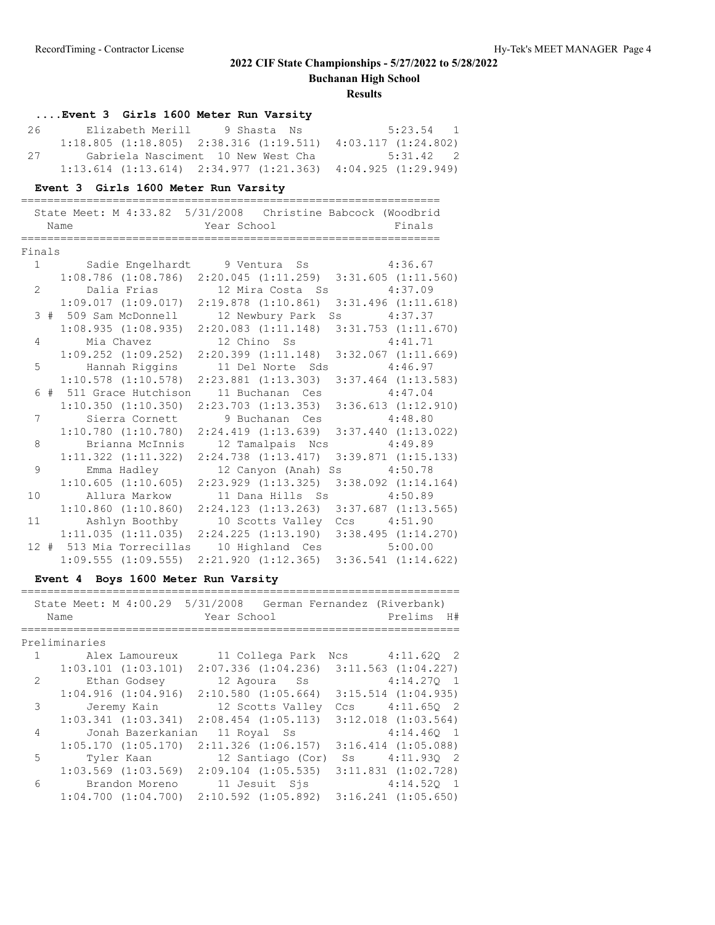**Buchanan High School**

|                |               | Event 3 Girls 1600 Meter Run Varsity |             |                         |                         |     |                                                                   |              |
|----------------|---------------|--------------------------------------|-------------|-------------------------|-------------------------|-----|-------------------------------------------------------------------|--------------|
| 26             |               | Elizabeth Merill 9 Shasta            |             |                         | Ns                      |     | $5:23.54$ 1                                                       |              |
|                |               |                                      |             |                         |                         |     | $1:18.805$ (1:18.805) 2:38.316 (1:19.511) 4:03.117 (1:24.802)     |              |
| 27             |               | Gabriela Nasciment 10 New West Cha   |             |                         |                         |     | 5:31.42 2                                                         |              |
|                |               |                                      |             |                         |                         |     | $1:13.614$ (1:13.614) $2:34.977$ (1:21.363) $4:04.925$ (1:29.949) |              |
|                |               |                                      |             |                         |                         |     |                                                                   |              |
|                |               | Event 3 Girls 1600 Meter Run Varsity |             |                         |                         |     |                                                                   |              |
|                |               | ====================                 |             |                         |                         |     |                                                                   |              |
|                |               |                                      |             |                         |                         |     | State Meet: M 4:33.82 5/31/2008 Christine Babcock (Woodbrid       |              |
|                | Name          |                                      | Year School |                         |                         |     | Finals                                                            |              |
|                |               |                                      |             |                         |                         |     |                                                                   |              |
| Finals         |               |                                      |             |                         |                         |     |                                                                   |              |
| 1              |               | Sadie Engelhardt 9 Ventura Ss        |             |                         |                         |     | 4:36.67                                                           |              |
|                |               | $1:08.786$ $(1:08.786)$              |             |                         |                         |     | $2:20.045$ $(1:11.259)$ $3:31.605$ $(1:11.560)$                   |              |
| $\overline{2}$ |               | Dalia Frias                          |             |                         | 12 Mira Costa Ss        |     | 4:37.09                                                           |              |
|                |               | 1:09.017(1:09.017)                   |             |                         | 2:19.878(1:10.861)      |     | $3:31.496$ $(1:11.618)$                                           |              |
|                |               | 3 # 509 Sam McDonnell                |             |                         | 12 Newbury Park Ss      |     | 4:37.37                                                           |              |
|                |               | 1:08.935(1:08.935)                   |             |                         | 2:20.083(1:11.148)      |     | $3:31.753$ $(1:11.670)$                                           |              |
| 4              |               | Mia Chavez                           |             | 12 Chino Ss             |                         |     | 4:41.71                                                           |              |
|                |               | $1:09.252$ $(1:09.252)$              |             |                         | 2:20.399(1:11.148)      |     | $3:32.067$ $(1:11.669)$                                           |              |
| 5              |               | Hannah Riggins                       |             |                         | 11 Del Norte Sds        |     | 4:46.97                                                           |              |
|                |               | $1:10.578$ $(1:10.578)$              |             | $2:23.881$ $(1:13.303)$ |                         |     | $3:37.464$ $(1:13.583)$                                           |              |
|                |               | 6 # 511 Grace Hutchison              |             |                         | 11 Buchanan Ces         |     | 4:47.04                                                           |              |
|                |               | $1:10.350$ $(1:10.350)$              |             |                         | $2:23.703$ $(1:13.353)$ |     | $3:36.613$ $(1:12.910)$                                           |              |
| 7              |               | Sierra Cornett                       |             |                         | 9 Buchanan Ces          |     | 4:48.80                                                           |              |
|                |               | 1:10.780(1:10.780)                   |             |                         | 2:24.419(1:13.639)      |     | $3:37.440$ $(1:13.022)$                                           |              |
| 8              |               | Brianna McInnis                      |             |                         | 12 Tamalpais Ncs        |     | 4:49.89                                                           |              |
|                |               | $1:11.322$ $(1:11.322)$              |             | $2:24.738$ $(1:13.417)$ |                         |     | $3:39.871$ $(1:15.133)$                                           |              |
| 9              |               | Emma Hadley                          |             |                         | 12 Canyon (Anah) Ss     |     | 4:50.78                                                           |              |
|                |               | 1:10.605(1:10.605)                   |             | $2:23.929$ $(1:13.325)$ |                         |     | $3:38.092$ $(1:14.164)$                                           |              |
| 10             |               | Allura Markow                        |             |                         | 11 Dana Hills Ss        |     | 4:50.89                                                           |              |
|                |               | 1:10.860(1:10.860)                   |             |                         |                         |     | $2:24.123$ $(1:13.263)$ $3:37.687$ $(1:13.565)$                   |              |
| 11             |               | Ashlyn Boothby                       |             |                         |                         |     | 10 Scotts Valley Ccs 4:51.90                                      |              |
|                |               | 1:11.035(1:11.035)                   |             |                         |                         |     | 2:24.225 (1:13.190) 3:38.495 (1:14.270)                           |              |
|                |               | 12 # 513 Mia Torrecillas             |             |                         |                         |     | 10 Highland Ces 5:00.00                                           |              |
|                |               | 1:09.555(1:09.555)                   |             |                         |                         |     | $2:21.920$ $(1:12.365)$ $3:36.541$ $(1:14.622)$                   |              |
|                |               | Event 4 Boys 1600 Meter Run Varsity  |             |                         |                         |     |                                                                   |              |
|                |               |                                      |             |                         |                         |     |                                                                   |              |
|                |               |                                      |             |                         |                         |     | State Meet: M 4:00.29 5/31/2008 German Fernandez (Riverbank)      |              |
|                | Name          |                                      | Year School |                         |                         |     | Prelims H#                                                        |              |
|                |               |                                      |             |                         |                         |     |                                                                   |              |
|                | Preliminaries |                                      |             |                         |                         |     |                                                                   |              |
| $\mathbf{1}$   |               | Alex Lamoureux                       |             | 11 Collega Park         |                         |     | Ncs 4:11.62Q 2                                                    |              |
|                |               | $1:03.101$ $(1:03.101)$              |             | $2:07.336$ $(1:04.236)$ |                         |     | $3:11.563$ $(1:04.227)$                                           |              |
| 2              |               | Ethan Godsey                         |             | 12 Agoura Ss            |                         |     | 4:14.270                                                          | $\mathbf{1}$ |
|                |               | 1:04.916(1:04.916)                   |             | $2:10.580$ $(1:05.664)$ |                         |     | $3:15.514$ $(1:04.935)$                                           |              |
| 3              |               | Jeremy Kain                          |             | 12 Scotts Valley        |                         | Ccs | $4:11.65Q$ 2                                                      |              |
|                |               | $1:03.341$ $(1:03.341)$              |             | $2:08.454$ $(1:05.113)$ |                         |     | $3:12.018$ $(1:03.564)$                                           |              |
| 4              |               | Jonah Bazerkanian                    |             | 11 Royal Ss             |                         |     | $4:14.46Q$ 1                                                      |              |
|                |               | 1:05.170(1:05.170)                   |             | 2:11.326 (1:06.157)     |                         |     | $3:16.414$ $(1:05.088)$                                           |              |
| 5              |               | Tyler Kaan                           |             |                         | 12 Santiago (Cor)       | Ss  | $4:11.93Q$ 2                                                      |              |
|                |               | $1:03.569$ $(1:03.569)$              |             | $2:09.104$ $(1:05.535)$ |                         |     | $3:11.831$ $(1:02.728)$                                           |              |
| 6              |               | Brandon Moreno                       |             | 11 Jesuit Sjs           |                         |     | $4:14.52Q$ 1                                                      |              |
|                |               | $1:04.700$ $(1:04.700)$              |             | 2:10.592 (1:05.892)     |                         |     | $3:16.241$ $(1:05.650)$                                           |              |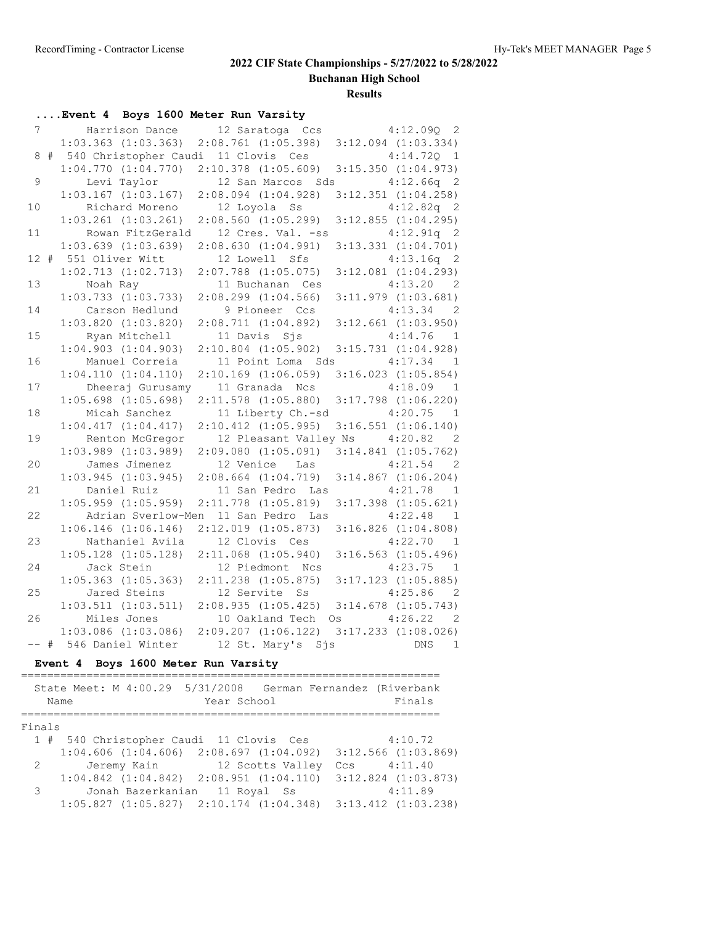**Buchanan High School**

**Results**

|    | Event 4 Boys 1600 Meter Run Varsity                             |                                                                                                       |                            |
|----|-----------------------------------------------------------------|-------------------------------------------------------------------------------------------------------|----------------------------|
|    | 7                                                               | Harrison Dance 12 Saratoga Ccs 4:12.090 2                                                             |                            |
|    | $1:03.363$ $(1:03.363)$                                         | $2:08.761$ $(1:05.398)$                                                                               | $3:12.094$ $(1:03.334)$    |
|    | 8 # 540 Christopher Caudi 11 Clovis Ces                         |                                                                                                       | 4:14.72Q<br>$\mathbf{1}$   |
|    |                                                                 | $1:04.770$ $(1:04.770)$ $2:10.378$ $(1:05.609)$                                                       | $3:15.350$ $(1:04.973)$    |
| 9  |                                                                 | Levi Taylor 12 San Marcos Sds 4:12.66q 2                                                              |                            |
|    |                                                                 | $1:03.167$ (1:03.167) 2:08.094 (1:04.928) 3:12.351 (1:04.258)                                         |                            |
| 10 | Richard Moreno 12 Loyola Ss                                     |                                                                                                       | $4:12.82q$ 2               |
|    | $1:03.261$ $(1:03.261)$                                         | $2:08.560$ $(1:05.299)$                                                                               | $3:12.855$ $(1:04.295)$    |
| 11 |                                                                 | Rowan FitzGerald 12 Cres. Val. -ss 4:12.91q 2                                                         |                            |
|    | $1:03.639$ $(1:03.639)$                                         | 2:08.630(1:04.991)                                                                                    | $3:13.331$ $(1:04.701)$    |
|    | 12 # 551 Oliver Witt                                            | 12 Lowell Sfs                                                                                         | $4:13.16q$ 2               |
|    | 1:02.713(1:02.713)                                              | $2:07.788$ $(1:05.075)$                                                                               | $3:12.081$ $(1:04.293)$    |
| 13 | Noah Ray                                                        | 11 Buchanan Ces                                                                                       | $4:13.20$ 2                |
|    | $1:03.733$ $(1:03.733)$                                         | $2:08.299$ $(1:04.566)$                                                                               | $3:11.979$ $(1:03.681)$    |
| 14 | Carson Hedlund                                                  | 9 Pioneer Ccs                                                                                         | $4:13.34$ 2                |
|    | $1:03.820$ $(1:03.820)$                                         | $2:08.711$ $(1:04.892)$ $3:12.661$ $(1:03.950)$                                                       |                            |
| 15 | Ryan Mitchell 11 Davis Sjs                                      |                                                                                                       | $4:14.76$ 1                |
|    | 1:04.903(1:04.903)                                              | $2:10.804$ $(1:05.902)$ $3:15.731$ $(1:04.928)$                                                       |                            |
| 16 | Manuel Correia                                                  | 11 Point Loma Sds 4:17.34 1                                                                           |                            |
|    | 1:04.110(1:04.110)                                              | $2:10.169$ $(1:06.059)$                                                                               | $3:16.023$ $(1:05.854)$    |
| 17 |                                                                 | Dheeraj Gurusamy 11 Granada Ncs 4:18.09                                                               | $\overline{1}$             |
|    | $1:05.698$ $(1:05.698)$                                         | 2:11.578 (1:05.880) 3:17.798 (1:06.220)                                                               |                            |
| 18 | Micah Sanchez                                                   | 11 Liberty Ch.-sd 4:20.75 1                                                                           |                            |
|    | 1:04.417(1:04.417)                                              | $2:10.412$ $(1:05.995)$ $3:16.551$ $(1:06.140)$                                                       |                            |
| 19 |                                                                 | Renton McGregor 12 Pleasant Valley Ns 4:20.82 2                                                       |                            |
|    | $1:03.989$ $(1:03.989)$                                         | 2:09.080 (1:05.091) 3:14.841 (1:05.762)                                                               |                            |
| 20 |                                                                 | James Jimenez 12 Venice Las                                                                           | $4:21.54$ 2                |
|    | $1:03.945$ $(1:03.945)$                                         | $2:08.664$ $(1:04.719)$                                                                               | $3:14.867$ $(1:06.204)$    |
| 21 | Daniel Ruiz                                                     | 11 San Pedro Las                                                                                      | 4:21.78<br>$\overline{1}$  |
|    | $1:05.959$ $(1:05.959)$                                         | $2:11.778$ $(1:05.819)$                                                                               | $3:17.398$ $(1:05.621)$    |
| 22 | Adrian Sverlow-Men                                              | 11 San Pedro Las 4:22.48                                                                              | $\overline{1}$             |
|    | $1:06.146$ $(1:06.146)$                                         | $2:12.019$ $(1:05.873)$                                                                               | $3:16.826$ $(1:04.808)$    |
| 23 | Nathaniel Avila                                                 | 12 Clovis Ces                                                                                         | $4:22.70$ 1                |
|    | $1:05.128$ $(1:05.128)$                                         | 2:11.068 (1:05.940) 3:16.563 (1:05.496)                                                               |                            |
| 24 | Jack Stein                                                      | 12 Piedmont Ncs                                                                                       | $4:23.75$ 1                |
|    |                                                                 | $1:05.363$ $(1:05.363)$ $2:11.238$ $(1:05.875)$ $3:17.123$ $(1:05.885)$<br>Jared Steins 12 Servite Ss |                            |
| 25 |                                                                 |                                                                                                       | 4:25.86 2                  |
|    |                                                                 | $1:03.511$ $(1:03.511)$ $2:08.935$ $(1:05.425)$ $3:14.678$ $(1:05.743)$                               |                            |
| 26 | Miles Jones                                                     | 10 Oakland Tech Os 4:26.22                                                                            | $\overline{\phantom{0}}^2$ |
|    | $1:03.086$ (1:03.086) $2:09.207$ (1:06.122) 3:17.233 (1:08.026) |                                                                                                       |                            |
|    | -- # 546 Daniel Winter 12 St. Mary's Sjs                        |                                                                                                       | DNS<br>$\overline{1}$      |

## **Event 4 Boys 1600 Meter Run Varsity**

|          | Name | State Meet: M 4:00.29 5/31/2008 German Fernandez (Riverbank             | Year School | Finals                  |
|----------|------|-------------------------------------------------------------------------|-------------|-------------------------|
| Finals   |      |                                                                         |             |                         |
|          |      | 1 # 540 Christopher Caudi 11 Clovis Ces                                 |             | 4:10.72                 |
|          |      | $1:04.606$ $(1:04.606)$ $2:08.697$ $(1:04.092)$ $3:12.566$ $(1:03.869)$ |             |                         |
|          |      | 2 Jeremy Kain 12 Scotts Valley                                          |             | $CCs$ 4:11.40           |
|          |      | $1:04.842$ $(1:04.842)$ $2:08.951$ $(1:04.110)$                         |             | $3:12.824$ $(1:03.873)$ |
| $3 \sim$ |      | Jonah Bazerkanian 11 Royal Ss                                           |             | 4:11.89                 |
|          |      | $1:05.827$ $(1:05.827)$ $2:10.174$ $(1:04.348)$ $3:13.412$ $(1:03.238)$ |             |                         |
|          |      |                                                                         |             |                         |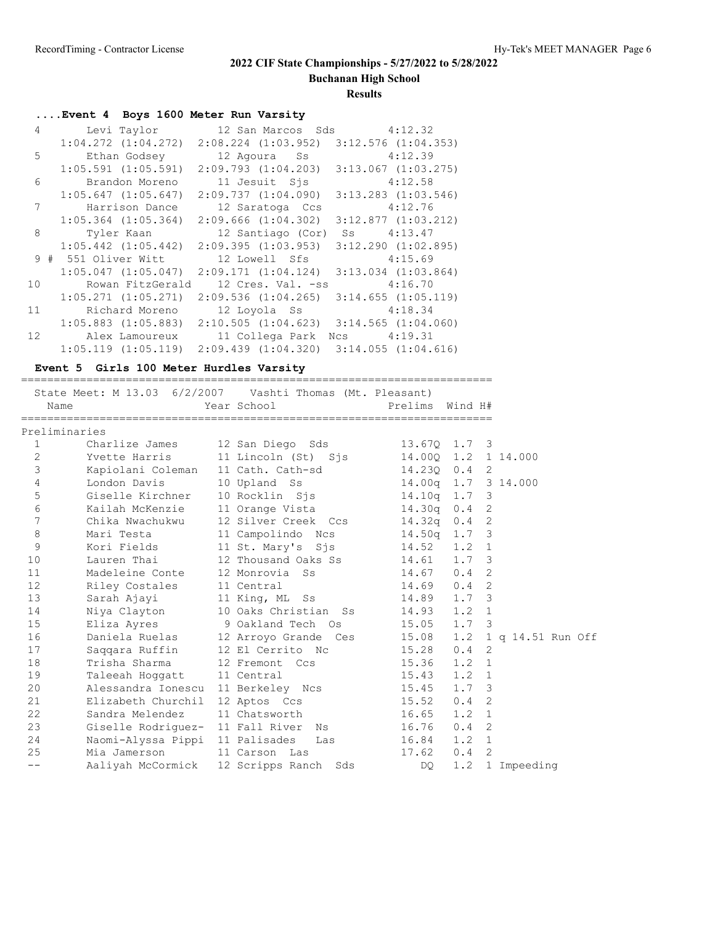**Buchanan High School**

**Results**

|                 | Event 4 Boys 1600 Meter Run Varsity |                                                 |                         |
|-----------------|-------------------------------------|-------------------------------------------------|-------------------------|
|                 |                                     | 4 Levi Taylor 12 San Marcos Sds 4:12.32         |                         |
|                 | $1:04.272$ $(1:04.272)$             | $2:08.224$ $(1:03.952)$                         | $3:12.576$ $(1:04.353)$ |
|                 | 5 Ethan Godsey                      | 12 Agoura Ss                                    | 4:12.39                 |
|                 | $1:05.591$ $(1:05.591)$             | 2:09.793(1:04.203)                              | $3:13.067$ $(1:03.275)$ |
| 6               | Brandon Moreno                      | 11 Jesuit Sjs                                   | 4:12.58                 |
|                 | $1:05.647$ $(1:05.647)$             | 2:09.737(1:04.090)                              | $3:13.283$ $(1:03.546)$ |
| 7               | Harrison Dance                      | 12 Saratoga Ccs                                 | 4:12.76                 |
|                 | $1:05.364$ $(1:05.364)$             | $2:09.666$ $(1:04.302)$                         | $3:12.877$ $(1:03.212)$ |
| 8               | Tyler Kaan                          | 12 Santiago (Cor) Ss 4:13.47                    |                         |
|                 | $1:05.442$ $(1:05.442)$             | 2:09.395(1:03.953)                              | $3:12.290$ $(1:02.895)$ |
|                 | 9 # 551 Oliver Witt                 | 12 Lowell Sfs                                   | 4:15.69                 |
|                 | $1:05.047$ $(1:05.047)$             | 2:09.171(1:04.124)                              | $3:13.034$ $(1:03.864)$ |
| 10 <sup>1</sup> | Rowan FitzGerald                    | 12 Cres. Val. -ss                               | 4:16.70                 |
|                 | $1:05.271$ $(1:05.271)$             | $2:09.536$ $(1:04.265)$                         | $3:14.655$ $(1:05.119)$ |
| 11              | Richard Moreno                      | 12 Loyola Ss 4:18.34                            |                         |
|                 | $1:05.883$ $(1:05.883)$             | $2:10.505$ $(1:04.623)$ $3:14.565$ $(1:04.060)$ |                         |
| 12 <sup>7</sup> | Alex Lamoureux                      | 11 Collega Park                                 | Ncs 4:19.31             |
|                 | $1:05.119$ $(1:05.119)$             | $2:09.439$ $(1:04.320)$                         | 3:14.055(1:04.616)      |

### **Event 5 Girls 100 Meter Hurdles Varsity**

| Name           |                            | State Meet: M 13.03 6/2/2007 Vashti Thomas (Mt. Pleasant)<br>Year School | Prelims Wind H#        |               |                |                     |
|----------------|----------------------------|--------------------------------------------------------------------------|------------------------|---------------|----------------|---------------------|
| Preliminaries  |                            |                                                                          |                        |               |                |                     |
| $\mathbf{1}$   | Charlize James             | 12 San Diego Sds                                                         | 13.670 1.7 3           |               |                |                     |
| 2              |                            | Yvette Harris 11 Lincoln (St) Sjs                                        |                        |               |                | 14.000 1.2 1 14.000 |
| 3              |                            | Kapiolani Coleman 11 Cath. Cath-sd                                       | 14.230 0.4 2           |               |                |                     |
| $\overline{4}$ | London Davis               | 10 Upland Ss                                                             | 14.00q  1.7  3  14.000 |               |                |                     |
| 5              | Giselle Kirchner           | 10 Rocklin Sjs                                                           | $14.10q$ 1.7 3         |               |                |                     |
| $\sqrt{6}$     | Kailah McKenzie            | 11 Orange Vista                                                          | 14.30q 0.4 2           |               |                |                     |
| 7              | Chika Nwachukwu            | 12 Silver Creek Ccs                                                      | $14.32q$ 0.4 2         |               |                |                     |
| $\,8\,$        | Mari Testa                 | 11 Campolindo Ncs                                                        | 14.50q 1.7 3           |               |                |                     |
| 9              | Kori Fields III            | 11 St. Mary's Sjs 14.52                                                  |                        | $1.2 \quad 1$ |                |                     |
| 10             | Lauren Thai                | 12 Thousand Oaks Ss 14.61                                                |                        | $1.7-3$       |                |                     |
| 11             | Madeleine Conte            | 12 Monrovia Ss                                                           | $14.67$ 0.4 2          |               |                |                     |
| 12             | Riley Costales 11 Central  |                                                                          | $14.69$ 0.4 2          |               |                |                     |
| 13             | Sarah Ajayi                | 11 King, ML Ss                                                           | 14.89 1.7 3            |               |                |                     |
| 14             | Niya Clayton               | 10 Oaks Christian Ss                                                     | 14.93                  | $1.2 \quad 1$ |                |                     |
| 15             | Eliza Ayres                | 9 Oakland Tech Os                                                        | 15.05 1.7 3            |               |                |                     |
| 16             |                            | Daniela Ruelas 12 Arroyo Grande Ces 15.08 1.2 1 q 14.51 Run Off          |                        |               |                |                     |
| 17             | Saqqara Ruffin             | 12 El Cerrito Nc                                                         | 15.28                  | 0.4           | $\overline{2}$ |                     |
| 18             |                            | Trisha Sharma 12 Fremont Ccs                                             | 15.36                  | 1.2           | $\overline{1}$ |                     |
| 19             | Taleeah Hoggatt 11 Central |                                                                          | 15.43                  | $1.2 \quad 1$ |                |                     |
| 20             |                            | Alessandra Ionescu 11 Berkeley Ncs 15.45                                 |                        | $1.7 \quad 3$ |                |                     |
| 21             |                            | Elizabeth Churchil 12 Aptos Ccs                                          | 15.52                  | $0.4 \quad 2$ |                |                     |
| 22             | Sandra Melendez            | 11 Chatsworth                                                            | 16.65                  | $1.2 \quad 1$ |                |                     |
| 23             |                            | Giselle Rodriquez- 11 Fall River Ns 16.76                                |                        | $0.4 \quad 2$ |                |                     |
| 24             |                            | Naomi-Alyssa Pippi 11 Palisades Las 16.84                                |                        | 1.2           | $\overline{1}$ |                     |
| 25             | Mia Jamerson               | 11 Carson Las                                                            | 17.62                  | $0.4 \quad 2$ |                |                     |
| $- -$          |                            | Aaliyah McCormick 12 Scripps Ranch Sds                                   | DO                     | 1.2           |                | 1 Impeeding         |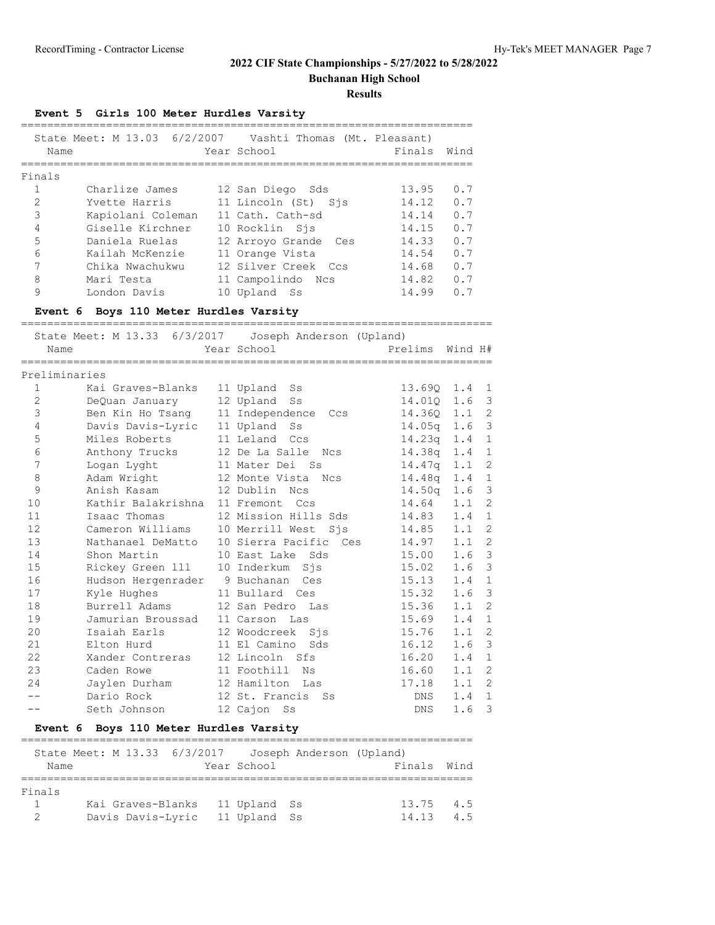## **2022 CIF State Championships - 5/27/2022 to 5/28/2022 Buchanan High School**

**Results**

**Event 5 Girls 100 Meter Hurdles Varsity**

| Name           |                   |    | State Meet: M 13.03 6/2/2007 Vashti Thomas (Mt. Pleasant)<br>Year School | Finals | Wind |
|----------------|-------------------|----|--------------------------------------------------------------------------|--------|------|
| Finals         |                   |    |                                                                          |        |      |
|                | Charlize James    |    | 12 San Diego Sds                                                         | 13.95  | 0.7  |
| $\mathcal{L}$  | Yvette Harris     |    | 11 Lincoln (St) Sis                                                      | 14.12  | 0.7  |
| 3              | Kapiolani Coleman |    | 11 Cath. Cath-sd                                                         | 14.14  | 0.7  |
| $\overline{4}$ | Giselle Kirchner  |    | 10 Rocklin Sis                                                           | 14.15  | 0.7  |
| 5              | Daniela Ruelas    |    | 12 Arroyo Grande Ces                                                     | 14.33  | 0.7  |
| 6              | Kailah McKenzie   |    | 11 Orange Vista                                                          | 14.54  | 0.7  |
| 7              | Chika Nwachukwu   |    | 12 Silver Creek Ccs                                                      | 14.68  | 0.7  |
| 8              | Mari Testa        |    | 11 Campolindo Ncs                                                        | 14.82  | 0.7  |
| 9              | London Davis      | 10 | Upland Ss                                                                | 14.99  | 0.7  |

**Event 6 Boys 110 Meter Hurdles Varsity**

|                | ===================================                     |                          | ============================ |         |                |
|----------------|---------------------------------------------------------|--------------------------|------------------------------|---------|----------------|
| Name           | State Meet: M 13.33 6/3/2017   Joseph Anderson (Upland) | Year School              | Prelims                      | Wind H# |                |
| Preliminaries  |                                                         |                          |                              |         |                |
| 1              | Kai Graves-Blanks                                       | 11 Upland<br>Ss          | 13.690 1.4 1                 |         |                |
| $\overline{2}$ | DeQuan January                                          | 12 Upland<br>Ss          | 14.010 1.6                   |         | 3              |
| 3              | Ben Kin Ho Tsang                                        | 11 Independence<br>Ccs   | 14.36Q 1.1                   |         | 2              |
| 4              | Davis Davis-Lyric 11 Upland Ss                          |                          | $14.05q$ 1.6                 |         | $\mathfrak{Z}$ |
| 5              | Miles Roberts                                           | 11 Leland Ccs            | $14.23q$ 1.4                 |         | 1              |
| 6              | Anthony Trucks                                          | 12 De La Salle<br>Ncs    | $14.38q$ 1.4                 |         | 1              |
| 7              | Logan Lyght                                             | 11 Mater Dei Ss          | 14.47q                       | 1.1     | 2              |
| 8              | Adam Wright                                             | 12 Monte Vista<br>Ncs    | 14.48 <sub>q</sub>           | 1.4     | $\mathbf{1}$   |
| 9              | Anish Kasam                                             | 12 Dublin Ncs            | 14.50q                       | 1.6     | 3              |
| 10             | Kathir Balakrishna 11 Fremont Ccs                       |                          | 14.64                        | 1.1     | 2              |
| 11             | Isaac Thomas                                            | 12 Mission Hills Sds     | 14.83                        | 1.4     | $\mathbf{1}$   |
| 12             | Cameron Williams                                        | 10 Merrill West Sjs      | 14.85                        | 1.1     | $\overline{c}$ |
| 13             | Nathanael DeMatto                                       | 10 Sierra Pacific<br>Ces | 14.97                        | 1.1     | $\overline{2}$ |
| 14             | Shon Martin                                             | 10 East Lake<br>Sds      | 15.00                        | 1.6     | $\mathcal{E}$  |
| 15             | Rickey Green 111                                        | 10 Inderkum<br>Sis       | 15.02                        | 1.6     | 3              |
| 16             | Hudson Hergenrader 9 Buchanan                           | Ces                      | 15.13                        | 1.4     | $\mathbf{1}$   |
| 17             | Kyle Hughes                                             | 11 Bullard Ces           | 15.32                        | 1.6     | 3              |
| 18             | Burrell Adams                                           | 12 San Pedro<br>Las      | 15.36                        | 1.1     | $\overline{2}$ |
| 19             | Jamurian Broussad                                       | 11 Carson Las            | 15.69                        | 1.4     | $\mathbf{1}$   |
| 20             | Isaiah Earls                                            | 12 Woodcreek<br>Sis      | 15.76                        | 1.1     | 2              |
| 21             | Elton Hurd                                              | 11 El Camino<br>Sds      | 16.12                        | 1.6     | $\mathfrak{Z}$ |
| 22             | Xander Contreras                                        | 12 Lincoln Sfs           | 16.20                        | 1.4     | $\mathbf{1}$   |
| 23             | Caden Rowe                                              | 11 Foothill<br>Νs        | 16.60                        | 1.1     | $\overline{2}$ |
| 24             | Jaylen Durham                                           | 12 Hamilton Las          | 17.18                        | 1.1     | $\overline{2}$ |
|                | Dario Rock                                              | 12 St. Francis<br>Ss     | DNS                          | 1.4     | $\mathbf{1}$   |
| --             | Seth Johnson                                            | 12 Cajon<br>Ss           | DNS                          | 1.6     | 3              |

## **Event 6 Boys 110 Meter Hurdles Varsity**

|        | State Meet: M 13.33 6/3/2017 Joseph Anderson (Upland) |  |              |             |     |
|--------|-------------------------------------------------------|--|--------------|-------------|-----|
| Name   |                                                       |  | Year School  | Finals Wind |     |
|        |                                                       |  |              |             |     |
| Finals |                                                       |  |              |             |     |
|        | Kai Graves-Blanks 11 Upland Ss                        |  |              | 13.75       | 4.5 |
|        | Davis Davis-Lyric                                     |  | 11 Upland Ss | 14.13       | 4 5 |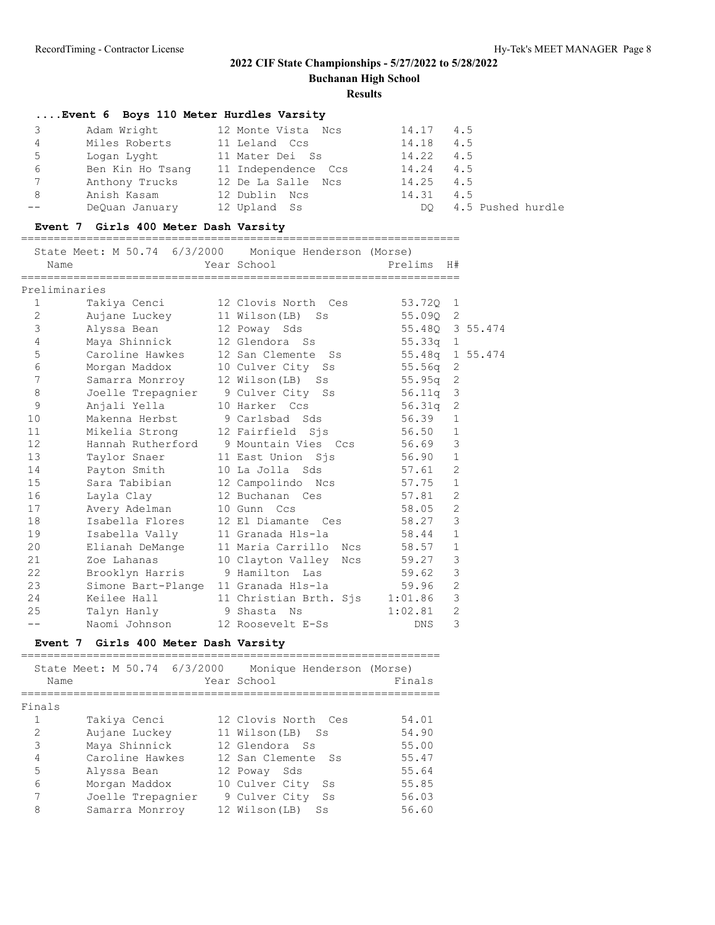**Buchanan High School**

#### **Results**

### **....Event 6 Boys 110 Meter Hurdles Varsity** 3 Adam Wright 12 Monte Vista Ncs 14.17 4.5 4 Miles Roberts 11 Leland Ccs 14.18 4.5 5 Logan Lyght 11 Mater Dei Ss 14.22 4.5 6 Ben Kin Ho Tsang 11 Independence Ccs 14.24 4.5 7 Anthony Trucks 12 De La Salle Ncs 14.25 4.5 8 Anish Kasam 12 Dublin Ncs 14.31 4.5 -- DeQuan January 12 Upland Ss Marting DQ 4.5 Pushed hurdle

#### **Event 7 Girls 400 Meter Dash Varsity**

#### ===================================================================

|              | State Meet: M 50.74 6/3/2000 Monique Henderson (Morse)<br>Name | Year School                                 | Prelims         | H#             |  |
|--------------|----------------------------------------------------------------|---------------------------------------------|-----------------|----------------|--|
|              | Preliminaries                                                  |                                             |                 |                |  |
| 1            | Takiya Cenci                                                   | 12 Clovis North Ces                         | 53.720 1        |                |  |
| $\mathbf{2}$ | Aujane Luckey                                                  | 11 Wilson(LB) Ss                            | 55.090 2        |                |  |
| $\mathsf 3$  | Alyssa Bean                                                    | 12 Poway Sds                                | 55.480 3 55.474 |                |  |
| 4            | Maya Shinnick                                                  | 12 Glendora Ss                              | $55.33q$ 1      |                |  |
| $\mathsf S$  | Caroline Hawkes                                                | 12 San Clemente Ss                          | 55.48q 1 55.474 |                |  |
| $\epsilon$   | Morgan Maddox                                                  | 10 Culver City Ss                           | $55.56q$ 2      |                |  |
| 7            | Samarra Monrroy                                                | 12 Wilson(LB) Ss                            | $55.95q$ 2      |                |  |
| 8            |                                                                | Joelle Trepagnier 9 Culver City Ss          | 56.11g 3        |                |  |
| 9            | Anjali Yella                                                   | 10 Harker Ccs                               | $56.31q$ 2      |                |  |
| 10           | Makenna Herbst                                                 | 9 Carlsbad Sds                              | 56.39           | $\mathbf{1}$   |  |
| 11           | Mikelia Strong                                                 | 12 Fairfield Sis                            | 56.50           | $\mathbf{1}$   |  |
| 12           |                                                                | Hannah Rutherford 9 Mountain Vies Ccs 56.69 |                 | 3              |  |
| 13           |                                                                | Taylor Snaer 11 East Union Sjs              | 56.90           | $\mathbf{1}$   |  |
| 14           | Payton Smith                                                   | 10 La Jolla Sds                             | 57.61           | $\overline{2}$ |  |
| 15           | Sara Tabibian                                                  | 12 Campolindo Ncs 57.75                     |                 | $\mathbf{1}$   |  |
| 16           | Layla Clay                                                     | 12 Buchanan Ces                             | 57.81           | $\overline{2}$ |  |
| 17           | Avery Adelman                                                  | 10 Gunn Ccs                                 | 58.05           | $\overline{2}$ |  |
| 18           | Isabella Flores                                                | 12 El Diamante Ces                          | 58.27           | 3              |  |
| 19           | Isabella Vally                                                 | 11 Granada Hls-la 58.44                     |                 | $\mathbf{1}$   |  |
| 20           | Elianah DeMange                                                | 11 Maria Carrillo Ncs                       | 58.57           | $\mathbf{1}$   |  |
| 21           | Zoe Lahanas                                                    | 10 Clayton Valley                           | Ncs 59.27       | $\mathcal{S}$  |  |
| 22           | Brooklyn Harris                                                | 9 Hamilton - Las                            | 59.62           | 3              |  |
| 23           | Simone Bart-Plange                                             |                                             |                 | $\overline{2}$ |  |
| 24           | Keilee Hall I                                                  | 11 Christian Brth. Sjs 1:01.86              |                 | $\mathbf{3}$   |  |
| 25           | Talyn Hanly 9 Shasta Ns                                        |                                             | 1:02.81         | $\overline{2}$ |  |
| $=$ $-$      | Naomi Johnson                                                  | 12 Roosevelt E-Ss                           | <b>DNS</b>      | 3              |  |

#### **Event 7 Girls 400 Meter Dash Varsity**

| State Meet: M 50.74 6/3/2000<br>Monique Henderson (Morse)<br>Year School<br>Name<br>Finals<br>Takiya Cenci<br>12 Clovis North Ces<br>$\mathcal{L}$<br>Aujane Luckey<br>11 Wilson(LB) Ss<br>3<br>Maya Shinnick<br>12 Glendora Ss<br>4<br>Caroline Hawkes<br>12 San Clemente Ss<br>5<br>Alyssa Bean<br>12 Poway Sds<br>6<br>10 Culver City<br>Morgan Maddox<br>Ss<br>9 Culver City |                   |    |        |
|----------------------------------------------------------------------------------------------------------------------------------------------------------------------------------------------------------------------------------------------------------------------------------------------------------------------------------------------------------------------------------|-------------------|----|--------|
|                                                                                                                                                                                                                                                                                                                                                                                  |                   |    | Finals |
|                                                                                                                                                                                                                                                                                                                                                                                  |                   |    |        |
|                                                                                                                                                                                                                                                                                                                                                                                  |                   |    | 54.01  |
|                                                                                                                                                                                                                                                                                                                                                                                  |                   |    | 54.90  |
|                                                                                                                                                                                                                                                                                                                                                                                  |                   |    | 55.00  |
|                                                                                                                                                                                                                                                                                                                                                                                  |                   |    | 55.47  |
|                                                                                                                                                                                                                                                                                                                                                                                  |                   |    | 55.64  |
|                                                                                                                                                                                                                                                                                                                                                                                  |                   |    | 55.85  |
|                                                                                                                                                                                                                                                                                                                                                                                  | Joelle Trepagnier | Ss | 56.03  |
| 8<br>12 Wilson (LB)<br>Samarra Monrroy<br>Ss                                                                                                                                                                                                                                                                                                                                     |                   |    | 56.60  |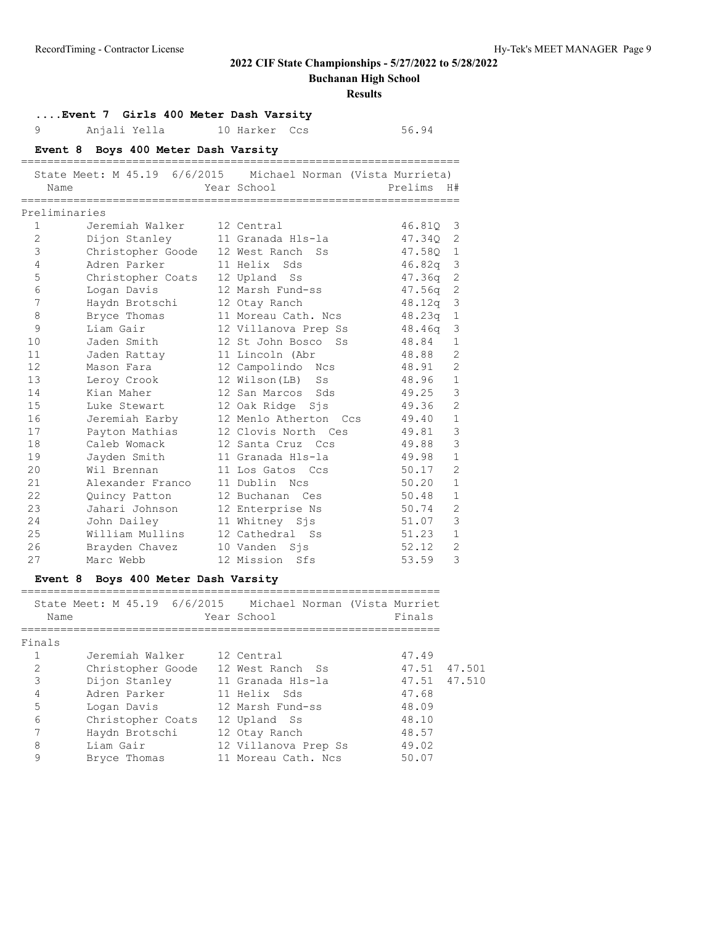**Buchanan High School**

|                   | Event 7 Girls 400 Meter Dash Varsity |                                                            |            |                |
|-------------------|--------------------------------------|------------------------------------------------------------|------------|----------------|
| 9                 | Anjali Yella                         | 10 Harker Ccs                                              | 56.94      |                |
|                   | Event 8 Boys 400 Meter Dash Varsity  | ===============================                            |            |                |
|                   |                                      | Michael Norman (Vista Murrieta)                            |            |                |
| Name              |                                      | Year School                                                | Prelims H# |                |
| Preliminaries     |                                      |                                                            |            |                |
| $\mathbf{1}$      | Jeremiah Walker                      | 12 Central                                                 | 46.81Q     | 3              |
| $\overline{2}$    | Dijon Stanley                        | 11 Granada Hls-la                                          | 47.34Q     | 2              |
| 3                 | Christopher Goode                    | 12 West Ranch Ss                                           | 47.58Q     | $\mathbf{1}$   |
| 4                 | Adren Parker                         | 11 Helix Sds                                               | 46.82q     | 3              |
| 5                 | Christopher Coats 12 Upland Ss       |                                                            | 47.36q     | $\mathbf{2}$   |
| 6                 | Logan Davis                          | 12 Marsh Fund-ss                                           | 47.56q     | $\mathbf{2}$   |
| 7                 | Haydn Brotschi                       | 12 Otay Ranch                                              | 48.12q     | 3              |
| 8                 | Bryce Thomas                         | 11 Moreau Cath. Ncs                                        | 48.23q     | $\mathbf{1}$   |
| 9                 | Liam Gair                            | 12 Villanova Prep Ss                                       | 48.46q     | 3              |
| 10                | Jaden Smith                          | 12 St John Bosco Ss                                        | 48.84      | $\mathbf{1}$   |
| 11                | Jaden Rattay                         | 11 Lincoln (Abr                                            | 48.88      | $\overline{2}$ |
| $12 \overline{ }$ | Mason Fara                           | 12 Campolindo Ncs                                          | 48.91      | $\overline{2}$ |
| 13                | Leroy Crook                          | 12 Wilson (LB)<br>Ss                                       | 48.96      | $\mathbf{1}$   |
| 14                | Kian Maher                           | 12 San Marcos<br>Sds                                       | 49.25      | 3              |
| 15                | Luke Stewart                         | 12 Oak Ridge Sjs                                           | 49.36      | $\overline{c}$ |
| 16                | Jeremiah Earby                       | 12 Menlo Atherton Ccs                                      | 49.40      | 1              |
| 17                | Payton Mathias                       | 12 Clovis North Ces                                        | 49.81      | $\mathsf 3$    |
| 18                | Caleb Womack                         | 12 Santa Cruz Ccs                                          | 49.88      | 3              |
| 19                | Jayden Smith                         | 11 Granada Hls-la                                          | 49.98      | $\mathbf{1}$   |
| 20                | Wil Brennan                          | 11 Los Gatos Ccs                                           | 50.17      | 2              |
| 21                | Alexander Franco                     | 11 Dublin Ncs                                              | 50.20      | $\mathbf{1}$   |
| 22                | Quincy Patton                        | 12 Buchanan Ces                                            | 50.48      | 1              |
| 23                | Jahari Johnson                       | 12 Enterprise Ns                                           | 50.74      | $\overline{2}$ |
| 24                | John Dailey                          | 11 Whitney Sjs                                             | 51.07      | 3              |
| 25                | William Mullins                      | 12 Cathedral Ss                                            | 51.23      | $\mathbf{1}$   |
| 26                | Brayden Chavez                       | 10 Vanden Sjs                                              | 52.12      | $\overline{2}$ |
| 27                | Marc Webb                            | 12 Mission Sfs                                             | 53.59      | 3              |
|                   | Event 8 Boys 400 Meter Dash Varsity  |                                                            |            |                |
|                   |                                      | State Meet: M 45.19 6/6/2015 Michael Norman (Vista Murriet |            |                |
| Name              |                                      | Year School                                                | Finals     |                |
| Finals            | .==================                  |                                                            |            |                |
| 1                 | Jeremiah Walker                      | 12 Central                                                 | 47.49      |                |
| $\overline{c}$    | Christopher Goode                    | 12 West Ranch<br>Ss                                        | 47.51      | 47.501         |
| 3                 | Dijon Stanley                        | 11 Granada Hls-la                                          | 47.51      | 47.510         |
| 4                 | Adren Parker                         | 11 Helix<br>Sds                                            | 47.68      |                |
| 5                 | Logan Davis                          | 12 Marsh Fund-ss                                           | 48.09      |                |
| $\epsilon$        | Christopher Coats                    | 12 Upland<br>Ss                                            | 48.10      |                |
| 7                 | Haydn Brotschi                       | 12 Otay Ranch                                              | 48.57      |                |
| 8                 | Liam Gair                            | 12 Villanova Prep Ss                                       | 49.02      |                |
| 9                 | Bryce Thomas                         | 11 Moreau Cath. Ncs                                        | 50.07      |                |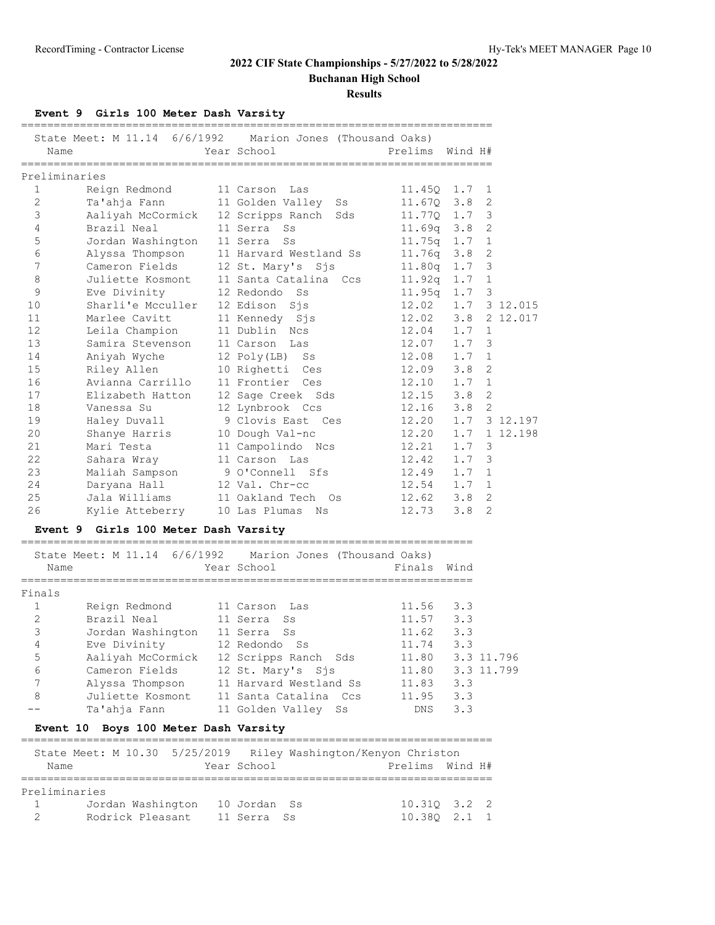**Buchanan High School**

**Results**

### **Event 9 Girls 100 Meter Dash Varsity**

|               | State Meet: M 11.14 6/6/1992         | Marion Jones (Thousand Oaks)                              |                  |     |                |
|---------------|--------------------------------------|-----------------------------------------------------------|------------------|-----|----------------|
| Name          |                                      | Year School                                               | Prelims Wind H#  |     |                |
|               | ===============                      |                                                           |                  |     |                |
| Preliminaries |                                      |                                                           |                  |     |                |
| $\mathbf{1}$  | Reign Redmond                        | 11 Carson Las                                             | $11.45Q$ 1.7     |     | 1              |
| 2             | Ta'ahja Fann                         | 11 Golden Valley<br>Ss                                    | $11.67Q$ 3.8     |     | $\overline{2}$ |
| 3             |                                      | Aaliyah McCormick 12 Scripps Ranch Sds                    | $11.77Q$ 1.7     |     | 3              |
| 4             | Brazil Neal                          | 11 Serra Ss                                               | $11.69q$ $3.8$   |     | 2              |
| 5             | Jordan Washington                    | 11 Serra<br>Ss                                            | $11.75q$ 1.7     |     | 1              |
| 6             | Alyssa Thompson                      | 11 Harvard Westland Ss                                    | 11.76q 3.8       |     | $\overline{2}$ |
| 7             | Cameron Fields                       | 12 St. Mary's Sjs                                         | $11.80q$ 1.7     |     | 3              |
| 8             | Juliette Kosmont                     | 11 Santa Catalina Ccs                                     | 11.92q 1.7       |     | 1              |
| 9             | Eve Divinity                         | 12 Redondo<br>Ss                                          | $11.95q$ 1.7     |     | 3              |
| 10            | Sharli'e Mcculler                    | 12 Edison<br>$S_1$ s                                      | 12.02            | 1.7 | 3 12.015       |
| 11            | Marlee Cavitt                        | 11 Kennedy Sjs                                            | 12.02            | 3.8 | 2 12.017       |
| 12            | Leila Champion                       | 11 Dublin Ncs                                             | 12.04            | 1.7 | 1              |
| 13            | Samira Stevenson                     | 11 Carson Las                                             | 12.07            | 1.7 | $\mathsf 3$    |
| 14            | Aniyah Wyche                         | 12 Poly(LB) Ss                                            | 12.08            | 1.7 | 1              |
| 15            | Riley Allen                          | 10 Righetti Ces                                           | 12.09            | 3.8 | $\overline{2}$ |
| 16            | Avianna Carrillo                     | 11 Frontier Ces                                           | 12.10            | 1.7 | 1              |
|               |                                      |                                                           |                  | 3.8 | $\overline{2}$ |
| 17            | Elizabeth Hatton                     | 12 Sage Creek Sds                                         | 12.15            |     | $\overline{2}$ |
| 18            | Vanessa Su                           | 12 Lynbrook Ccs                                           | 12.16            | 3.8 |                |
| 19            | Haley Duvall                         | 9 Clovis East Ces                                         | 12.20            | 1.7 | 3 12.197       |
| 20            | Shanye Harris                        | 10 Dough Val-nc                                           | 12.20            | 1.7 | 1 12.198       |
| 21            | Mari Testa                           | 11 Campolindo Ncs                                         | 12.21            | 1.7 | 3              |
| 22            | Sahara Wray                          | 11 Carson Las                                             | 12.42            | 1.7 | 3              |
| 23            | Maliah Sampson                       | 9 O'Connell Sfs                                           | 12.49 1.7        |     | 1              |
| 24            | Daryana Hall                         | 12 Val. Chr-cc                                            | 12.54            | 1.7 | 1              |
| 25            | Jala Williams                        | 11 Oakland Tech Os                                        | 12.62            | 3.8 | $\overline{2}$ |
| 26            | Kylie Atteberry                      | 10 Las Plumas Ns                                          | 12.73            | 3.8 | $\overline{2}$ |
|               | Event 9 Girls 100 Meter Dash Varsity |                                                           |                  |     |                |
|               |                                      | State Meet: M 11.14 6/6/1992 Marion Jones (Thousand Oaks) |                  |     |                |
| Name          |                                      | Year School                                               | Finals Wind      |     |                |
| ============= |                                      |                                                           |                  |     |                |
| Finals        |                                      |                                                           |                  |     |                |
| $\mathbf{1}$  | Reign Redmond                        | 11 Carson<br>Las                                          | 11.56            | 3.3 |                |
| 2             | Brazil Neal                          | 11 Serra<br>Ss                                            | 11.57 3.3        |     |                |
| 3             | Jordan Washington                    | 11 Serra<br>Ss                                            | 11.62 3.3        |     |                |
| 4             | Eve Divinity                         | 12 Redondo Ss                                             | 11.74            | 3.3 |                |
| 5             |                                      | Aaliyah McCormick 12 Scripps Ranch Sds                    | 11.80 3.3 11.796 |     |                |
| 6             | Cameron Fields                       | 12 St. Mary's Sjs                                         | 11.80 3.3 11.799 |     |                |
| 7             |                                      | Alyssa Thompson 11 Harvard Westland Ss                    | 11.83 3.3        |     |                |
| 8             | Juliette Kosmont                     | 11 Santa Catalina Ccs                                     | $11.95$ 3.3      |     |                |
|               | Ta'ahja Fann                         | 11 Golden Valley Ss                                       | DNS              | 3.3 |                |
|               | Event 10 Boys 100 Meter Dash Varsity |                                                           |                  |     |                |
|               |                                      |                                                           |                  |     |                |
|               | 5/25/2019<br>State Meet: M 10.30     | Riley Washington/Kenyon Christon                          |                  |     |                |
| Name          |                                      | Year School                                               | Prelims Wind H#  |     |                |
|               |                                      |                                                           |                  |     |                |
| Preliminaries |                                      |                                                           |                  |     |                |
| 1             | Jordan Washington 10 Jordan          | Ss                                                        | 10.31Q 3.2       |     | 2              |
| 2             | Rodrick Pleasant                     | 11 Serra<br>Ss                                            | 10.380 2.1       |     | 1              |

========================================================================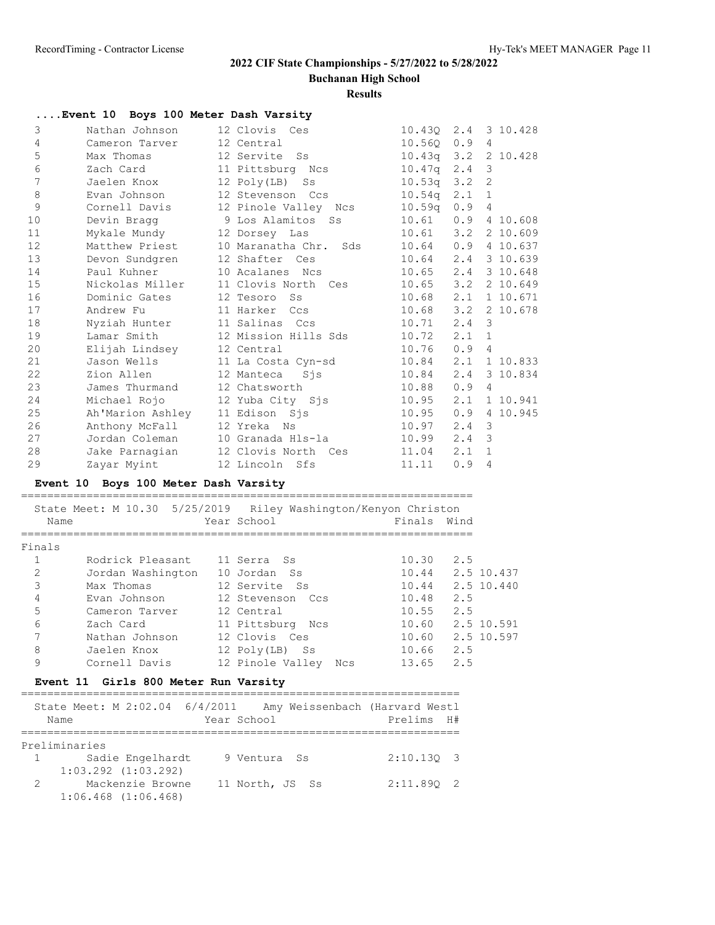**Buchanan High School**

|                       | Event 10 Boys 100 Meter Dash Varsity                           |                          |                       |                |
|-----------------------|----------------------------------------------------------------|--------------------------|-----------------------|----------------|
| 3                     | Nathan Johnson                                                 | 12 Clovis Ces            | 10.430 2.4 3 10.428   |                |
| 4                     | Cameron Tarver                                                 | 12 Central               | $10.560$ $0.9$        | $\overline{4}$ |
| 5                     | Max Thomas                                                     | 12 Servite Ss            | 10.43q 3.2 2 10.428   |                |
| 6                     | Zach Card                                                      | 11 Pittsburg Ncs         | $10.47q$ 2.4          | 3              |
| 7                     | Jaelen Knox                                                    | 12 Poly(LB) Ss           | $10.53q$ 3.2          | $\overline{c}$ |
| 8                     | Evan Johnson                                                   | 12 Stevenson Ccs         | $10.54q$ $2.1$        | $\mathbf 1$    |
| 9                     | Cornell Davis                                                  | 12 Pinole Valley Ncs     | $10.59q$ $0.9$        | 4              |
| 10                    | Devin Bragg                                                    | 9 Los Alamitos Ss        | $10.61$ $0.9$         | 4 10.608       |
| 11                    | Mykale Mundy                                                   | 12 Dorsey Las            | 10.61 3.2 2 10.609    |                |
| 12                    | Matthew Priest                                                 | 10 Maranatha Chr.<br>Sds | 10.64  0.9  4  10.637 |                |
| 13                    | Devon Sundgren                                                 | 12 Shafter Ces           | 10.64 2.4 3 10.639    |                |
| 14                    | Paul Kuhner                                                    | 10 Acalanes Ncs          | 10.65 2.4 3 10.648    |                |
| 15                    | Nickolas Miller                                                | 11 Clovis North Ces      | $10.65$ $3.2$         | 2 10.649       |
| 16                    | Dominic Gates                                                  | 12 Tesoro Ss             | $10.68$ 2.1           | 1 10.671       |
| 17                    | Andrew Fu                                                      | 11 Harker Ccs            | $10.68$ $3.2$         | 2 10.678       |
| 18                    | Nyziah Hunter                                                  | 11 Salinas Ccs           | $10.71$ $2.4$         | 3              |
| 19                    | Lamar Smith                                                    | 12 Mission Hills Sds     | $10.72$ $2.1$         | $\mathbf{1}$   |
| 20                    | Elijah Lindsey                                                 | 12 Central               | $10.76$ 0.9           | $\overline{4}$ |
| 21                    | Jason Wells                                                    | 11 La Costa Cyn-sd       | $10.84$ $2.1$         | 1 10.833       |
| 22                    | Zion Allen                                                     | 12 Manteca<br>Sjs        | 10.84 2.4             | 3 10.834       |
| 23                    | James Thurmand                                                 | 12 Chatsworth            | $10.88$ 0.9           | 4              |
| 24                    | Michael Rojo                                                   | 12 Yuba City Sis         | 10.95 2.1             | 1 10.941       |
| 25                    | Ah'Marion Ashley 11 Edison Sjs                                 |                          | 10.95  0.9  4  10.945 |                |
| 26                    | Anthony McFall                                                 | 12 Yreka Ns              | $10.97$ $2.4$ 3       |                |
| 27                    | Jordan Coleman                                                 | 10 Granada Hls-la        | 10.99 2.4             | 3              |
| 28                    | Jake Parnagian                                                 | 12 Clovis North Ces      | $11.04$ $2.1$         | $\mathbf{1}$   |
| 29                    | Zayar Myint                                                    | 12 Lincoln Sfs           | 11.11<br>0.9          | 4              |
|                       | Event 10 Boys 100 Meter Dash Varsity                           |                          |                       |                |
|                       |                                                                |                          |                       |                |
|                       | State Meet: M 10.30 5/25/2019 Riley Washington/Kenyon Christon |                          |                       |                |
| Name                  |                                                                | Year School              | Finals Wind           |                |
| Finals                | ================                                               | =================        | =================     |                |
| $\mathbf{1}$          | Rodrick Pleasant                                               | 11 Serra<br>Ss           | $10.30$ 2.5           |                |
| $\mathbf{2}^{\prime}$ | Jordan Washington 10 Jordan Ss                                 |                          | 10.44 2.5 10.437      |                |
| 3                     | Max Thomas                                                     | 12 Servite Ss            | 10.44 2.5 10.440      |                |
| 4                     | Evan Johnson                                                   | 12 Stevenson Ccs         | 10.48 2.5             |                |
| 5                     | Cameron Tarver                                                 | 12 Central               | 2.5<br>10.55          |                |
| 6                     | Zach Card                                                      | 11 Pittsburg Ncs         | 10.60                 | 2.5 10.591     |
| $\boldsymbol{7}$      | Nathan Johnson                                                 | 12 Clovis Ces            | 10.60 2.5 10.597      |                |
| 8                     | Jaelen Knox                                                    | 12 Poly(LB) Ss           | 10.66<br>2.5          |                |
| 9                     | Cornell Davis                                                  | 12 Pinole Valley Ncs     | 2.5<br>13.65          |                |
|                       | Event 11 Girls 800 Meter Run Varsity                           |                          |                       |                |
|                       |                                                                |                          |                       |                |
|                       | State Meet: M 2:02.04 6/4/2011 Amy Weissenbach (Harvard Westl  |                          |                       |                |
| Name                  |                                                                | Year School              | Prelims H#            |                |
|                       | Preliminaries                                                  |                          |                       |                |
| 1                     | Sadie Engelhardt                                               | 9 Ventura Ss             | $2:10.13Q$ 3          |                |
|                       | $1:03.292$ $(1:03.292)$                                        |                          |                       |                |
| 2                     | Mackenzie Browne                                               | 11 North, JS Ss          | $2:11.89Q$ 2          |                |
|                       | $1:06.468$ $(1:06.468)$                                        |                          |                       |                |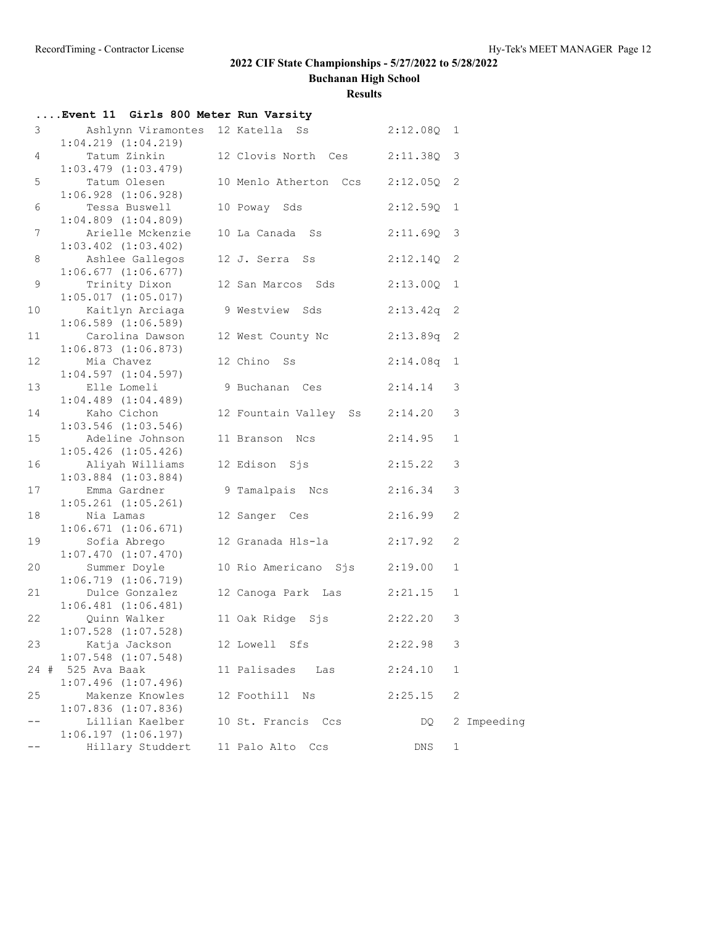**Buchanan High School**

|                 | Event 11 Girls 800 Meter Run Varsity        |                                  |              |              |             |
|-----------------|---------------------------------------------|----------------------------------|--------------|--------------|-------------|
| $\mathcal{S}$   |                                             | Ashlynn Viramontes 12 Katella Ss | $2:12.08Q$ 1 |              |             |
|                 | $1:04.219$ $(1:04.219)$                     |                                  |              |              |             |
| 4               | Tatum Zinkin                                | 12 Clovis North Ces              | $2:11.38Q$ 3 |              |             |
|                 | $1:03.479$ $(1:03.479)$                     |                                  |              |              |             |
| 5               | Tatum Olesen                                | 10 Menlo Atherton Ccs            | $2:12.05Q$ 2 |              |             |
|                 | $1:06.928$ $(1:06.928)$                     |                                  |              |              |             |
| 6               | Tessa Buswell                               | 10 Poway Sds                     | $2:12.59Q$ 1 |              |             |
|                 | $1:04.809$ $(1:04.809)$                     |                                  |              |              |             |
| $7\phantom{.0}$ | Arielle Mckenzie<br>$1:03.402$ $(1:03.402)$ | 10 La Canada Ss                  | $2:11.69Q$ 3 |              |             |
| 8               | Ashlee Gallegos                             | 12 J. Serra Ss                   | $2:12.14Q$ 2 |              |             |
|                 | $1:06.677$ $(1:06.677)$                     |                                  |              |              |             |
| $\mathsf 9$     | Trinity Dixon                               | 12 San Marcos Sds 2:13.00Q 1     |              |              |             |
|                 | 1:05.017(1:05.017)                          |                                  |              |              |             |
| 10              | Kaitlyn Arciaga                             | 9 Westview Sds                   | $2:13.42q$ 2 |              |             |
|                 | $1:06.589$ $(1:06.589)$                     |                                  |              |              |             |
| 11              | Carolina Dawson                             | 12 West County Nc                | $2:13.89q$ 2 |              |             |
|                 | $1:06.873$ $(1:06.873)$                     |                                  |              |              |             |
| 12              | Mia Chavez                                  | 12 Chino Ss                      | $2:14.08q$ 1 |              |             |
|                 | 1:04.597(1:04.597)                          |                                  |              |              |             |
| 13              | Elle Lomeli                                 | 9 Buchanan Ces                   | $2:14.14$ 3  |              |             |
|                 | $1:04.489$ $(1:04.489)$                     |                                  |              |              |             |
| 14              | Kaho Cichon                                 | 12 Fountain Valley Ss 2:14.20    |              | 3            |             |
|                 | $1:03.546$ $(1:03.546)$                     |                                  |              |              |             |
| 15              | Adeline Johnson                             | 11 Branson Ncs                   | 2:14.95      | $\mathbf{1}$ |             |
|                 | $1:05.426$ $(1:05.426)$                     |                                  |              |              |             |
| 16              | Aliyah Williams<br>$1:03.884$ $(1:03.884)$  | 12 Edison Sjs                    | 2:15.22      | 3            |             |
| 17              | Emma Gardner                                | 9 Tamalpais Ncs 2:16.34          |              | 3            |             |
|                 | $1:05.261$ $(1:05.261)$                     |                                  |              |              |             |
| 18              | Nia Lamas                                   | 12 Sanger Ces 2:16.99            |              | 2            |             |
|                 | 1:06.671(1:06.671)                          |                                  |              |              |             |
| 19              | Sofia Abrego                                | 12 Granada Hls-la 2:17.92        |              | 2            |             |
|                 | $1:07.470$ $(1:07.470)$                     |                                  |              |              |             |
| 20              | Summer Doyle                                | 10 Rio Americano Sjs 2:19.00     |              | $\mathbf{1}$ |             |
|                 | 1:06.719(1:06.719)                          |                                  |              |              |             |
| 21              | Dulce Gonzalez                              | 12 Canoga Park Las 2:21.15       |              | $\mathbf{1}$ |             |
|                 | $1:06.481$ $(1:06.481)$                     |                                  |              |              |             |
| 22              | Quinn Walker                                | 11 Oak Ridge Sjs 2:22.20 3       |              |              |             |
|                 | $1:07.528$ $(1:07.528)$                     |                                  |              |              |             |
| 23              | Katja Jackson                               | 12 Lowell Sfs                    | 2:22.98      | 3            |             |
|                 | $1:07.548$ $(1:07.548)$                     |                                  |              |              |             |
| $24 +$          | 525 Ava Baak<br>$1:07.496$ $(1:07.496)$     | 11 Palisades<br>Las              | 2:24.10      | 1            |             |
| 25              | Makenze Knowles                             | 12 Foothill Ns                   | 2:25.15      | 2            |             |
|                 | $1:07.836$ $(1:07.836)$                     |                                  |              |              |             |
|                 | Lillian Kaelber                             | 10 St. Francis Ccs               | DQ.          |              | 2 Impeeding |
|                 | 1:06.197(1:06.197)                          |                                  |              |              |             |
| $- -$           | Hillary Studdert                            | 11 Palo Alto Ccs                 | DNS          | 1            |             |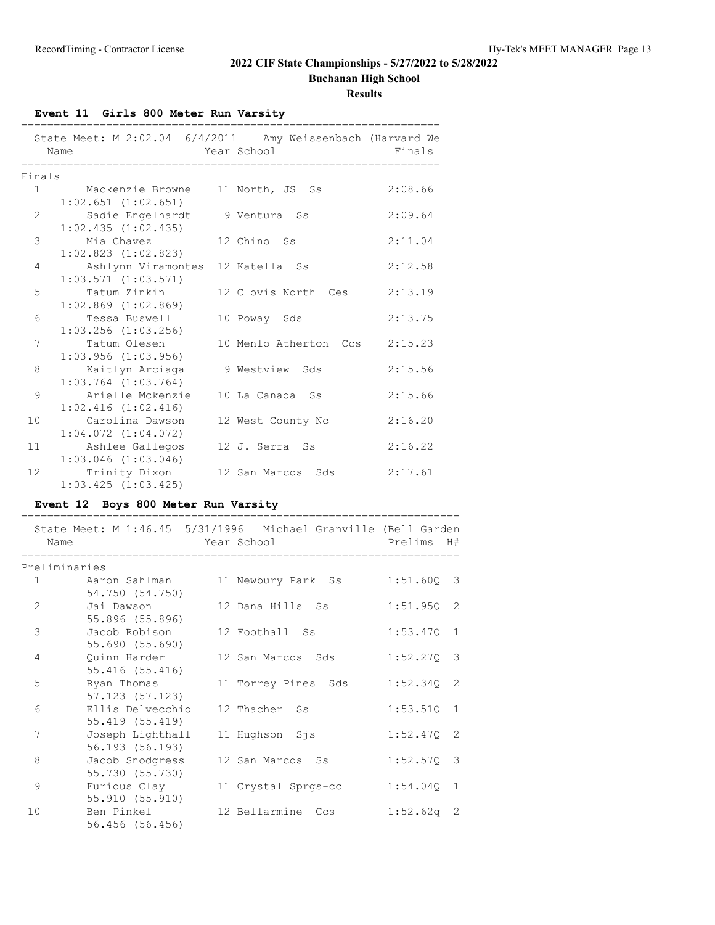**Buchanan High School**

**Results**

## **Event 11 Girls 800 Meter Run Varsity**

|                | State Meet: M 2:02.04 6/4/2011 Amy Weissenbach (Harvard We<br>Name<br>=================== | Year School           | Finals  |
|----------------|-------------------------------------------------------------------------------------------|-----------------------|---------|
| Finals         |                                                                                           |                       |         |
|                | 1 Mackenzie Browne<br>$1:02.651$ $(1:02.651)$                                             | 11 North, JS Ss       | 2:08.66 |
| $\overline{2}$ | Sadie Engelhardt<br>$1:02.435$ $(1:02.435)$                                               | 9 Ventura Ss          | 2:09.64 |
| 3              | Mia Chavez<br>$1:02.823$ $(1:02.823)$                                                     | 12 Chino Ss           | 2:11.04 |
| 4              | Ashlynn Viramontes 12 Katella Ss<br>$1:03.571$ $(1:03.571)$                               |                       | 2:12.58 |
| 5              | Tatum Zinkin<br>$1:02.869$ $(1:02.869)$                                                   | 12 Clovis North Ces   | 2:13.19 |
| 6              | Tessa Buswell<br>$1:03.256$ $(1:03.256)$                                                  | 10 Poway Sds          | 2:13.75 |
| 7              | Tatum Olesen<br>$1:03.956$ $(1:03.956)$                                                   | 10 Menlo Atherton Ccs | 2:15.23 |
| 8              | Kaitlyn Arciaga<br>$1:03.764$ $(1:03.764)$                                                | 9 Westview Sds        | 2:15.56 |
| 9              | Arielle Mckenzie<br>$1:02.416$ $(1:02.416)$                                               | 10 La Canada Ss       | 2:15.66 |
| 10             | Carolina Dawson<br>$1:04.072$ $(1:04.072)$                                                | 12 West County Nc     | 2:16.20 |
| 11             | Ashlee Gallegos<br>$1:03.046$ $(1:03.046)$                                                | 12 J. Serra Ss        | 2:16.22 |
| 12             | Trinity Dixon<br>$1:03.425$ $(1:03.425)$                                                  | 12 San Marcos Sds     | 2:17.61 |

## **Event 12 Boys 800 Meter Run Varsity**

|                |                                           | State Meet: M 1:46.45 5/31/1996 Michael Granville (Bell Garden |                        |                |
|----------------|-------------------------------------------|----------------------------------------------------------------|------------------------|----------------|
|                | Name                                      | Year School                                                    | Prelims                | H#             |
|                | ------------<br>========================= |                                                                | ====================== |                |
|                | Preliminaries                             |                                                                |                        |                |
| $\mathbf{1}$   | Aaron Sahlman                             | 11 Newbury Park Ss                                             | $1:51.600$ 3           |                |
|                | 54.750 (54.750)                           |                                                                |                        |                |
| $\mathfrak{D}$ | Jai Dawson                                | 12 Dana Hills Ss                                               | 1:51.95Q               | - 2            |
|                | 55.896 (55.896)                           |                                                                |                        |                |
| 3              | Jacob Robison                             | 12 Foothall Ss                                                 | 1:53.47Q               | $\overline{1}$ |
|                | 55.690 (55.690)                           |                                                                |                        |                |
| 4              | Ouinn Harder                              | 12 San Marcos Sds                                              | $1:52.270$ 3           |                |
|                | 55.416 (55.416)                           |                                                                |                        |                |
| 5              | Ryan Thomas                               | 11 Torrey Pines Sds                                            | 1:52.34Q               | -2             |
|                | 57.123 (57.123)                           |                                                                |                        |                |
| 6              | Ellis Delvecchio                          | 12 Thacher<br><b>Ss</b>                                        | 1:53.51Q               | $\mathbf{1}$   |
|                | 55.419 (55.419)                           |                                                                |                        |                |
| 7              | Joseph Lighthall                          | 11 Hughson Sjs                                                 | 1:52.47Q               | -2             |
|                | 56.193 (56.193)                           |                                                                |                        |                |
| 8              | Jacob Snodgress                           | 12 San Marcos Ss                                               | 1:52.57Q               | 3              |
|                | 55.730 (55.730)                           |                                                                |                        |                |
| 9              | Furious Clay                              | 11 Crystal Sprgs-cc                                            | 1:54.04Q               | 1              |
|                | 55.910 (55.910)                           |                                                                |                        |                |
| 10             | Ben Pinkel                                | 12 Bellarmine<br>Ccs                                           | 1:52.62q               | - 2            |
|                | 56.456 (56.456)                           |                                                                |                        |                |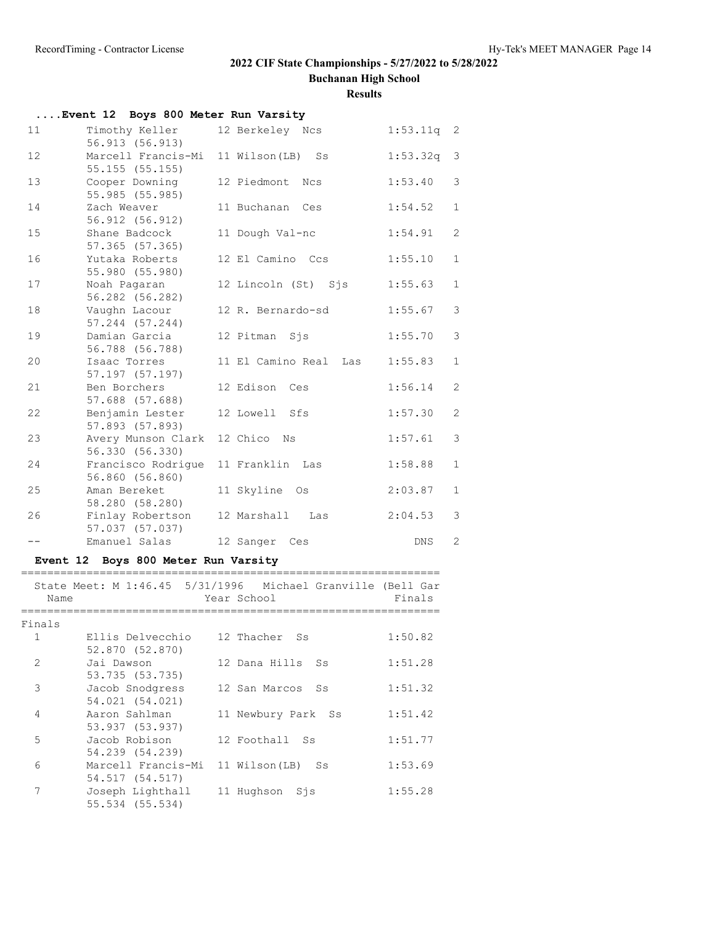**Buchanan High School**

|                       | Event 12 Boys 800 Meter Run Varsity   |                                                                            |              |                |
|-----------------------|---------------------------------------|----------------------------------------------------------------------------|--------------|----------------|
| 11                    | Timothy Keller<br>56.913 (56.913)     | 12 Berkeley Ncs                                                            | $1:53.11q$ 2 |                |
| 12 <sup>°</sup>       | Marcell Francis-Mi<br>55.155(55.155)  | 11 Wilson (LB) Ss                                                          | 1:53.32q     | 3              |
| 13                    | Cooper Downing<br>55.985 (55.985)     | 12 Piedmont Ncs                                                            | 1:53.40      | 3              |
| 14                    | Zach Weaver<br>56.912 (56.912)        | 11 Buchanan Ces                                                            | 1:54.52      | 1              |
| 15                    | Shane Badcock<br>57.365 (57.365)      | 11 Dough Val-nc                                                            | 1:54.91      | $\mathbf{2}$   |
| 16                    | Yutaka Roberts<br>55.980 (55.980)     | 12 El Camino Ccs                                                           | 1:55.10      | $\mathbf{1}$   |
| 17                    | Noah Pagaran<br>56.282 (56.282)       | 12 Lincoln (St) Sjs                                                        | 1:55.63      | 1              |
| 18                    | Vaughn Lacour<br>$57.244$ $(57.244)$  | 12 R. Bernardo-sd                                                          | 1:55.67      | 3              |
| 19                    | Damian Garcia<br>56.788 (56.788)      | 12 Pitman Sjs                                                              | 1:55.70      | 3              |
| 20                    | Isaac Torres<br>57.197 (57.197)       | 11 El Camino Real - Las                                                    | 1:55.83      | 1              |
| 21                    | Ben Borchers<br>57.688 (57.688)       | 12 Edison Ces                                                              | 1:56.14      | $\overline{c}$ |
| 22                    | Benjamin Lester<br>57.893 (57.893)    | 12 Lowell Sfs                                                              | 1:57.30      | $\overline{c}$ |
| 23                    | Avery Munson Clark<br>56.330 (56.330) | 12 Chico Ns                                                                | 1:57.61      | 3              |
| 24                    | Francisco Rodrigue<br>56.860 (56.860) | 11 Franklin Las                                                            | 1:58.88      | $\mathbf{1}$   |
| 25                    | Aman Bereket<br>58.280 (58.280)       | 11 Skyline Os                                                              | 2:03.87      | 1              |
| 26                    | Finlay Robertson<br>57.037 (57.037)   | 12 Marshall Las                                                            | 2:04.53      | 3              |
| $- -$                 | Emanuel Salas                         | 12 Sanger Ces                                                              | DNS          | $\overline{c}$ |
|                       | Event 12 Boys 800 Meter Run Varsity   |                                                                            |              |                |
| Name                  |                                       | State Meet: M 1:46.45 5/31/1996 Michael Granville (Bell Gar<br>Year School | Finals       |                |
|                       | =====================                 |                                                                            |              |                |
| Finals<br>$\mathbf 1$ | Ellis Delvecchio<br>52.870 (52.870)   | 12 Thacher<br>Ss                                                           | 1:50.82      |                |
| 2                     | Jai Dawson<br>53.735 (53.735)         | 12 Dana Hills<br>Ss                                                        | 1:51.28      |                |
| 3                     | Jacob Snodgress<br>54.021 (54.021)    | 12 San Marcos<br>$S_{S}$                                                   | 1:51.32      |                |
| 4                     | Aaron Sahlman<br>53.937 (53.937)      | 11 Newbury Park<br>Ss                                                      | 1:51.42      |                |
| 5                     | Jacob Robison<br>54.239 (54.239)      | 12 Foothall<br>Ss                                                          | 1:51.77      |                |
| 6                     | Marcell Francis-Mi<br>54.517 (54.517) | 11 Wilson (LB)<br>Ss                                                       | 1:53.69      |                |
| 7                     | Joseph Lighthall<br>55.534 (55.534)   | 11 Hughson<br>Sjs                                                          | 1:55.28      |                |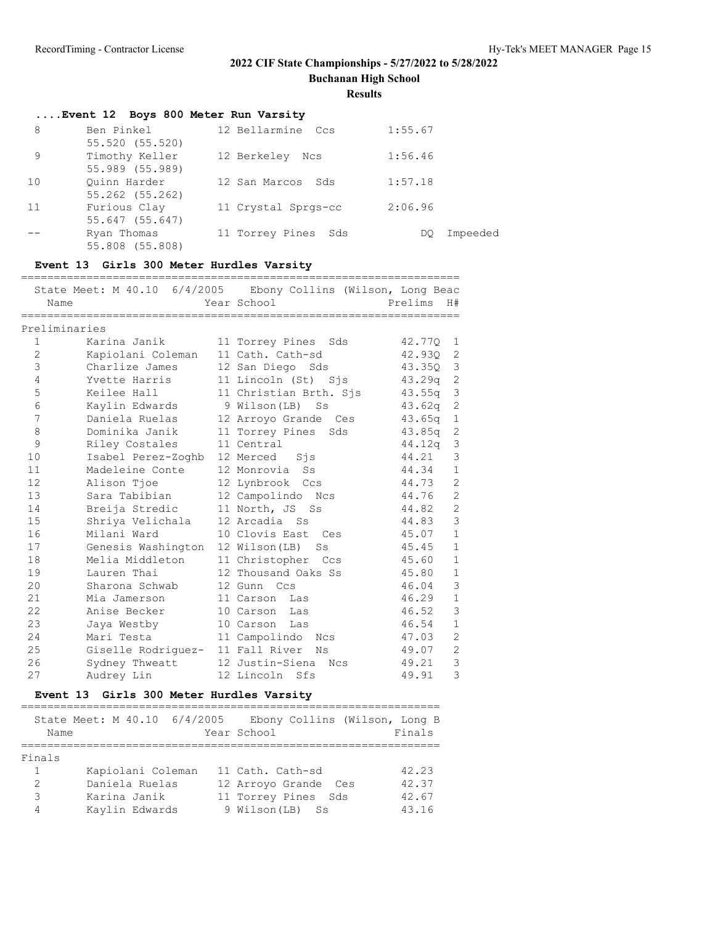**Buchanan High School**

#### **Results**

|    | Event 12 Boys 800 Meter Run Varsity |                     |                |  |
|----|-------------------------------------|---------------------|----------------|--|
| 8  | Ben Pinkel                          | 12 Bellarmine Ccs   | 1:55.67        |  |
|    | 55.520 (55.520)                     |                     |                |  |
| 9  | Timothy Keller                      | 12 Berkeley Ncs     | 1:56.46        |  |
|    | 55.989 (55.989)                     |                     |                |  |
| 10 | Ouinn Harder                        | 12 San Marcos Sds   | 1:57.18        |  |
|    | 55.262 (55.262)                     |                     |                |  |
| 11 | Furious Clay                        | 11 Crystal Sprgs-cc | 2:06.96        |  |
|    | 55.647 (55.647)                     |                     |                |  |
|    | Ryan Thomas                         | 11 Torrey Pines Sds | Impeeded<br>DO |  |
|    | 55.808 (55.808)                     |                     |                |  |

### **Event 13 Girls 300 Meter Hurdles Varsity**

| Name          |                                  | State Meet: M 40.10 6/4/2005 Ebony Collins (Wilson, Long Beac<br>Year School | ===================<br>Prelims | H#             |
|---------------|----------------------------------|------------------------------------------------------------------------------|--------------------------------|----------------|
| Preliminaries |                                  |                                                                              |                                |                |
| 1             | Karina Janik                     | 11 Torrey Pines<br>Sds                                                       | 42.770                         | 1              |
| $\mathbf{2}$  | Kapiolani Coleman                | 11 Cath. Cath-sd                                                             | 42.930                         | 2              |
| 3             | Charlize James                   | 12 San Diego Sds                                                             | 43.350                         | $\mathcal{S}$  |
| 4             | Yvette Harris                    | 11 Lincoln (St) Sjs                                                          | 43.29q                         | 2              |
| 5             | Keilee Hall                      | 11 Christian Brth. Sjs                                                       | 43.55q                         | 3              |
| 6             | Kaylin Edwards                   | 9 Wilson(LB)<br>Ss                                                           | 43.62q                         | $\overline{c}$ |
| 7             | Daniela Ruelas                   | 12 Arroyo Grande Ces                                                         | 43.65q                         | $\mathbf{1}$   |
| 8             | Dominika Janik                   | 11 Torrey Pines<br>Sds                                                       | 43.85q                         | $\mathbf{2}$   |
| 9             | Riley Costales                   | 11 Central                                                                   | 44.12q                         | 3              |
| 10            | Isabel Perez-Zoghb 12 Merced Sis |                                                                              | 44.21                          | 3              |
| 11            | Madeleine Conte                  | 12 Monrovia<br>SS                                                            | 44.34                          | $\mathbf{1}$   |
| 12            | Alison Tjoe                      | 12 Lynbrook Ccs                                                              | 44.73                          | $\overline{2}$ |
| 13            | Sara Tabibian                    | 12 Campolindo Ncs                                                            | 44.76                          | $\overline{c}$ |
| 14            | Breija Stredic                   | 11 North, JS<br>S S                                                          | 44.82                          | $\overline{2}$ |
| 15            | Shriya Velichala                 | 12 Arcadia Ss                                                                | 44.83                          | 3              |
| 16            | Milani Ward                      | 10 Clovis East<br>Ces                                                        | 45.07                          | $\mathbf{1}$   |
| 17            | Genesis Washington               | 12 Wilson(LB)<br>Ss                                                          | 45.45                          | $\mathbf{1}$   |
| 18            | Melia Middleton                  | 11 Christopher Ccs                                                           | 45.60                          | $\mathbf{1}$   |
| 19            | Lauren Thai                      | 12 Thousand Oaks Ss                                                          | 45.80                          | $\mathbf{1}$   |
| 20            | Sharona Schwab                   | 12 Gunn Ccs                                                                  | 46.04                          | 3              |
| 21            | Mia Jamerson                     | 11 Carson Las                                                                | 46.29                          | $\mathbf{1}$   |
| 22            | Anise Becker                     | 10 Carson Las                                                                | 46.52                          | 3              |
| 23            | Jaya Westby                      | 10 Carson<br>Las                                                             | 46.54                          | $\mathbf{1}$   |
| 24            | Mari Testa                       | 11 Campolindo<br>Ncs                                                         | 47.03                          | $\overline{2}$ |
| 25            | Giselle Rodriguez- 11 Fall River | Νs                                                                           | 49.07                          | $\mathbf{2}$   |
| 26            | Sydney Thweatt                   | 12 Justin-Siena<br>Ncs                                                       | 49.21                          | 3              |
| 27            | Audrey Lin                       | 12 Lincoln Sfs                                                               | 49.91                          | 3              |

## **Event 13 Girls 300 Meter Hurdles Varsity**

| Name   | State Meet: M 40.10 6/4/2005 | Ebony Collins (Wilson, Long B<br>Year School | Finals |
|--------|------------------------------|----------------------------------------------|--------|
|        |                              |                                              |        |
| Finals |                              |                                              |        |
|        | Kapiolani Coleman            | 11 Cath. Cath-sd                             | 42.23  |
| 2      | Daniela Ruelas               | 12 Arroyo Grande Ces                         | 42.37  |
| 3      | Karina Janik                 | 11 Torrey Pines Sds                          | 42.67  |
|        | Kaylin Edwards               | 9 Wilson (LB) Ss                             | 43.16  |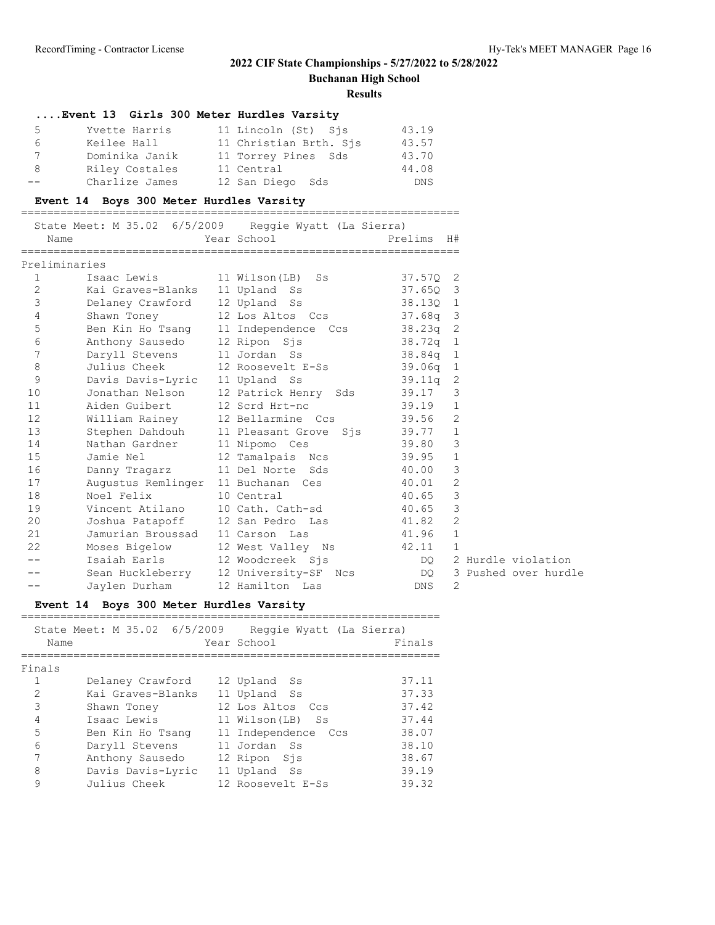**Buchanan High School**

#### **Results**

|                 | Event 13 Girls 300 Meter Hurdles Varsity |                        |            |
|-----------------|------------------------------------------|------------------------|------------|
| 5.              | Yvette Harris                            | 11 Lincoln (St) Sjs    | 43.19      |
| 6               | Keilee Hall                              | 11 Christian Brth. Sis | 43.57      |
| $7\overline{ }$ | Dominika Janik                           | 11 Torrey Pines Sds    | 43.70      |
| 8               | Riley Costales                           | 11 Central             | 44.08      |
| --              | Charlize James                           | 12 San Diego Sds       | <b>DNS</b> |

### **Event 14 Boys 300 Meter Hurdles Varsity**

#### ===================================================================

|                  |                    | State Meet: M 35.02 6/5/2009 Reggie Wyatt (La Sierra) |            |                |                      |
|------------------|--------------------|-------------------------------------------------------|------------|----------------|----------------------|
| Name             |                    | Year School                                           | Prelims    | H#             |                      |
| Preliminaries    |                    |                                                       |            |                |                      |
| $\mathbf{1}$     | Isaac Lewis        | 11 Wilson(LB) Ss                                      | $37.57Q$ 2 |                |                      |
| 2                | Kai Graves-Blanks  | 11 Upland Ss                                          | 37.650 3   |                |                      |
| 3                | Delaney Crawford   | 12 Upland Ss                                          | 38.130 1   |                |                      |
| 4                | Shawn Toney        | 12 Los Altos Ccs                                      | 37.68a 3   |                |                      |
| $\mathsf S$      | Ben Kin Ho Tsang   | 11 Independence Ccs                                   | $38.23q$ 2 |                |                      |
| 6                | Anthony Sausedo    | 12 Ripon Sjs                                          | $38.72q$ 1 |                |                      |
| $\boldsymbol{7}$ | Daryll Stevens     | 11 Jordan Ss                                          | $38.84q$ 1 |                |                      |
| 8                | Julius Cheek       | 12 Roosevelt E-Ss                                     | $39.06q$ 1 |                |                      |
| 9                | Davis Davis-Lyric  | 11 Upland Ss                                          | 39.11q     | 2              |                      |
| 10               | Jonathan Nelson    | 12 Patrick Henry Sds                                  | 39.17      | 3              |                      |
| 11               | Aiden Guibert      | 12 Scrd Hrt-nc                                        | 39.19      | $\mathbf{1}$   |                      |
| 12               | William Rainey     | 12 Bellarmine Ccs                                     | 39.56      | 2              |                      |
| 13               | Stephen Dahdouh    | 11 Pleasant Grove Sjs                                 | 39.77      | $\mathbf{1}$   |                      |
| 14               | Nathan Gardner     | 11 Nipomo Ces                                         | 39.80      | 3              |                      |
| 15               | Jamie Nel          | 12 Tamalpais Ncs                                      | 39.95      | $\mathbf 1$    |                      |
| 16               | Danny Tragarz      | 11 Del Norte Sds                                      | 40.00      | 3              |                      |
| 17               | Augustus Remlinger | 11 Buchanan Ces                                       | 40.01      | $\overline{2}$ |                      |
| 18               | Noel Felix         | 10 Central                                            | 40.65      | 3              |                      |
| 19               | Vincent Atilano    | 10 Cath. Cath-sd                                      | 40.65      | 3              |                      |
| 20               | Joshua Patapoff    | 12 San Pedro Las                                      | 41.82      | 2              |                      |
| 21               | Jamurian Broussad  | 11 Carson Las                                         | 41.96      | $\mathbf{1}$   |                      |
| 22               | Moses Bigelow      | 12 West Valley Ns                                     | 42.11      | 1              |                      |
|                  | Isaiah Earls       | 12 Woodcreek Sjs                                      | DQ.        |                | 2 Hurdle violation   |
|                  | Sean Huckleberry   | 12 University-SF Ncs                                  | DQ —       |                | 3 Pushed over hurdle |
| --               | Jaylen Durham      | 12 Hamilton Las                                       | <b>DNS</b> | 2              |                      |

## **Event 14 Boys 300 Meter Hurdles Varsity**

| Name   | State Meet: M 35.02 6/5/2009 | Reggie Wyatt (La Sierra)<br>Year School | Finals |
|--------|------------------------------|-----------------------------------------|--------|
| Finals |                              |                                         |        |
|        | Delaney Crawford             | 12 Upland Ss                            | 37.11  |
| 2      | Kai Graves-Blanks            | 11 Upland Ss                            | 37.33  |
| 3      | Shawn Toney                  | 12 Los Altos Ccs                        | 37.42  |
| 4      | Isaac Lewis                  | 11 Wilson(LB) Ss                        | 37.44  |
| 5      | Ben Kin Ho Tsang             | 11 Independence<br>Ccs                  | 38.07  |
| 6      | Daryll Stevens               | 11 Jordan Ss                            | 38.10  |
| 7      | Anthony Sausedo              | 12 Ripon Sis                            | 38.67  |
| 8      | Davis Davis-Lyric            | 11 Upland Ss                            | 39.19  |
| 9      | Julius Cheek                 | 12 Roosevelt E-Ss                       | 39.32  |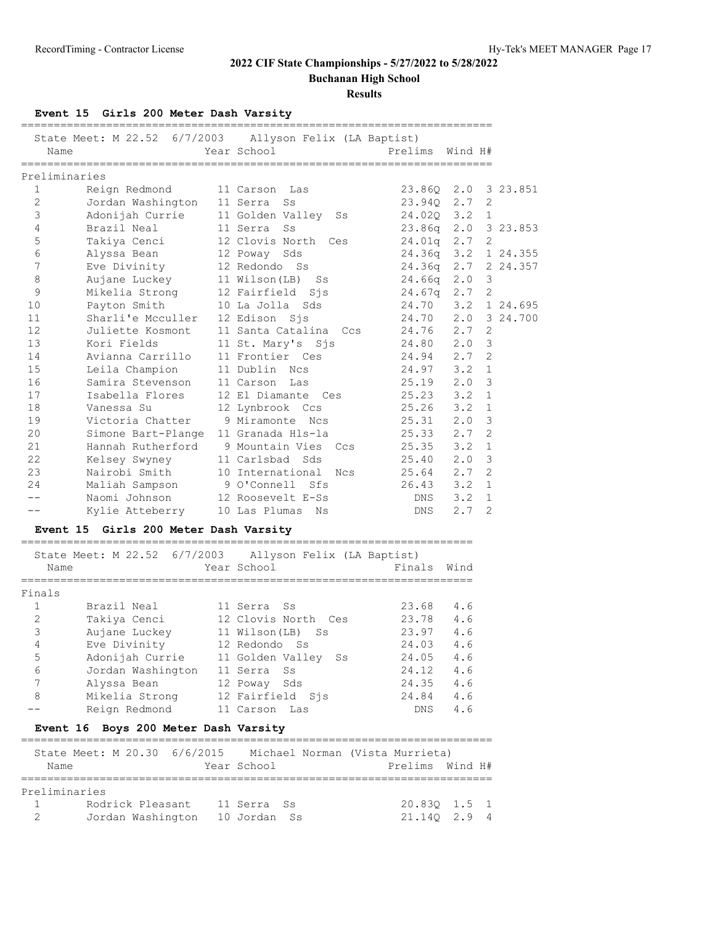**Buchanan High School**

**Results**

## **Event 15 Girls 200 Meter Dash Varsity**

|    | Name            |                                      | State Meet: M 22.52 6/7/2003 Allyson Felix (LA Baptist)<br>Year School | Prelims             | Wind H# |                |          |
|----|-----------------|--------------------------------------|------------------------------------------------------------------------|---------------------|---------|----------------|----------|
|    | Preliminaries   |                                      |                                                                        |                     |         |                |          |
|    | 1               | Reign Redmond 11 Carson Las          |                                                                        | 23.860 2.0 3 23.851 |         |                |          |
|    | 2               | Jordan Washington 11 Serra Ss        |                                                                        | 23.940 2.7          |         | 2              |          |
|    | 3               |                                      | Adonijah Currie 11 Golden Valley Ss                                    | 24.020 3.2 1        |         |                |          |
|    | 4               | Brazil Neal                          | 11 Serra Ss                                                            | 23.86q 2.0 3 23.853 |         |                |          |
|    | $\mathsf S$     |                                      | Takiya Cenci 12 Clovis North Ces                                       | $24.01q$ 2.7 2      |         |                |          |
|    | 6               | Alyssa Bean                          | 12 Poway Sds                                                           | 24.36q 3.2 1 24.355 |         |                |          |
|    | 7               | Eve Divinity                         | 12 Redondo Ss                                                          | 24.36q 2.7          |         |                | 2 24.357 |
|    | 8               | Aujane Luckey                        | 11 Wilson(LB) Ss                                                       | $24.66q$ 2.0        |         | 3              |          |
|    | $\mathsf 9$     | Mikelia Strong 12 Fairfield Sjs      |                                                                        | $24.67q$ 2.7        |         | 2              |          |
| 10 |                 | Payton Smith                         | 10 La Jolla Sds                                                        | 24.70 3.2           |         |                | 1 24.695 |
|    | 11              | Sharli'e Mcculler 12 Edison Sjs      |                                                                        | 24.70 2.0 3 24.700  |         |                |          |
|    | 12              | Juliette Kosmont                     | 11 Santa Catalina Ccs                                                  | 24.76 2.7           |         | 2              |          |
| 13 |                 | Kori Fields                          | 11 St. Mary's Sjs                                                      | 24.80 2.0           |         | $\mathcal{E}$  |          |
| 14 |                 | Avianna Carrillo                     | 11 Frontier Ces                                                        | 24.94 2.7           |         | $\overline{2}$ |          |
| 15 |                 | Leila Champion 11 Dublin Ncs         |                                                                        | $24.97$ $3.2$       |         | $\mathbf{1}$   |          |
|    | 16              | Samira Stevenson 11 Carson           | Las                                                                    | $25.19$ $2.0$       |         | 3              |          |
| 17 |                 | Isabella Flores                      | 12 El Diamante Ces                                                     | $25.23$ $3.2$       |         | $\mathbf{1}$   |          |
| 18 |                 | Vanessa Su                           | 12 Lynbrook Ccs                                                        | 25.26               | 3.2     | $\mathbf{1}$   |          |
| 19 |                 | Victoria Chatter                     | 9 Miramonte Ncs                                                        | 25.31               | 2.0     | 3              |          |
|    | 20              | Simone Bart-Plange 11 Granada Hls-la |                                                                        | $25.33$ $2.7$       |         | $\overline{2}$ |          |
| 21 |                 |                                      | Hannah Rutherford 9 Mountain Vies Ccs                                  | $25.35$ $3.2$       |         | $\mathbf{1}$   |          |
|    | 22              | Kelsey Swyney                        | 11 Carlsbad Sds                                                        | $25.40\ 2.0$        |         | 3              |          |
| 23 |                 | Nairobi Smith                        | 10 International Ncs                                                   | $25.64$ 2.7         |         | $\overline{2}$ |          |
|    | 24              | Maliah Sampson                       | 9 O'Connell Sfs                                                        | $26.43$ 3.2         |         | $\mathbf{1}$   |          |
|    | $- -$           | Naomi Johnson                        | 12 Roosevelt E-Ss                                                      |                     | DNS 3.2 | $\mathbf{1}$   |          |
|    | --              | Kylie Atteberry 10 Las Plumas        | Ns                                                                     | DNS                 | 2.7     | 2              |          |
|    | <b>Event 15</b> | Girls 200 Meter Dash Varsity         |                                                                        |                     |         |                |          |

| Name   |                   | Year School         | Finals     | Wind |
|--------|-------------------|---------------------|------------|------|
| Finals |                   |                     |            |      |
|        | Brazil Neal       | 11 Serra Ss         | 23.68      | 4.6  |
| 2      | Takiya Cenci      | 12 Clovis North Ces | 23.78      | 4.6  |
| 3      | Aujane Luckey     | 11 Wilson(LB) Ss    | 23.97      | 4.6  |
| 4      | Eve Divinity      | 12 Redondo Ss       | 24.03      | 4.6  |
| 5      | Adonijah Currie   | 11 Golden Valley Ss | 24.05      | 4.6  |
| 6      | Jordan Washington | 11 Serra<br>Ss.     | 24.12      | 4.6  |
| 7      | Alyssa Bean       | 12 Poway<br>Sds     | 24.35      | 4.6  |
| 8      | Mikelia Strong    | 12 Fairfield Sjs    | 24.84      | 4.6  |
|        | Reign Redmond     | 11 Carson Las       | <b>DNS</b> | 4.6  |

### **Event 16 Boys 200 Meter Dash Varsity**

|               | State Meet: M 20.30 6/6/2015 |              | Michael Norman (Vista Murrieta) |                 |  |
|---------------|------------------------------|--------------|---------------------------------|-----------------|--|
| Name          |                              | Year School  |                                 | Prelims Wind H# |  |
|               |                              |              |                                 |                 |  |
| Preliminaries |                              |              |                                 |                 |  |
| $\sim$ 1      | Rodrick Pleasant             | 11 Serra Ss  |                                 | 20.830 1.5 1    |  |
| $\mathcal{D}$ | Jordan Washington            | 10 Jordan Ss |                                 | 21.140 2.9 4    |  |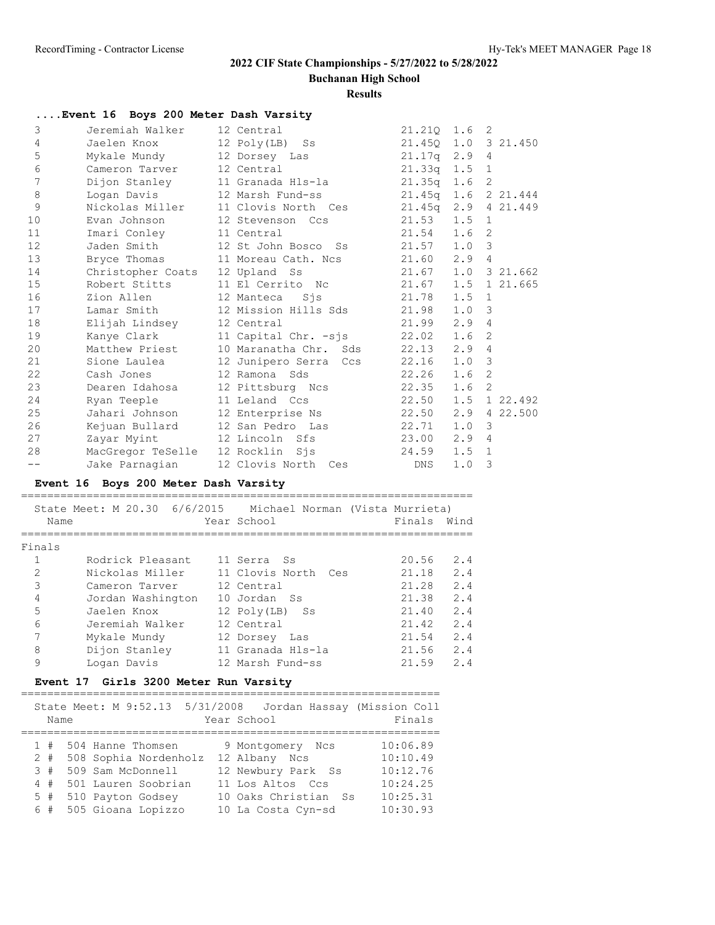**Buchanan High School**

**Results**

|    | Event 16 Boys 200 Meter Dash Varsity |                       |                    |                  |                            |
|----|--------------------------------------|-----------------------|--------------------|------------------|----------------------------|
| 3  | Jeremiah Walker                      | 12 Central            | 21.210 1.6 2       |                  |                            |
| 4  | Jaelen Knox                          | 12 Poly(LB) Ss        | 21.450             |                  | $1.0 \quad 3 \quad 21.450$ |
| 5  | Mykale Mundy                         | 12 Dorsey Las         | $21.17q$ $2.9$     |                  | 4                          |
| 6  | Cameron Tarver                       | 12 Central            | $21.33q$ $1.5$ 1   |                  |                            |
| 7  | Dijon Stanley                        | 11 Granada Hls-la     | 21.35q             | 1.6              | 2                          |
| 8  | Logan Davis                          | 12 Marsh Fund-ss      | 21.45 <sub>q</sub> |                  | 1.6 2 21.444               |
| 9  | Nickolas Miller                      | 11 Clovis North Ces   | 21.45a             | 2.9              | 4 21.449                   |
| 10 | Evan Johnson                         | 12 Stevenson Ccs      | 21.53              | 1.5              | $\mathbf{1}$               |
| 11 | Imari Conley                         | 11 Central            | 21.54              | 1.6 <sub>2</sub> |                            |
| 12 | Jaden Smith                          | 12 St John Bosco Ss   | 21.57              | 1.0              | 3                          |
| 13 | Bryce Thomas                         | 11 Moreau Cath, Ncs   | 21.60              | 2.9              | $\overline{4}$             |
| 14 | Christopher Coats                    | 12 Upland Ss          | 21.67              |                  | $1.0 \quad 3 \quad 21.662$ |
| 15 | Robert Stitts                        | 11 El Cerrito No      | 21.67              | 1.5              | 1 21.665                   |
| 16 | Zion Allen                           | 12 Manteca<br>Sis     | 21.78              | 1.5              | 1                          |
| 17 | Lamar Smith                          | 12 Mission Hills Sds  | 21.98              | $1.0 \quad 3$    |                            |
| 18 | Elijah Lindsey                       | 12 Central            | 21.99              | 2.9              | $\overline{4}$             |
| 19 | Kanye Clark                          | 11 Capital Chr. -sis  | 22.02              | 1.6              | $\mathcal{P}$              |
| 20 | Matthew Priest                       | 10 Maranatha Chr. Sds | 22.13              | 2.9              | $\overline{4}$             |
| 21 | Sione Laulea                         | 12 Junipero Serra Ccs | 22.16              | $1.0 \quad 3$    |                            |
| 22 | Cash Jones                           | 12 Ramona Sds         | 22.26              | 1.6              | $\overline{2}$             |
| 23 | Dearen Idahosa                       | 12 Pittsburg Ncs      | 22.35              | 1.6              | 2                          |
| 24 | Ryan Teeple                          | 11 Leland Ccs         | 22.50              |                  | $1.5$ 1 22.492             |
| 25 | Jahari Johnson                       | 12 Enterprise Ns      | 22.50              | 2.9              | 4 22.500                   |
| 26 | Kejuan Bullard                       | 12 San Pedro Las      | 22.71              | 1.0              | 3                          |
| 27 | Zayar Myint                          | 12 Lincoln Sfs        | 23.00              | 2.9              | $\overline{4}$             |
| 28 | MacGregor TeSelle                    | 12 Rocklin<br>Sis     | 24.59              | 1.5              | $\mathbf{1}$               |
|    | Jake Parnagian                       | 12 Clovis North Ces   | DNS                | 1.0              | 3                          |

### **Event 16 Boys 200 Meter Dash Varsity**

|        | State Meet: M 20.30 6/6/2015 | Michael Norman (Vista Murrieta) |        |      |
|--------|------------------------------|---------------------------------|--------|------|
| Name   |                              | Year School                     | Finals | Wind |
|        |                              |                                 |        |      |
| Finals |                              |                                 |        |      |
|        | Rodrick Pleasant             | 11 Serra Ss                     | 20.56  | 2.4  |
| 2      | Nickolas Miller              | 11 Clovis North<br>Ces          | 21.18  | 2.4  |
| 3      | Cameron Tarver               | 12 Central                      | 21.28  | 2.4  |
| 4      | Jordan Washington            | 10 Jordan Ss                    | 21.38  | 2.4  |
| 5      | Jaelen Knox                  | 12 Poly(LB)<br>Ss               | 21.40  | 2.4  |
| 6      | Jeremiah Walker              | 12 Central                      | 21.42  | 2.4  |
|        | Mykale Mundy                 | 12 Dorsey<br>Las                | 21.54  | 2.4  |
| 8      | Dijon Stanley                | 11 Granada Hls-la               | 21.56  | 2.4  |
| 9      | Logan Davis                  | 12 Marsh Fund-ss                | 21.59  | 2.4  |

### **Event 17 Girls 3200 Meter Run Varsity**

| Name  | State Meet: M 9:52.13 5/31/2008 | Jordan Hassay (Mission Coll<br>Year School | Finals   |
|-------|---------------------------------|--------------------------------------------|----------|
|       |                                 |                                            |          |
| 1#    | 504 Hanne Thomsen               | 9 Montgomery Ncs                           | 10:06.89 |
| $2 +$ | 508 Sophia Nordenholz           | 12 Albany Ncs                              | 10:10.49 |
| 3#    | 509 Sam McDonnell               | 12 Newbury Park Ss                         | 10:12.76 |
| 4#    | 501 Lauren Soobrian             | 11 Los Altos Ccs                           | 10:24.25 |
| $5$ # | 510 Payton Godsey               | 10 Oaks Christian Ss                       | 10:25.31 |
|       | 6 # 505 Gioana Lopizzo          | 10 La Costa Cyn-sd                         | 10:30.93 |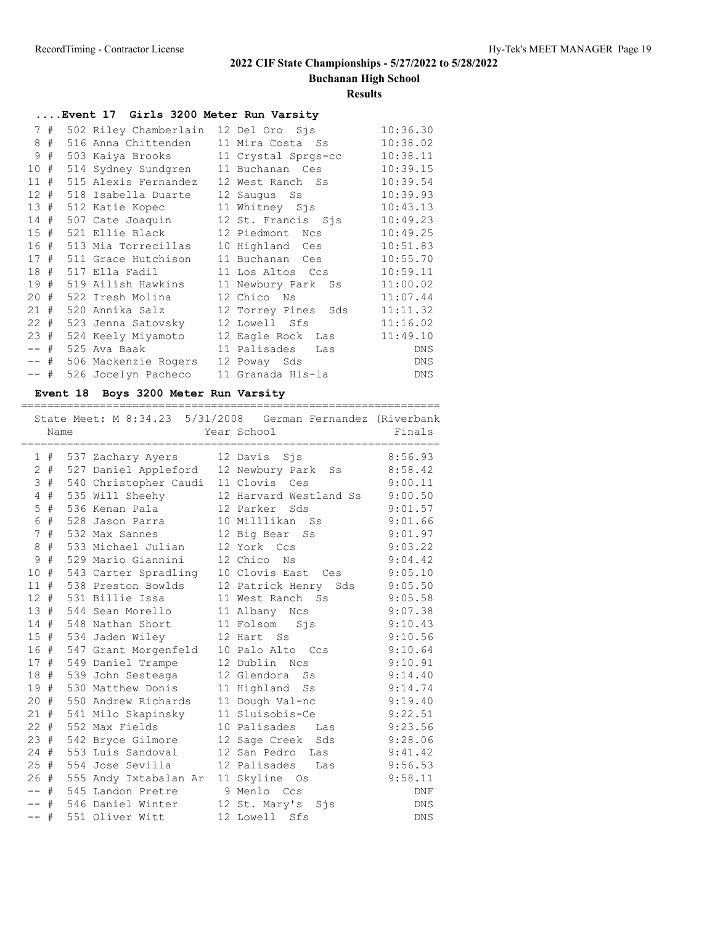**Buchanan High School**

#### **Results**

## **....Event 17 Girls 3200 Meter Run Varsity**

|                 | 7#     | 502 Riley Chamberlain    | 12 Del Oro Sjs      | 10:36.30   |
|-----------------|--------|--------------------------|---------------------|------------|
| 8               | #      | 516 Anna Chittenden      | 11 Mira Costa Ss    | 10:38.02   |
| 9               | #      | 503 Kaiya Brooks         | 11 Crystal Sprgs-cc | 10:38.11   |
| 10#             |        | 514 Sydney Sundgren      | 11 Buchanan Ces     | 10:39.15   |
| 11              | #      | 515 Alexis Fernandez     | 12 West Ranch Ss    | 10:39.54   |
| 12 <sup>7</sup> | #      | 518 Isabella Duarte      | 12 Saugus Ss        | 10:39.93   |
| 13#             |        | 512 Katie Kopec          | 11 Whitney Sjs      | 10:43.13   |
|                 | 14#    | 507 Cate Joaquin         | 12 St. Francis Sjs  | 10:49.23   |
|                 | 15#    | 521 Ellie Black          | 12 Piedmont Ncs     | 10:49.25   |
|                 |        | 16 # 513 Mia Torrecillas | 10 Highland Ces     | 10:51.83   |
|                 | 17#    | 511 Grace Hutchison      | 11 Buchanan Ces     | 10:55.70   |
| 18#             |        | 517 Ella Fadil           | 11 Los Altos Ccs    | 10:59.11   |
| 19#             |        | 519 Ailish Hawkins       | 11 Newbury Park Ss  | 11:00.02   |
| 20#             |        | 522 Iresh Molina         | 12 Chico Ns         | 11:07.44   |
| 21#             |        | 520 Annika Salz          | 12 Torrey Pines Sds | 11:11.32   |
|                 | $22 +$ | 523 Jenna Satovsky       | 12 Lowell Sfs       | 11:16.02   |
|                 | 23#    | 524 Keely Miyamoto       | 12 Eagle Rock Las   | 11:49.10   |
| -- #            |        | 525 Ava Baak             | 11 Palisades<br>Las | <b>DNS</b> |
|                 | -- #   | 506 Mackenzie Rogers     | 12 Poway Sds        | <b>DNS</b> |
| -- #            |        | 526 Jocelyn Pacheco      | 11 Granada Hls-la   | DNS        |
|                 |        |                          |                     |            |

### **Event 18 Boys 3200 Meter Run Varsity**

|                 | Name |                                         | State Meet: M 8:34.23 5/31/2008 German Fernandez (Riverbank<br>Year School | Finals     |
|-----------------|------|-----------------------------------------|----------------------------------------------------------------------------|------------|
|                 |      |                                         |                                                                            |            |
|                 | 1#   | 537 Zachary Ayers                       | 12 Davis Sjs                                                               | 8:56.93    |
| 2               | $\#$ | 527 Daniel Appleford 12 Newbury Park Ss |                                                                            | 8:58.42    |
| 3               | #    | 540 Christopher Caudi 11 Clovis         | Ces                                                                        | 9:00.11    |
| 4               | #    | 535 Will Sheehy                         | 12 Harvard Westland Ss                                                     | 9:00.50    |
| 5               | $\#$ | 536 Kenan Pala                          | 12 Parker<br>Sds                                                           | 9:01.57    |
| 6               | #    | 528 Jason Parra                         | 10 Milllikan Ss                                                            | 9:01.66    |
| $7\phantom{.0}$ | #    | 532 Max Sannes                          | 12 Big Bear<br>Ss                                                          | 9:01.97    |
| 8               | $\#$ | 533 Michael Julian                      | 12 York Ccs                                                                | 9:03.22    |
| 9               | $\#$ | 529 Mario Giannini                      | 12 Chico<br>Νs                                                             | 9:04.42    |
| 10              | #    | 543 Carter Spradling 10 Clovis East Ces |                                                                            | 9:05.10    |
| 11              | #    | 538 Preston Bowlds                      | 12 Patrick Henry<br>Sds                                                    | 9:05.50    |
| 12              | #    | 531 Billie Issa                         | 11 West Ranch Ss                                                           | 9:05.58    |
| 13              | #    | 544 Sean Morello                        | 11 Albany Ncs                                                              | 9:07.38    |
| 14              | #    | 548 Nathan Short                        | 11 Folsom Sjs                                                              | 9:10.43    |
| 15              | #    | 534 Jaden Wiley                         | 12 Hart Ss                                                                 | 9:10.56    |
| 16              | #    | 547 Grant Morgenfeld 10 Palo Alto Ccs   |                                                                            | 9:10.64    |
| 17#             |      | 549 Daniel Trampe                       | 12 Dublin<br>Ncs                                                           | 9:10.91    |
| 18              | #    | 539 John Sesteaga                       | 12 Glendora<br>Ss                                                          | 9:14.40    |
| 19              | #    | 530 Matthew Donis                       | 11 Highland<br>SS                                                          | 9:14.74    |
| 20              | #    | 550 Andrew Richards                     | 11 Dough Val-nc                                                            | 9:19.40    |
| 21              | #    | 541 Milo Skapinsky                      | 11 Sluisobis-Ce                                                            | 9:22.51    |
| $22 +$          |      | 552 Max Fields                          | 10 Palisades Las                                                           | 9:23.56    |
| 23              | #    | 542 Bryce Gilmore                       | 12 Sage Creek<br>Sds                                                       | 9:28.06    |
| 24              | #    | 553 Luis Sandoval                       | 12 San Pedro<br>Las                                                        | 9:41.42    |
| 25              | #    | 554 Jose Sevilla                        | 12 Palisades<br>Las                                                        | 9:56.53    |
| 26#             |      | 555 Andy Ixtabalan Ar 11 Skyline Os     |                                                                            | 9:58.11    |
| $- -$           | #    | 545 Landon Pretre                       | 9 Menlo Ccs                                                                | <b>DNF</b> |
| $- -$           | #    | 546 Daniel Winter 12 St. Mary's         | Sjs                                                                        | <b>DNS</b> |
| $- -$           | #    | 551 Oliver Witt                         | 12 Lowell<br>Sfs                                                           | <b>DNS</b> |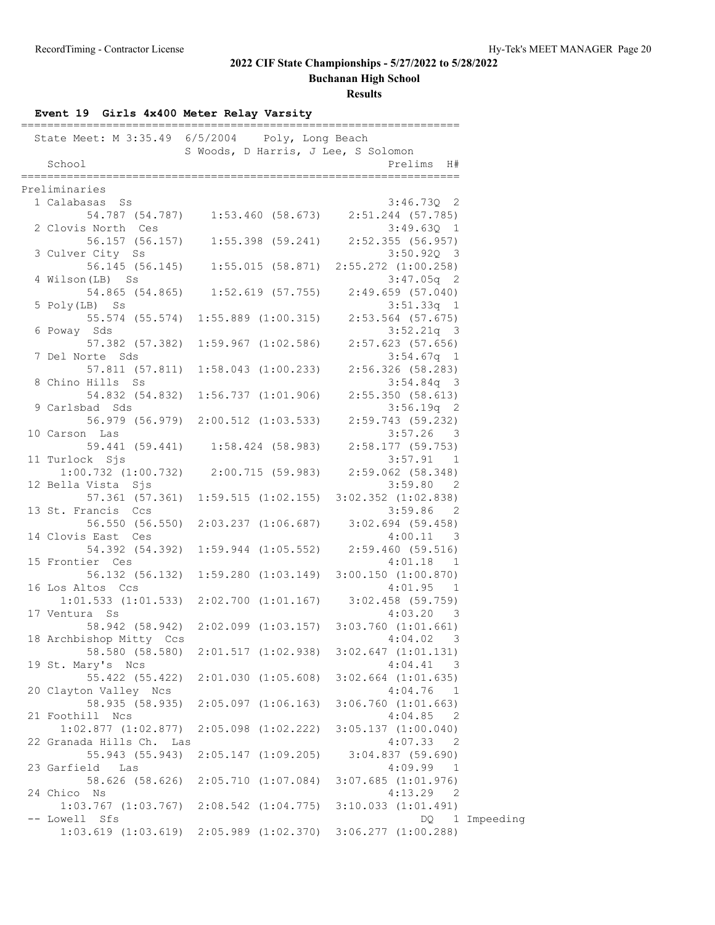**Buchanan High School**

| Event 19 Girls 4x400 Meter Relay Varsity      |                                     |                                                                     |
|-----------------------------------------------|-------------------------------------|---------------------------------------------------------------------|
| State Meet: M 3:35.49 6/5/2004                | Poly, Long Beach                    |                                                                     |
|                                               | S Woods, D Harris, J Lee, S Solomon |                                                                     |
| School<br>==================                  |                                     | Prelims H#                                                          |
| Preliminaries                                 |                                     |                                                                     |
| 1 Calabasas Ss                                |                                     | $3:46.730$ 2                                                        |
|                                               |                                     | 54.787 (54.787) 1:53.460 (58.673) 2:51.244 (57.785)                 |
| 2 Clovis North Ces                            |                                     | $3:49.63Q$ 1                                                        |
|                                               | 56.157 (56.157) 1:55.398 (59.241)   | $2:52.355$ (56.957)                                                 |
| 3 Culver City Ss                              |                                     | 3:50.920 3                                                          |
|                                               | 56.145 (56.145) 1:55.015 (58.871)   | 2:55.272 (1:00.258)                                                 |
| 4 Wilson (LB) Ss                              |                                     | $3:47.05q$ 2                                                        |
|                                               | 54.865 (54.865) 1:52.619 (57.755)   | 2:49.659 (57.040)                                                   |
| 5 Poly(LB) Ss                                 |                                     | $3:51.33q$ 1                                                        |
|                                               | 55.574 (55.574) 1:55.889 (1:00.315) | $2:53.564$ (57.675)                                                 |
| 6 Poway Sds                                   |                                     | $3:52.21q$ 3                                                        |
|                                               | 57.382 (57.382) 1:59.967 (1:02.586) | $2:57.623$ (57.656)                                                 |
| 7 Del Norte Sds                               |                                     | $3:54.67q$ 1                                                        |
|                                               | 57.811 (57.811) 1:58.043 (1:00.233) | 2:56.326 (58.283)                                                   |
| 8 Chino Hills Ss                              |                                     | $3:54.84q$ 3                                                        |
| 9 Carlsbad Sds                                | 54.832 (54.832) 1:56.737 (1:01.906) | 2:55.350(58.613)<br>$3:56.19q$ 2                                    |
|                                               | 56.979 (56.979) 2:00.512 (1:03.533) | 2:59.743 (59.232)                                                   |
| 10 Carson Las                                 |                                     | $3:57.26$ 3                                                         |
|                                               |                                     | 59.441 (59.441) 1:58.424 (58.983) 2:58.177 (59.753)                 |
| 11 Turlock Sjs                                |                                     | 3:57.91 1                                                           |
| $1:00.732$ $(1:00.732)$ $2:00.715$ $(59.983)$ |                                     | $2:59.062$ (58.348)                                                 |
| 12 Bella Vista Sjs                            |                                     | 3:59.80 2                                                           |
|                                               | 57.361 (57.361) 1:59.515 (1:02.155) | $3:02.352$ $(1:02.838)$                                             |
| 13 St. Francis Ccs                            |                                     | 3:59.86 2                                                           |
|                                               | 56.550 (56.550) 2:03.237 (1:06.687) | $3:02.694$ (59.458)                                                 |
| 14 Clovis East Ces                            |                                     | $4:00.11$ 3                                                         |
|                                               | 54.392 (54.392) 1:59.944 (1:05.552) | 2:59.460(59.516)                                                    |
| 15 Frontier Ces                               |                                     | $4:01.18$ 1                                                         |
|                                               | 56.132 (56.132) 1:59.280 (1:03.149) | 3:00.150(1:00.870)                                                  |
| 16 Los Altos Ccs                              |                                     | 4:01.95 1                                                           |
|                                               |                                     | $1:01.533$ $(1:01.533)$ $2:02.700$ $(1:01.167)$ $3:02.458$ (59.759) |
| 17 Ventura Ss                                 |                                     | 4:03.20 3                                                           |
|                                               |                                     | 58.942 (58.942) 2:02.099 (1:03.157) 3:03.760 (1:01.661)             |
| 18 Archbishop Mitty Ccs                       |                                     | 4:04.02<br>- 3                                                      |
| 58.580 (58.580)                               | 2:01.517(1:02.938)                  | $3:02.647$ $(1:01.131)$                                             |
| 19 St. Mary's Ncs                             |                                     | 4:04.41<br>$\overline{\phantom{a}}$                                 |
| 55.422 (55.422)                               | $2:01.030$ $(1:05.608)$             | $3:02.664$ $(1:01.635)$                                             |
| 20 Clayton Valley Ncs<br>58.935 (58.935)      |                                     | 4:04.76<br>$\overline{1}$                                           |
|                                               | $2:05.097$ $(1:06.163)$             | $3:06.760$ $(1:01.663)$<br>4:04.85 2                                |
| 21 Foothill Ncs<br>$1:02.877$ $(1:02.877)$    | $2:05.098$ $(1:02.222)$             | $3:05.137$ $(1:00.040)$                                             |
| 22 Granada Hills Ch. Las                      |                                     | 4:07.33 2                                                           |
| 55.943 (55.943)                               | $2:05.147$ $(1:09.205)$             | $3:04.837$ (59.690)                                                 |
| 23 Garfield Las                               |                                     | $4:09.99$ 1                                                         |
| 58.626 (58.626)                               | 2:05.710(1:07.084)                  | $3:07.685$ $(1:01.976)$                                             |
| 24 Chico Ns                                   |                                     | $4:13.29$ 2                                                         |
| $1:03.767$ $(1:03.767)$                       | $2:08.542$ $(1:04.775)$             | $3:10.033$ $(1:01.491)$                                             |
| -- Lowell Sfs                                 |                                     | 1 Impeeding<br>DQ.                                                  |
| $1:03.619$ $(1:03.619)$                       | $2:05.989$ $(1:02.370)$             | $3:06.277$ $(1:00.288)$                                             |
|                                               |                                     |                                                                     |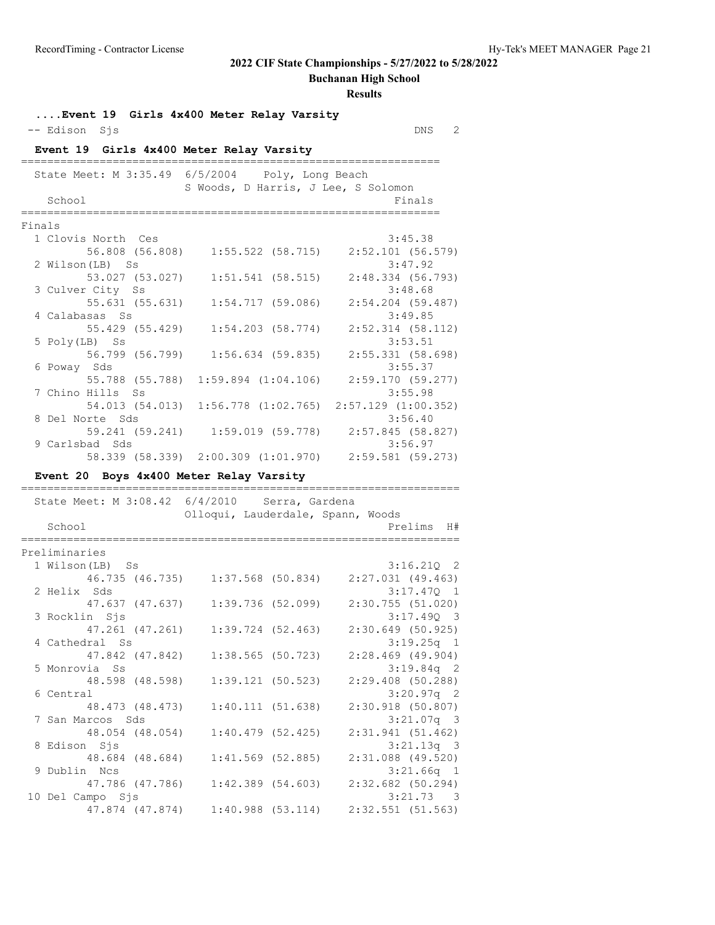**Buchanan High School**

| -- Edison Sjs                            | Event 19 Girls 4x400 Meter Relay Varsity                | DNS<br>$\overline{2}$            |
|------------------------------------------|---------------------------------------------------------|----------------------------------|
| Event 19 Girls 4x400 Meter Relay Varsity |                                                         |                                  |
| State Meet: M 3:35.49                    | 6/5/2004<br>Poly, Long Beach                            |                                  |
|                                          | S Woods, D Harris, J Lee, S Solomon                     |                                  |
| School                                   |                                                         | Finals                           |
|                                          |                                                         |                                  |
| Finals                                   |                                                         |                                  |
| 1 Clovis North Ces                       |                                                         | 3:45.38                          |
| 56.808 (56.808)                          | $1:55.522$ (58.715)                                     | $2:52.101$ (56.579)              |
| 2 Wilson(LB) Ss                          |                                                         | 3:47.92                          |
| 53.027 (53.027)                          | $1:51.541$ (58.515)                                     | 2:48.334 (56.793)                |
| 3 Culver City Ss                         |                                                         | 3:48.68                          |
| 55.631 (55.631)                          | 1:54.717(59.086)                                        | $2:54.204$ (59.487)              |
| 4 Calabasas Ss                           |                                                         | 3:49.85                          |
| 55.429 (55.429)                          | $1:54.203$ (58.774)                                     | $2:52.314$ (58.112)              |
| 5 Poly(LB) Ss                            |                                                         | 3:53.51                          |
| 56.799 (56.799)                          | $1:56.634$ (59.835)                                     | 2:55.331 (58.698)                |
| 6 Poway Sds                              |                                                         | 3:55.37                          |
| 55.788 (55.788)                          | $1:59.894$ $(1:04.106)$                                 | 2:59.170(59.277)                 |
| 7 Chino Hills Ss                         |                                                         | 3:55.98                          |
|                                          | 54.013 (54.013) 1:56.778 (1:02.765) 2:57.129 (1:00.352) |                                  |
| 8 Del Norte Sds                          |                                                         | 3:56.40                          |
|                                          | 59.241 (59.241) 1:59.019 (59.778)                       | 2:57.845 (58.827)                |
| 9 Carlsbad Sds                           |                                                         | 3:56.97                          |
|                                          | 58.339 (58.339) 2:00.309 (1:01.970)                     | $2:59.581$ (59.273)              |
| Event 20 Boys 4x400 Meter Relay Varsity  |                                                         |                                  |
|                                          |                                                         |                                  |
| State Meet: M 3:08.42 6/4/2010           | Serra, Gardena                                          |                                  |
|                                          | Olloqui, Lauderdale, Spann, Woods                       |                                  |
| School                                   |                                                         | Prelims<br>H#                    |
| Preliminaries                            |                                                         |                                  |
| 1 Wilson (LB) Ss                         |                                                         | $3:16.210$ 2                     |
|                                          | 46.735 (46.735) 1:37.568 (50.834)                       | $2:27.031$ (49.463)              |
| 2 Helix Sds                              |                                                         | 3:17.470 1                       |
| 47.637 (47.637)                          | 1:39.736(52.099)                                        | 2:30.755(51.020)                 |
| 3 Rocklin Sjs                            |                                                         | 3:17.490 3                       |
| 47.261 (47.261)                          | $1:39.724$ (52.463)                                     | 2:30.649 (50.925)                |
| 4 Cathedral Ss                           |                                                         | $3:19.25q$ 1                     |
| 47.842 (47.842)                          | 1:38.565 (50.723)                                       | $2:28.469$ (49.904)              |
| 5 Monrovia Ss                            |                                                         | $3:19.84q$ 2                     |
| 48.598 (48.598)                          | 1:39.121(50.523)                                        | $2:29.408$ (50.288)              |
| 6 Central                                |                                                         |                                  |
|                                          |                                                         |                                  |
|                                          |                                                         | $3:20.97q$ 2                     |
| 48.473 (48.473)                          | 1:40.111(51.638)                                        | 2:30.918 (50.807)                |
| 7 San Marcos Sds                         |                                                         | $3:21.07q$ 3                     |
| 48.054 (48.054)                          | 1:40.479(52.425)                                        | 2:31.941(51.462)                 |
| 8 Edison Sjs                             |                                                         | $3:21.13q$ 3                     |
| 48.684 (48.684)                          | $1:41.569$ (52.885)                                     | 2:31.088 (49.520)                |
| 9 Dublin Ncs                             |                                                         | $3:21.66q$ 1                     |
| 47.786 (47.786)                          | $1:42.389$ $(54.603)$                                   | 2:32.682 (50.294)                |
| 10 Del Campo Sjs<br>47.874 (47.874)      | 1:40.988(53.114)                                        | 3:21.73 3<br>$2:32.551$ (51.563) |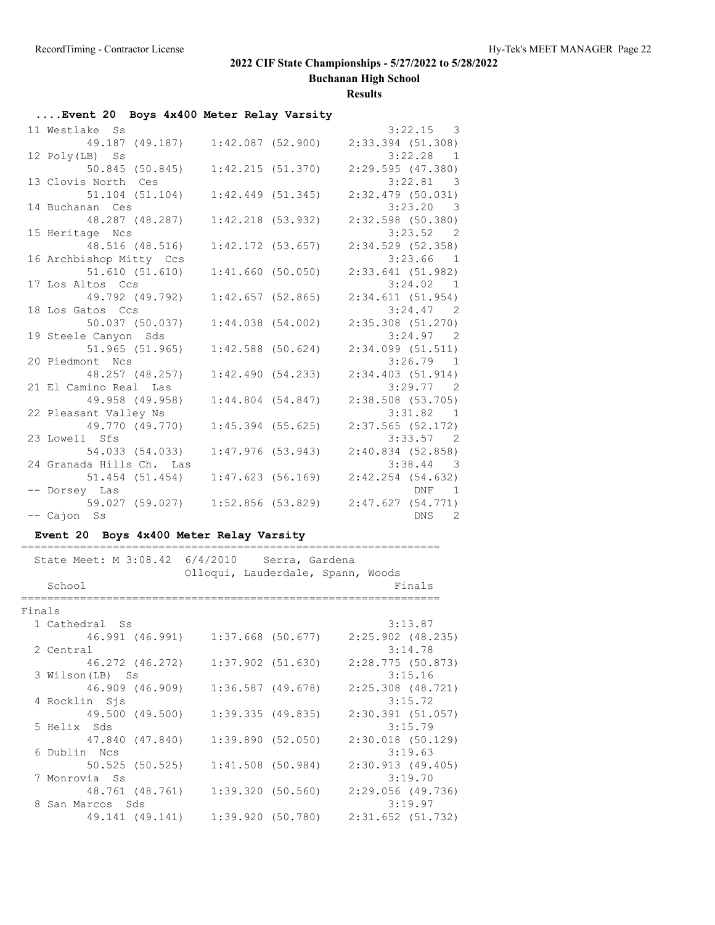**Buchanan High School**

#### **Results**

## **....Event 20 Boys 4x400 Meter Relay Varsity**

| 11 Westlake Ss                    |                  |                       | $3:22.15$ 3           |
|-----------------------------------|------------------|-----------------------|-----------------------|
| 49.187 (49.187) 1:42.087 (52.900) |                  |                       | $2:33.394$ (51.308)   |
| 12 Poly(LB) Ss                    |                  |                       | $3:22.28$ 1           |
| 50.845 (50.845)                   |                  | 1:42.215(51.370)      | $2:29.595$ $(47.380)$ |
| 13 Clovis North Ces               |                  |                       | 3:22.81 3             |
| 51.104 (51.104)                   | 1:42.449(51.345) |                       | $2:32.479$ (50.031)   |
| 14 Buchanan Ces                   |                  |                       | $3:23.20$ 3           |
| 48.287 (48.287)                   |                  | $1:42.218$ (53.932)   | $2:32.598$ (50.380)   |
| 15 Heritage Ncs                   |                  |                       | 3:23.52 2             |
| 48.516 (48.516)                   |                  | $1:42.172$ (53.657)   | 2:34.529(52.358)      |
| 16 Archbishop Mitty Ccs           |                  |                       | $3:23.66$ 1           |
| 51.610(51.610)                    |                  | 1:41.660(50.050)      | 2:33.641(51.982)      |
| 17 Los Altos Ccs                  |                  |                       | 3:24.02 1             |
| 49.792 (49.792)                   |                  | 1:42.657(52.865)      | 2:34.611(51.954)      |
| 18 Los Gatos Ccs                  |                  |                       | $3:24.47$ 2           |
| 50.037 (50.037)                   |                  | 1:44.038(54.002)      | $2:35.308$ $(51.270)$ |
| 19 Steele Canyon Sds              |                  |                       | $3:24.97$ 2           |
| $51.965$ $(51.965)$               |                  | $1:42.588$ (50.624)   | $2:34.099$ $(51.511)$ |
| 20 Piedmont Ncs                   |                  |                       | $3:26.79$ 1           |
| 48.257 (48.257)                   |                  | 1:42.490(54.233)      | 2:34.403(51.914)      |
| 21 El Camino Real Las             |                  |                       | $3:29.77$ 2           |
| 49.958 (49.958)                   |                  | $1:44.804$ $(54.847)$ | $2:38.508$ (53.705)   |
| 22 Pleasant Valley Ns             |                  |                       | 3:31.82 1             |
| 49.770 (49.770)                   |                  | $1:45.394$ (55.625)   | $2:37.565$ (52.172)   |
| 23 Lowell Sfs                     |                  |                       | $3:33.57$ 2           |
| 54.033 (54.033)                   |                  | 1:47.976(53.943)      | 2:40.834(52.858)      |
| 24 Granada Hills Ch. Las          |                  |                       | $3:38.44$ 3           |
| 51.454 (51.454)                   |                  | 1:47.623(56.169)      | $2:42.254$ (54.632)   |
| -- Dorsey Las                     |                  |                       | DNF 1                 |
| 59.027 (59.027) 1:52.856 (53.829) |                  |                       | 2:47.627(54.771)      |
| -- Cajon Ss                       |                  |                       | DNS <sub>2</sub>      |

#### **Event 20 Boys 4x400 Meter Relay Varsity**

|        | State Meet: M 3:08.42 6/4/2010 Serra, Gardena |                                   |                   | Olloqui, Lauderdale, Spann, Woods |                       |
|--------|-----------------------------------------------|-----------------------------------|-------------------|-----------------------------------|-----------------------|
|        | School                                        |                                   |                   |                                   | Finals                |
|        |                                               |                                   |                   |                                   |                       |
| Finals |                                               |                                   |                   |                                   |                       |
|        | 1 Cathedral Ss                                |                                   |                   |                                   | 3:13.87               |
|        |                                               | 46.991 (46.991) 1:37.668 (50.677) |                   |                                   | $2:25.902$ (48.235)   |
|        | 2 Central                                     |                                   |                   |                                   | 3:14.78               |
|        |                                               | 46.272 (46.272) 1:37.902 (51.630) |                   |                                   | 2:28.775(50.873)      |
|        | 3 Wilson (LB) Ss                              |                                   |                   |                                   | 3:15.16               |
|        |                                               | 46.909 (46.909) 1:36.587 (49.678) |                   |                                   | $2:25.308$ $(48.721)$ |
|        | 4 Rocklin Sjs                                 |                                   |                   |                                   | 3:15.72               |
|        | 49.500 (49.500)                               |                                   | 1:39.335 (49.835) |                                   | 2:30.391(51.057)      |
|        | 5 Helix Sds                                   |                                   |                   |                                   | 3:15.79               |
|        |                                               |                                   |                   |                                   | $2:30.018$ (50.129)   |
|        | 6 Dublin Ncs                                  |                                   |                   |                                   | 3:19.63               |
|        |                                               | 50.525 (50.525) 1:41.508 (50.984) |                   |                                   | 2:30.913(49.405)      |
|        | 7 Monrovia Ss                                 |                                   |                   |                                   | 3:19.70               |
|        |                                               | 48.761 (48.761) 1:39.320 (50.560) |                   |                                   | 2:29.056 (49.736)     |
|        | 8 San Marcos Sds                              |                                   |                   |                                   | 3:19.97               |
|        |                                               | 49.141 (49.141) 1:39.920 (50.780) |                   |                                   | $2:31.652$ (51.732)   |

================================================================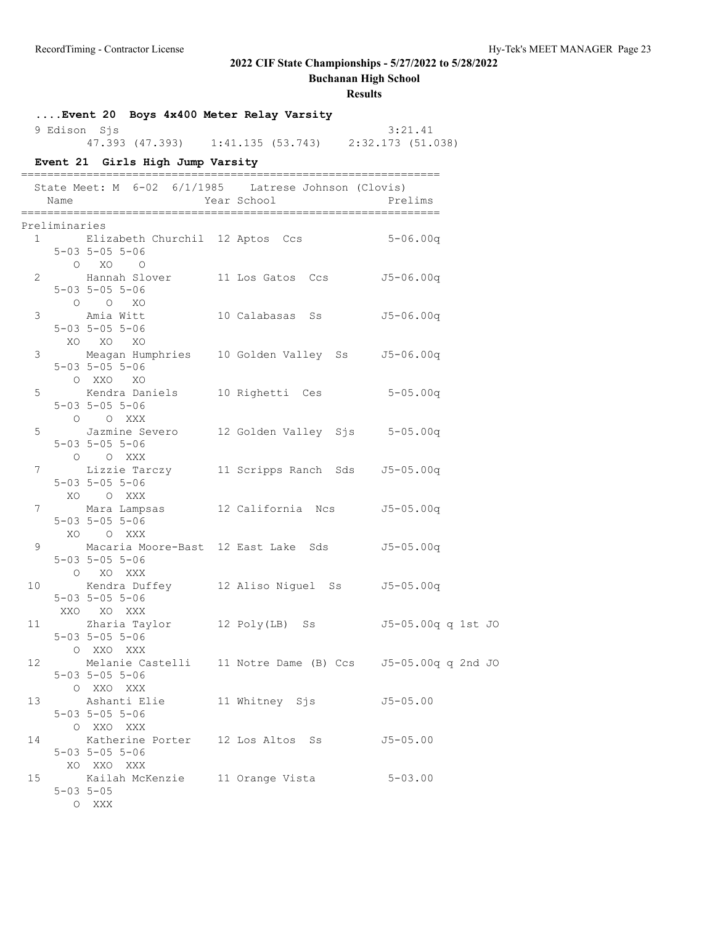**Buchanan High School**

|                |                | 9 Edison Sjs                                          | Event 20 Boys 4x400 Meter Relay Varsity              |  |                | 3:21.41<br>47.393 (47.393) 1:41.135 (53.743) 2:32.173 (51.038) |  |
|----------------|----------------|-------------------------------------------------------|------------------------------------------------------|--|----------------|----------------------------------------------------------------|--|
|                |                |                                                       | Event 21 Girls High Jump Varsity                     |  |                |                                                                |  |
|                | Name           |                                                       | State Meet: M 6-02 6/1/1985 Latrese Johnson (Clovis) |  | Year School    | Prelims                                                        |  |
|                | Preliminaries  |                                                       |                                                      |  |                |                                                                |  |
|                |                | $5 - 03$ $5 - 05$ $5 - 06$<br>O XO O                  |                                                      |  |                | 1 Elizabeth Churchil 12 Aptos Ccs 5-06.00q                     |  |
| $\overline{2}$ |                | $5 - 03$ $5 - 05$ $5 - 06$<br>$O$ $O$ $XO$            |                                                      |  |                | Hannah Slover 11 Los Gatos Ccs 55-06.00q                       |  |
|                |                | $5 - 03$ $5 - 05$ $5 - 06$<br>XO XO XO                |                                                      |  |                | 3 Amia Witt 10 Calabasas Ss 55-06.00q                          |  |
| 3 <sup>7</sup> |                | $5 - 03$ $5 - 05$ $5 - 06$<br>O XXO XO                |                                                      |  |                | Meagan Humphries 10 Golden Valley Ss 55-06.00q                 |  |
|                |                | $5 - 03$ $5 - 05$ $5 - 06$<br>O O XXX                 |                                                      |  |                | 5 Kendra Daniels 10 Righetti Ces 5-05.00q                      |  |
| 5              |                | $5 - 03$ $5 - 05$ $5 - 06$<br>O O XXX                 |                                                      |  |                | Jazmine Severo 12 Golden Valley Sjs 5-05.00q                   |  |
|                |                | $5 - 03$ $5 - 05$ $5 - 06$<br>XO O XXX                |                                                      |  |                | 7 Lizzie Tarczy 11 Scripps Ranch Sds 55-05.00q                 |  |
| 7              |                | $5 - 03$ $5 - 05$ $5 - 06$<br>XO O XXX                |                                                      |  |                |                                                                |  |
|                | $9 \quad \Box$ | $5 - 03$ $5 - 05$ $5 - 06$<br>O XO XXX                |                                                      |  |                | Macaria Moore-Bast 12 East Lake Sds 55-05.00q                  |  |
| 10             |                | $5 - 03$ $5 - 05$ $5 - 06$<br>XXO XO XXX              |                                                      |  |                | Kendra Duffey 12 Aliso Niguel Ss 55-05.00q                     |  |
|                |                | 11 Zharia Taylor<br>$5-03$ $5-05$ $5-06$<br>O XXO XXX |                                                      |  | 12 Poly(LB) Ss | J5-05.00q q 1st JO                                             |  |
| 12             |                | $5 - 03$ $5 - 05$ $5 - 06$<br>O XXO XXX               |                                                      |  |                | Melanie Castelli 11 Notre Dame (B) Ccs 55-05.00q q 2nd JO      |  |
|                |                | $5 - 03$ $5 - 05$ $5 - 06$<br>O XXO XXX               | 13 Ashanti Elie                                      |  |                | 11 Whitney Sjs 55-05.00                                        |  |
| 14             |                | $5 - 03$ $5 - 05$ $5 - 06$<br>XO XXO XXX              |                                                      |  |                | Katherine Porter 12 Los Altos Ss 55-05.00                      |  |
|                |                | $5 - 03$ $5 - 05$<br>O XXX                            | 15 Kailah McKenzie 11 Orange Vista                   |  |                | $5 - 03.00$                                                    |  |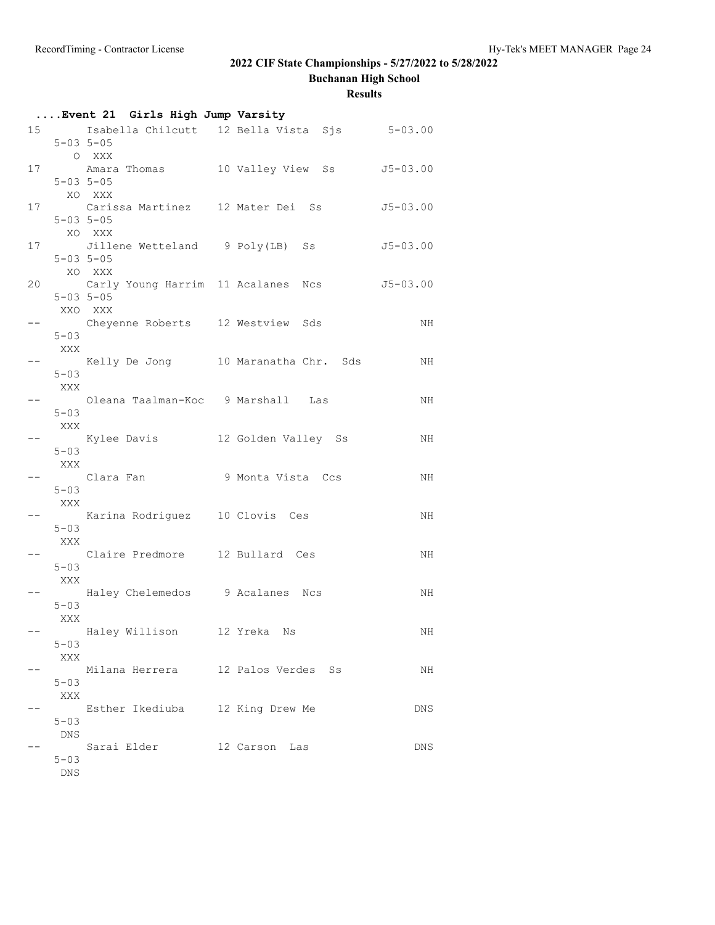**Buchanan High School**

|    |                   | Event 21 Girls High Jump Varsity                                  |                                                          |              |
|----|-------------------|-------------------------------------------------------------------|----------------------------------------------------------|--------------|
|    |                   | $5 - 03$ $5 - 05$                                                 | 15 15-03.00 Isabella Chilcutt 12 Bella Vista Sjs 5-03.00 |              |
|    |                   | O XXX                                                             | 17 Manara Thomas 10 Valley View Ss 5-03.00               |              |
| 17 |                   | $5 - 03$ $5 - 05$<br>XO XXX<br>Carissa Martinez 12 Mater Dei Ss   |                                                          | $J5 - 03.00$ |
|    |                   | $5 - 03$ $5 - 05$<br>XO XXX                                       |                                                          |              |
|    | $5 - 03$ $5 - 05$ | 17 Jillene Wetteland 9 Poly(LB) Ss                                |                                                          | $J5 - 03.00$ |
| 20 |                   | XO XXX<br>Carly Young Harrim 11 Acalanes Ncs<br>$5 - 03$ $5 - 05$ |                                                          | $J5 - 03.00$ |
|    | XXO XXX           | Cheyenne Roberts 12 Westview Sds                                  |                                                          | NH           |
|    | $5 - 03$<br>XXX   |                                                                   |                                                          |              |
|    | $5 - 03$<br>XXX   |                                                                   | Kelly De Jong 10 Maranatha Chr. Sds                      | NH           |
|    | $5 - 03$          | Oleana Taalman-Koc 9 Marshall Las                                 |                                                          | NH           |
|    | XXX               | Kylee Davis 12 Golden Valley Ss                                   |                                                          | NH           |
|    | $5 - 03$<br>XXX   | Clara Fan 19 Monta Vista Ccs                                      |                                                          | NH           |
|    | $5 - 03$<br>XXX   |                                                                   |                                                          |              |
|    | $5 - 03$          | Karina Rodriguez 10 Clovis Ces                                    |                                                          | NH           |
|    | XXX<br>$5 - 03$   | Claire Predmore 12 Bullard Ces                                    |                                                          | NH           |
|    | XXX               | Haley Chelemedos 9 Acalanes Ncs                                   |                                                          | NH           |
|    | $5 - 03$<br>XXX   | Haley Willison       12 Yreka   Ns                                |                                                          | ΝH           |
|    | $5 - 03$<br>XXX   |                                                                   |                                                          |              |
|    | $5 - 03$          | Milana Herrera 12 Palos Verdes Ss                                 |                                                          | NH           |
|    | XXX<br>$5 - 03$   | Esther Ikediuba 12 King Drew Me                                   |                                                          | DNS          |
|    | DNS               | Sarai Elder                                                       | 12 Carson Las                                            | DNS.         |
|    | $5 - 03$<br>DNS   |                                                                   |                                                          |              |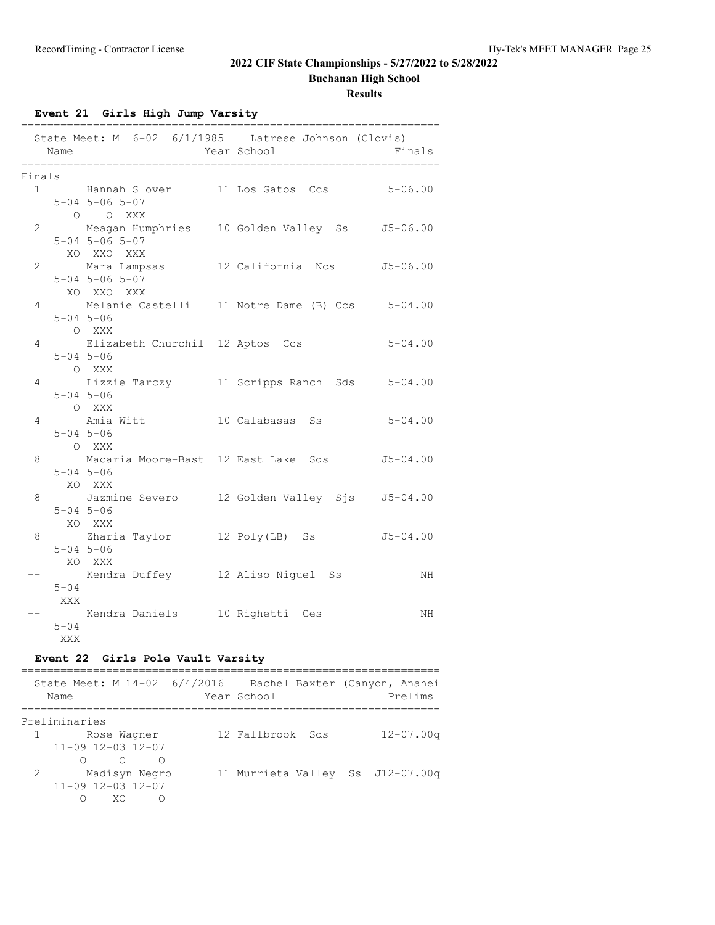**Buchanan High School**

**Results**

**Event 21 Girls High Jump Varsity**

|                | Name     | ---------------<br>State Meet: M 6-02 6/1/1985 Latrese Johnson (Clovis) | Year School | ===========<br>Finals |
|----------------|----------|-------------------------------------------------------------------------|-------------|-----------------------|
| Finals         |          |                                                                         |             |                       |
| $\mathbf{1}$   |          | Hannah Slover 11 Los Gatos Ccs 5-06.00                                  |             |                       |
|                |          | $5 - 04$ $5 - 06$ $5 - 07$                                              |             |                       |
|                |          | O O XXX                                                                 |             |                       |
| $\overline{2}$ |          | Meagan Humphries 10 Golden Valley Ss J5-06.00                           |             |                       |
|                |          | $5 - 04$ $5 - 06$ $5 - 07$                                              |             |                       |
|                |          | XO XXO XXX                                                              |             |                       |
| $\overline{c}$ |          | Mara Lampsas 12 California Ncs 55-06.00                                 |             |                       |
|                |          | $5 - 04$ $5 - 06$ $5 - 07$                                              |             |                       |
|                |          | XO XXO XXX                                                              |             |                       |
| 4              |          | Melanie Castelli 11 Notre Dame (B) Ccs 5-04.00                          |             |                       |
|                |          | $5 - 04$ $5 - 06$                                                       |             |                       |
|                |          | O XXX                                                                   |             |                       |
| 4              |          | Elizabeth Churchil 12 Aptos Ccs                                         |             | $5 - 04.00$           |
|                |          | $5 - 04$ $5 - 06$                                                       |             |                       |
|                |          | O XXX                                                                   |             |                       |
| 4              |          | Lizzie Tarczy 11 Scripps Ranch Sds 5-04.00                              |             |                       |
|                |          | $5 - 04$ $5 - 06$                                                       |             |                       |
|                |          | O XXX                                                                   |             |                       |
| 4              |          | Amia Witt 10 Calabasas Ss                                               |             | $5 - 04.00$           |
|                |          | $5 - 04$ $5 - 06$                                                       |             |                       |
|                |          | O XXX                                                                   |             |                       |
| 8              |          | Macaria Moore-Bast 12 East Lake Sds 55-04.00                            |             |                       |
|                |          | $5 - 04$ $5 - 06$                                                       |             |                       |
|                |          | XO XXX                                                                  |             |                       |
| 8              |          | Jazmine Severo 12 Golden Valley Sjs 55-04.00                            |             |                       |
|                |          | $5 - 04$ $5 - 06$                                                       |             |                       |
|                |          | XO XXX                                                                  |             |                       |
| 8              |          | Zharia Taylor 12 Poly(LB) Ss                                            |             | $J5 - 04.00$          |
|                |          | $5 - 04$ $5 - 06$                                                       |             |                       |
|                |          | XO XXX                                                                  |             |                       |
|                |          | Kendra Duffey        12 Aliso Niguel  Ss                                |             | NH                    |
|                | $5 - 04$ |                                                                         |             |                       |
|                | XXX      |                                                                         |             |                       |
|                |          | Kendra Daniels 10 Righetti Ces                                          |             | NH                    |
|                | $5 - 04$ |                                                                         |             |                       |
|                | XXX      |                                                                         |             |                       |
|                |          | Event 22 Girls Pole Vault Varsity                                       |             |                       |

| State Meet: M 14-02 6/4/2016 Rachel Baxter (Canyon, Anahei<br>Name | Year School                      | Prelims       |
|--------------------------------------------------------------------|----------------------------------|---------------|
| Preliminaries                                                      |                                  |               |
| 1 Rose Wagner                                                      | 12 Fallbrook Sds                 | $12 - 07.00q$ |
| $11 - 09$ $12 - 03$ $12 - 07$                                      |                                  |               |
| $\circ$                                                            |                                  |               |
| $2^{\circ}$<br>Madisyn Negro                                       | 11 Murrieta Valley Ss J12-07.00g |               |
| $11 - 09$ $12 - 03$ $12 - 07$                                      |                                  |               |
| XO                                                                 |                                  |               |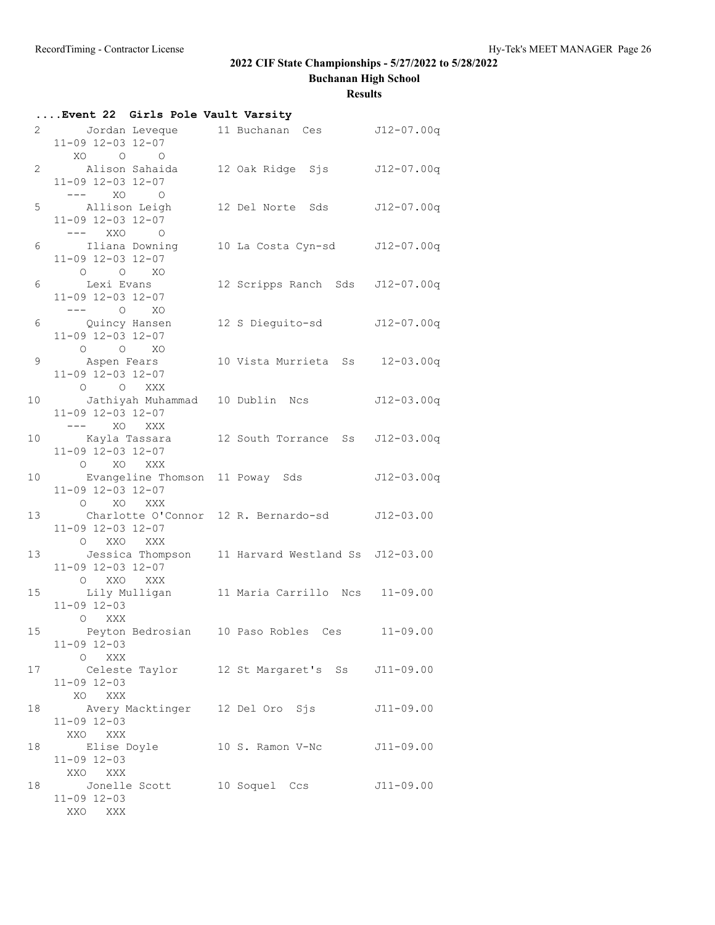**Buchanan High School**

|    | Event 22 Girls Pole Vault Varsity                                                      |                                 |             |
|----|----------------------------------------------------------------------------------------|---------------------------------|-------------|
|    | 2 Jordan Leveque 11 Buchanan Ces J12-07.00q<br>11-09 12-03 12-07<br>XO O O             |                                 |             |
|    | 2 Alison Sahaida 12 Oak Ridge Sjs 512-07.00q<br>11-09 12-03 12-07<br>$---$ XO O        |                                 |             |
|    | 5 Allison Leigh<br>11-09 12-03 12-07<br>$---$ XXO O                                    | 12 Del Norte Sds J12-07.00q     |             |
|    | 6 Iliana Downing 10 La Costa Cyn-sd J12-07.00q<br>11-09 12-03 12-07<br>$O$ $O$ $XO$    |                                 |             |
| 6  | Lexi Evans<br>11-09 12-03 12-07                                                        | 12 Scripps Ranch Sds J12-07.00q |             |
|    | $--- 0  X0$<br>6 Quincy Hansen<br>11-09 12-03 12-07<br>$O$ $O$ $XO$                    | 12 S Dieguito-sd J12-07.00q     |             |
|    | 9 Aspen Fears<br>11-09 12-03 12-07                                                     | 10 Vista Murrieta Ss 12-03.00q  |             |
|    | O O XXX<br>10 Jathiyah Muhammad 10 Dublin Ncs J12-03.00q<br>11-09 12-03 12-07          |                                 |             |
|    | $---$ XO XXX<br>10 Kayla Tassara 12 South Torrance Ss J12-03.00q<br>11-09 12-03 12-07  |                                 |             |
|    | O XO XXX<br>10 Evangeline Thomson 11 Poway Sds 512-03.00q<br>11-09 12-03 12-07         |                                 |             |
|    | O XO XXX<br>13 Charlotte O'Connor 12 R. Bernardo-sd J12-03.00<br>11-09 12-03 12-07     |                                 |             |
|    | O XXO XXX<br>13 Jessica Thompson 11 Harvard Westland Ss J12-03.00<br>11-09 12-03 12-07 |                                 |             |
|    | O XXO XXX<br>15 Lily Mulligan 11 Maria Carrillo Ncs 11-09.00<br>$11 - 09$ $12 - 03$    |                                 |             |
|    | O XXX<br>15 Peyton Bedrosian 10 Paso Robles Ces 11-09.00<br>$11 - 09$ $12 - 03$        |                                 |             |
|    | O XXX<br>17 Celeste Taylor 12 St Margaret's Ss J11-09.00<br>$11 - 09$ $12 - 03$        |                                 |             |
|    | XO XXX<br>18 Marktinger 12 Del Oro Sjs J11-09.00<br>$11 - 09$ $12 - 03$                |                                 |             |
| 18 | XXO XXX<br>Elise Doyle 10 S. Ramon V-Nc J11-09.00<br>$11 - 09$ $12 - 03$               |                                 |             |
| 18 | XXO XXX<br>Jonelle Scott 10 Soquel Ccs<br>$11 - 09$ $12 - 03$<br>XXO XXX               |                                 | $J11-09.00$ |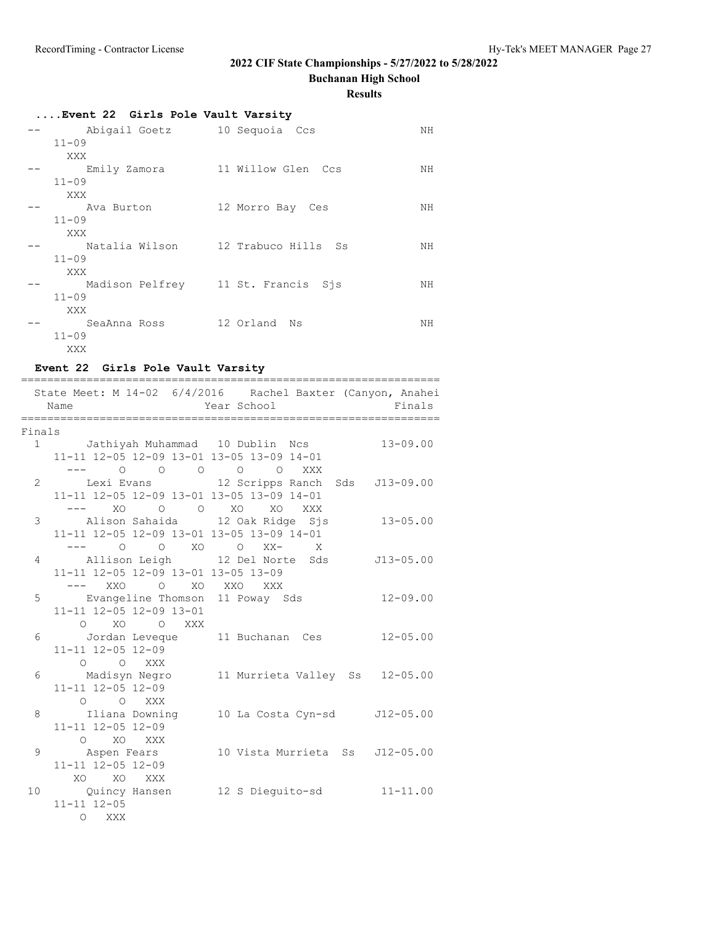**Buchanan High School**

**Results**

| Event 22 Girls Pole Vault Varsity |                                    |    |
|-----------------------------------|------------------------------------|----|
| Abigail Goetz 10 Sequoia Ccs      |                                    | NH |
| $11 - 09$                         |                                    |    |
| XXX                               |                                    |    |
| Emily Zamora                      | 11 Willow Glen Ccs                 | NH |
| $11 - 09$                         |                                    |    |
| XXX                               |                                    |    |
| Ava Burton                        | 12 Morro Bay Ces                   | NH |
| $11 - 09$                         |                                    |    |
| XXX                               |                                    |    |
| Natalia Wilson                    | 12 Trabuco Hills Ss                | NH |
| $11 - 09$                         |                                    |    |
| XXX                               |                                    |    |
|                                   | Madison Pelfrey 11 St. Francis Sjs | NH |
| $11 - 09$                         |                                    |    |
| XXX                               |                                    |    |
| SeaAnna Ross                      | 12 Orland Ns                       | NΗ |
| $11 - 09$                         |                                    |    |
| XXX                               |                                    |    |

### **Event 22 Girls Pole Vault Varsity**

|        | Name<br>_____________________                       | State Meet: M 14-02 6/4/2016 Rachel Baxter (Canyon, Anahei<br>Year School<br>.__________________________ | Finals       |
|--------|-----------------------------------------------------|----------------------------------------------------------------------------------------------------------|--------------|
| Finals |                                                     |                                                                                                          |              |
|        |                                                     | 1 Jathiyah Muhammad 10 Dublin Ncs                                                                        | $13 - 09.00$ |
|        | 11-11 12-05 12-09 13-01 13-05 13-09 14-01           |                                                                                                          |              |
|        | --- 0 0 0 0 0 XXX                                   |                                                                                                          |              |
|        |                                                     | 2 Lexi Evans 12 Scripps Ranch Sds J13-09.00                                                              |              |
|        | 11-11 12-05 12-09 13-01 13-05 13-09 14-01           |                                                                                                          |              |
|        | --- XO O O XO XO XXX                                |                                                                                                          |              |
|        |                                                     | 3 Alison Sahaida 12 Oak Ridge Sjs 13-05.00                                                               |              |
|        | 11-11 12-05 12-09 13-01 13-05 13-09 14-01           |                                                                                                          |              |
|        | --- 0 0 XO 0 XX- X                                  |                                                                                                          |              |
| 4      |                                                     | Allison Leigh 12 Del Norte Sds J13-05.00                                                                 |              |
|        | 11-11 12-05 12-09 13-01 13-05 13-09                 |                                                                                                          |              |
|        | --- XXO O XO XXO XXX                                |                                                                                                          |              |
|        |                                                     | 5 Evangeline Thomson 11 Poway Sds 12-09.00                                                               |              |
|        | 11-11 12-05 12-09 13-01                             |                                                                                                          |              |
|        | O XO O XXX                                          |                                                                                                          |              |
| 6      | Jordan Leveque 11 Buchanan Ces<br>11-11 12-05 12-09 |                                                                                                          | $12 - 05.00$ |
|        | O O XXX                                             |                                                                                                          |              |
|        |                                                     | 6 Madisyn Negro 11 Murrieta Valley Ss 12-05.00                                                           |              |
|        | $11 - 11$ $12 - 05$ $12 - 09$                       |                                                                                                          |              |
|        | O O XXX                                             |                                                                                                          |              |
| 8      |                                                     | Iliana Downing 10 La Costa Cyn-sd J12-05.00                                                              |              |
|        | 11-11 12-05 12-09                                   |                                                                                                          |              |
|        | O XO XXX                                            |                                                                                                          |              |
| 9      | Aspen Fears                                         | 10 Vista Murrieta Ss J12-05.00                                                                           |              |
|        | 11-11 12-05 12-09                                   |                                                                                                          |              |
|        | XO XO XXX                                           |                                                                                                          |              |
|        |                                                     | 10 Quincy Hansen 12 S Dieguito-sd 11-11.00                                                               |              |
|        | $11 - 11$ $12 - 05$                                 |                                                                                                          |              |
|        | O XXX                                               |                                                                                                          |              |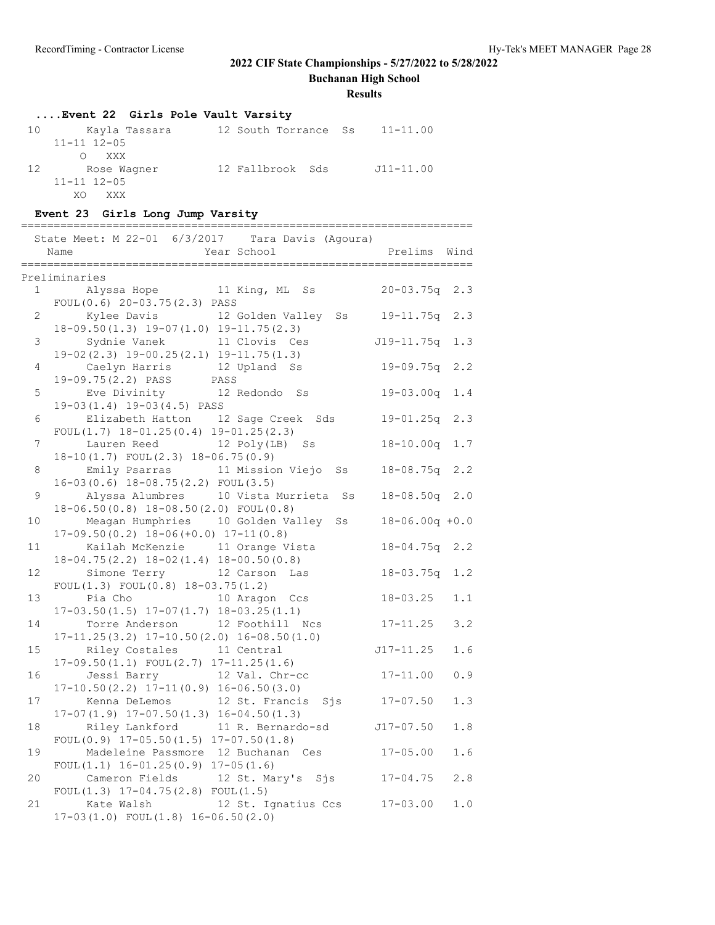**Buchanan High School**

#### **Results**

## **....Event 22 Girls Pole Vault Varsity**

| 10 | Kayla Tassara             | 12 South Torrance Ss | $11 - 11.00$  |
|----|---------------------------|----------------------|---------------|
|    | $11 - 11$ $12 - 05$       |                      |               |
|    | XXX X<br>$\left( \right)$ |                      |               |
| 12 | Rose Waqner               | 12 Fallbrook Sds     | $J11 - 11.00$ |
|    | $11 - 11$ $12 - 05$       |                      |               |
|    | XO.<br>XXX                |                      |               |

### **Event 23 Girls Long Jump Varsity**

|                | State Meet: M 22-01 6/3/2017 Tara Davis (Agoura)<br>Year School<br>Name<br>======================<br>_____________________ | Prelims Wind<br>================ |         |
|----------------|----------------------------------------------------------------------------------------------------------------------------|----------------------------------|---------|
|                | Preliminaries                                                                                                              |                                  |         |
|                | Alyssa Hope 11 King, ML Ss<br>$1 \qquad \qquad$                                                                            | $20 - 03.75q$                    | 2.3     |
| $\overline{2}$ | FOUL $(0.6)$ 20-03.75 $(2.3)$ PASS<br>Kylee Davis 12 Golden Valley Ss                                                      | 19-11.75q                        | 2.3     |
| 3              | $18-09.50(1.3)$ $19-07(1.0)$ $19-11.75(2.3)$<br>Sydnie Vanek<br>11 Clovis Ces                                              | J19-11.75q                       | 1.3     |
|                | $19-02(2.3)$ $19-00.25(2.1)$ $19-11.75(1.3)$                                                                               |                                  |         |
| 4              | Caelyn Harris 12 Upland Ss<br>19-09.75(2.2) PASS PASS                                                                      | 19-09.75q                        | 2, 2    |
| 5              | Eve Divinity<br>12 Redondo Ss                                                                                              | $19 - 03.00q$                    | 1.4     |
| 6              | $19-03(1.4)$ $19-03(4.5)$ PASS<br>Elizabeth Hatton 12 Sage Creek Sds                                                       | $19 - 01.25q$                    | 2.3     |
| 7              | FOUL $(1.7)$ 18-01.25 $(0.4)$ 19-01.25 $(2.3)$<br>Lauren Reed 12 Poly(LB) Ss                                               | $18 - 10.00q$                    | 1.7     |
|                | 18-10(1.7) FOUL(2.3) 18-06.75(0.9)                                                                                         |                                  |         |
| 8              | Emily Psarras 11 Mission Viejo Ss<br>$16-03(0.6)$ $18-08.75(2.2)$ FOUL(3.5)                                                | $18 - 08.75q$                    | 2.2     |
| 9              | Alyssa Alumbres 10 Vista Murrieta Ss<br>18-06.50(0.8) 18-08.50(2.0) FOUL(0.8)                                              | $18 - 08.50q$                    | 2.0     |
| 10             | Meagan Humphries 10 Golden Valley Ss                                                                                       | $18 - 06.00q + 0.0$              |         |
| 11             | $17-09.50(0.2)$ $18-06(+0.0)$ $17-11(0.8)$<br>Kailah McKenzie 11 Orange Vista                                              | $18 - 04.75q$                    | 2.2     |
|                | $18-04.75(2.2)$ $18-02(1.4)$ $18-00.50(0.8)$                                                                               |                                  |         |
| 12             | Simone Terry 12 Carson<br>Las<br>FOUL $(1.3)$ FOUL $(0.8)$ 18-03.75 $(1.2)$                                                | $18 - 03.75q$                    | 1.2     |
| 13             | Pia Cho<br>10 Aragon Ccs<br>$17-03.50(1.5)$ $17-07(1.7)$ $18-03.25(1.1)$                                                   | $18 - 03.25$                     | 1.1     |
| 14             | Torre Anderson 12 Foothill Ncs                                                                                             | $17 - 11.25$                     | 3.2     |
| 15             | $17-11.25(3.2)$ $17-10.50(2.0)$ $16-08.50(1.0)$<br>Riley Costales<br>11 Central                                            | $J17 - 11.25$                    | 1.6     |
| 16             | $17-09.50(1.1)$ FOUL $(2.7)$ $17-11.25(1.6)$<br>Jessi Barry 12 Val. Chr-cc                                                 | $17 - 11.00$                     | 0.9     |
| 17             | $17-10.50(2.2)$ $17-11(0.9)$ $16-06.50(3.0)$<br>Kenna DeLemos 12 St. Francis                                               | $Sj s$ $17-07.50$                | 1.3     |
|                | $17-07(1.9)$ $17-07.50(1.3)$ $16-04.50(1.3)$                                                                               |                                  |         |
| 18             | Riley Lankford<br>11 R. Bernardo-sd J17-07.50<br>FOUL $(0.9)$ 17-05.50 $(1.5)$ 17-07.50 $(1.8)$                            |                                  | $1\,.8$ |
| 19             | Madeleine Passmore 12 Buchanan Ces                                                                                         | $17 - 05.00$                     | 1.6     |
| 20             | FOUL $(1.1)$ 16-01.25 $(0.9)$ 17-05 $(1.6)$<br>Cameron Fields 12 St. Mary's Sjs 17-04.75                                   |                                  | 2.8     |
| 21             | FOUL $(1.3)$ 17-04.75 $(2.8)$ FOUL $(1.5)$<br>12 St. Ignatius Ccs<br>Kate Walsh                                            | $17 - 03.00$                     | 1.0     |
|                | $17-03(1.0)$ FOUL $(1.8)$ $16-06.50(2.0)$                                                                                  |                                  |         |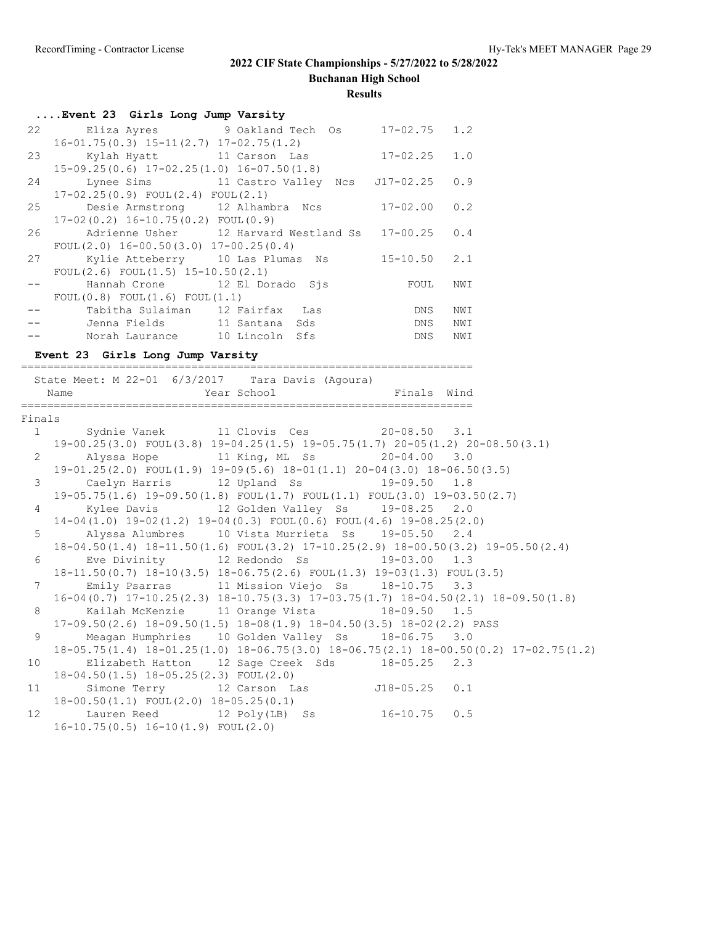**Buchanan High School**

|                | Event 23 Girls Long Jump Varsity                     |                                                                                                                            |               |                                                                                                 |
|----------------|------------------------------------------------------|----------------------------------------------------------------------------------------------------------------------------|---------------|-------------------------------------------------------------------------------------------------|
| 22             | $16-01.75(0.3)$ $15-11(2.7)$ $17-02.75(1.2)$         | Eliza Ayres 9 Oakland Tech Os 17-02.75                                                                                     |               | 1.2                                                                                             |
| 23             |                                                      | Kylah Hyatt 11 Carson Las 17-02.25                                                                                         |               | 1.0                                                                                             |
| 24             | $15-09.25(0.6)$ $17-02.25(1.0)$ $16-07.50(1.8)$      | Lynee Sims 11 Castro Valley Ncs J17-02.25                                                                                  |               | 0.9                                                                                             |
| 25             | $17-02.25(0.9)$ FOUL $(2.4)$ FOUL $(2.1)$            | Desie Armstrong 12 Alhambra Ncs 17-02.00                                                                                   |               | 0.2                                                                                             |
| 26             | $17-02(0.2)$ $16-10.75(0.2)$ FOUL $(0.9)$            | Adrienne Usher 12 Harvard Westland Ss 17-00.25                                                                             |               | 0.4                                                                                             |
|                | FOUL $(2.0)$ 16-00.50 $(3.0)$ 17-00.25 $(0.4)$       |                                                                                                                            |               |                                                                                                 |
| 27             | FOUL $(2.6)$ FOUL $(1.5)$ 15-10.50 $(2.1)$           | Kylie Atteberry 10 Las Plumas Ns 15-10.50                                                                                  |               | 2.1                                                                                             |
| $- -$          |                                                      | Hannah Crone 12 El Dorado Sjs                                                                                              | FOUL          | NWI                                                                                             |
|                | FOUL(0.8) FOUL(1.6) FOUL(1.1)                        |                                                                                                                            |               |                                                                                                 |
|                |                                                      | Tabitha Sulaiman 12 Fairfax Las                                                                                            |               | NWI                                                                                             |
|                |                                                      | Jenna Fields 11 Santana Sds                                                                                                | DNS<br>DNS    | NWI                                                                                             |
|                |                                                      | Norah Laurance 10 Lincoln Sfs                                                                                              | DNS           | NWI                                                                                             |
|                | Event 23 Girls Long Jump Varsity                     |                                                                                                                            |               |                                                                                                 |
|                |                                                      |                                                                                                                            |               |                                                                                                 |
|                | State Meet: M 22-01 6/3/2017 Tara Davis (Agoura)     |                                                                                                                            |               |                                                                                                 |
|                | Name                                                 | Year School <a> Finals Wind</a> Wind Finals Wind                                                                           |               |                                                                                                 |
|                |                                                      |                                                                                                                            |               |                                                                                                 |
|                |                                                      |                                                                                                                            |               |                                                                                                 |
| Finals         |                                                      |                                                                                                                            |               |                                                                                                 |
|                | 1 Sydnie Vanek 11 Clovis Ces 20-08.50 3.1            |                                                                                                                            |               |                                                                                                 |
|                |                                                      | $19-00.25(3.0)$ FOUL(3.8) $19-04.25(1.5)$ $19-05.75(1.7)$ $20-05(1.2)$ $20-08.50(3.1)$                                     |               |                                                                                                 |
|                | 2 Alyssa Hope 11 King, ML Ss 20-04.00 3.0            |                                                                                                                            |               |                                                                                                 |
|                |                                                      | 19-01.25(2.0) FOUL(1.9) 19-09(5.6) 18-01(1.1) 20-04(3.0) 18-06.50(3.5)                                                     |               |                                                                                                 |
| 3 <sup>7</sup> |                                                      | Caelyn Harris 12 Upland Ss 19-09.50 1.8                                                                                    |               |                                                                                                 |
|                | $4\degree$                                           | $19-05.75(1.6)$ $19-09.50(1.8)$ $FOUT(1.7)$ $FOUT(1.1)$ $FOUT(3.0)$ $19-03.50(2.7)$                                        |               | 2.0                                                                                             |
|                |                                                      | Kylee Davis 12 Golden Valley Ss 19-08.25<br>$14-04(1.0)$ $19-02(1.2)$ $19-04(0.3)$ $FOUL(0.6)$ $FOUL(4.6)$ $19-08.25(2.0)$ |               |                                                                                                 |
| 5              |                                                      | Alyssa Alumbres 10 Vista Murrieta Ss 19-05.50 2.4                                                                          |               |                                                                                                 |
|                |                                                      | 18-04.50(1.4) 18-11.50(1.6) FOUL(3.2) 17-10.25(2.9) 18-00.50(3.2) 19-05.50(2.4)                                            |               |                                                                                                 |
| 6              |                                                      | Eve Divinity 12 Redondo Ss 19-03.00 1.3                                                                                    |               |                                                                                                 |
|                |                                                      | 18-11.50(0.7) 18-10(3.5) 18-06.75(2.6) FOUL(1.3) 19-03(1.3) FOUL(3.5)                                                      |               |                                                                                                 |
|                | 7                                                    | Emily Psarras 11 Mission Viejo Ss 18-10.75                                                                                 |               | 3.3                                                                                             |
|                |                                                      | $16-04(0.7)$ $17-10.25(2.3)$ $18-10.75(3.3)$ $17-03.75(1.7)$ $18-04.50(2.1)$ $18-09.50(1.8)$                               |               |                                                                                                 |
| 8              | Kailah McKenzie 11 Orange Vista 18-09.50 1.5         |                                                                                                                            |               |                                                                                                 |
|                |                                                      | 17-09.50(2.6) 18-09.50(1.5) 18-08(1.9) 18-04.50(3.5) 18-02(2.2) PASS                                                       |               |                                                                                                 |
| 9              | Meagan Humphries                                     | 10 Golden Valley Ss                                                                                                        | $18 - 06.75$  | 3.0                                                                                             |
|                |                                                      |                                                                                                                            |               | $18-05.75(1.4)$ $18-01.25(1.0)$ $18-06.75(3.0)$ $18-06.75(2.1)$ $18-00.50(0.2)$ $17-02.75(1.2)$ |
| 10             | Elizabeth Hatton                                     | 12 Sage Creek Sds                                                                                                          | $18 - 05.25$  | 2.3                                                                                             |
| 11             | 18-04.50(1.5) 18-05.25(2.3) FOUL(2.0)                |                                                                                                                            |               |                                                                                                 |
|                | Simone Terry                                         | 12 Carson Las                                                                                                              | $J18 - 05.25$ | 0.1                                                                                             |
| 12             | 18-00.50(1.1) FOUL(2.0) 18-05.25(0.1)<br>Lauren Reed | 12 Poly(LB)<br>Ss                                                                                                          | $16 - 10.75$  | 0.5                                                                                             |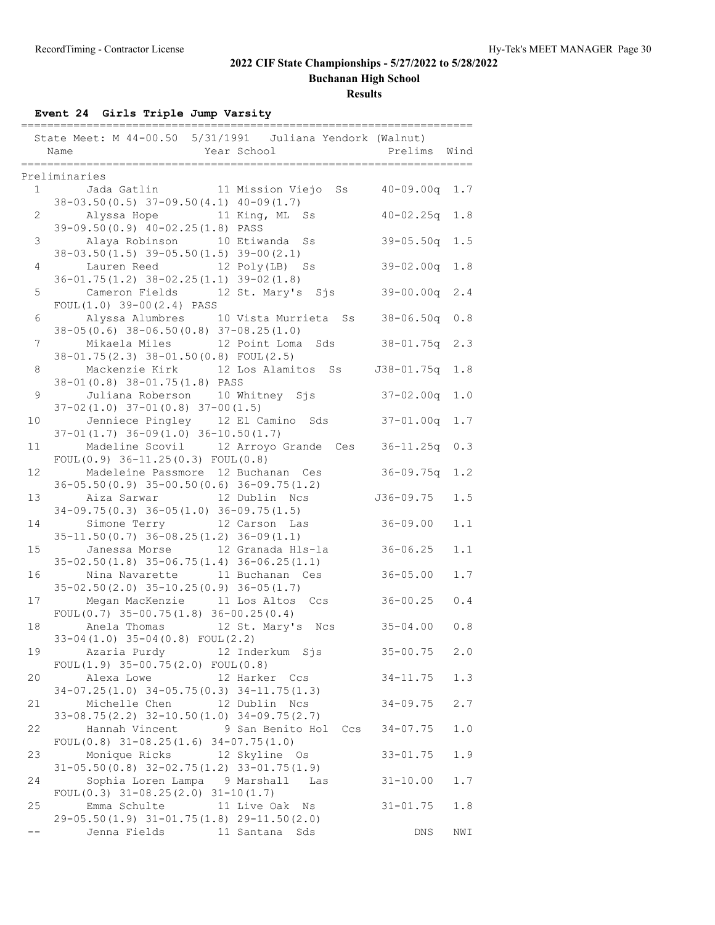**Buchanan High School**

**Results**

**Event 24 Girls Triple Jump Varsity**

|                | State Meet: M 44-00.50 5/31/1991 Juliana Yendork (Walnut)<br>Year School Net all Prelims Wind<br>Name          |                   |       |
|----------------|----------------------------------------------------------------------------------------------------------------|-------------------|-------|
|                |                                                                                                                |                   |       |
|                | Preliminaries<br>1 Jada Gatlin 11 Mission Viejo Ss 40-09.00q                                                   |                   | 1.7   |
| $2^{\circ}$    | $38-03.50(0.5)$ $37-09.50(4.1)$ $40-09(1.7)$<br>Alyssa Hope 11 King, ML Ss<br>39-09.50(0.9) 40-02.25(1.8) PASS | $40 - 02.25q$ 1.8 |       |
| 3 <sup>7</sup> | Alaya Robinson 10 Etiwanda<br>Ss<br>$38-03.50(1.5)$ $39-05.50(1.5)$ $39-00(2.1)$                               | $39 - 05.50q$ 1.5 |       |
| 4              | Lauren Reed 12 Poly(LB) Ss<br>$36 - 01.75(1.2)$ $38 - 02.25(1.1)$ $39 - 02(1.8)$                               | $39 - 02.00q$     | 1.8   |
| 5              | Cameron Fields 12 St. Mary's Sjs<br>$FOUL(1.0) 39-00(2.4) PASS$                                                | $39 - 00.00q$     | 2.4   |
| 6              | Alyssa Alumbres 10 Vista Murrieta Ss 38-06.50q<br>$38-05(0.6)$ $38-06.50(0.8)$ $37-08.25(1.0)$                 |                   | 0.8   |
| 7              | Mikaela Miles 12 Point Loma Sds<br>38-01.75(2.3) 38-01.50(0.8) FOUL(2.5)                                       | $38 - 01.75q$     | 2.3   |
| 8              | Mackenzie Kirk 12 Los Alamitos Ss<br>38-01 (0.8) 38-01.75 (1.8) PASS                                           | J38-01.75q        | 1.8   |
| 9              | Juliana Roberson 10 Whitney Sjs<br>$37-02(1.0)$ $37-01(0.8)$ $37-00(1.5)$                                      | $37 - 02.00q$     | 1.0   |
| 10             | Jenniece Pingley 12 El Camino Sds 37-01.00q<br>$37-01(1.7)$ $36-09(1.0)$ $36-10.50(1.7)$                       |                   | 1.7   |
| 11             | Madeline Scovil 12 Arroyo Grande Ces 36-11.25q<br>FOUL $(0.9)$ 36-11.25 $(0.3)$ FOUL $(0.8)$                   |                   | 0.3   |
| 12             | Madeleine Passmore 12 Buchanan Ces<br>$36-05.50(0.9)$ $35-00.50(0.6)$ $36-09.75(1.2)$                          | $36 - 09.75q$     | 1.2   |
| 13             | Aiza Sarwar               12 Dublin   Ncs<br>$34-09.75(0.3)$ $36-05(1.0)$ $36-09.75(1.5)$                      | J36-09.75         | 1.5   |
| 14             | Simone Terry 12 Carson Las<br>$35-11.50(0.7)$ $36-08.25(1.2)$ $36-09(1.1)$                                     | $36 - 09.00$      | 1.1   |
| 15             | Janessa Morse 12 Granada Hls-la<br>$35-02.50(1.8)$ $35-06.75(1.4)$ $36-06.25(1.1)$                             | $36 - 06.25$      | 1.1   |
| 16             | Nina Navarette 11 Buchanan Ces<br>$35-02.50(2.0)$ $35-10.25(0.9)$ $36-05(1.7)$                                 | $36 - 05.00$      | $1.7$ |
| 17             | Megan MacKenzie 11 Los Altos Ccs<br>FOUL $(0.7)$ 35-00.75 $(1.8)$ 36-00.25 $(0.4)$                             | $36 - 00.25$      | 0.4   |
| 18             | Anela Thomas 12 St. Mary's Ncs                                                                                 | $35 - 04.00$      | 0.8   |
| 19             | 33-04(1.0) 35-04(0.8) FOUL(2.2)<br>Azaria Purdy 12 Inderkum Sjs<br>FOUL $(1.9)$ 35-00.75 $(2.0)$ FOUL $(0.8)$  | $35 - 00.75$      | 2.0   |
| 20             | Alexa Lowe 12 Harker Ccs<br>$34-07.25(1.0)$ $34-05.75(0.3)$ $34-11.75(1.3)$                                    | $34 - 11.75$      | 1.3   |
| 21             | Michelle Chen<br>12 Dublin Ncs<br>$33-08.75(2.2)$ $32-10.50(1.0)$ $34-09.75(2.7)$                              | $34 - 09.75$      | 2.7   |
| 22             | Hannah Vincent<br>9 San Benito Hol Ccs<br>FOUL $(0.8)$ 31-08.25 $(1.6)$ 34-07.75 $(1.0)$                       | $34 - 07.75$      | $1.0$ |
| 23             | Monique Ricks 12 Skyline Os<br>$31-05.50(0.8)$ $32-02.75(1.2)$ $33-01.75(1.9)$                                 | $33 - 01.75$      | 1.9   |
| 24             | Sophia Loren Lampa 9 Marshall Las<br>FOUL $(0.3)$ 31-08.25 $(2.0)$ 31-10 $(1.7)$                               | $31 - 10.00$      | 1.7   |
| 25             | Emma Schulte 11 Live Oak Ns<br>$29-05.50(1.9)$ $31-01.75(1.8)$ $29-11.50(2.0)$                                 | $31 - 01.75$      | 1.8   |
|                | 11 Santana Sds<br>Jenna Fields                                                                                 | DNS               | NWI   |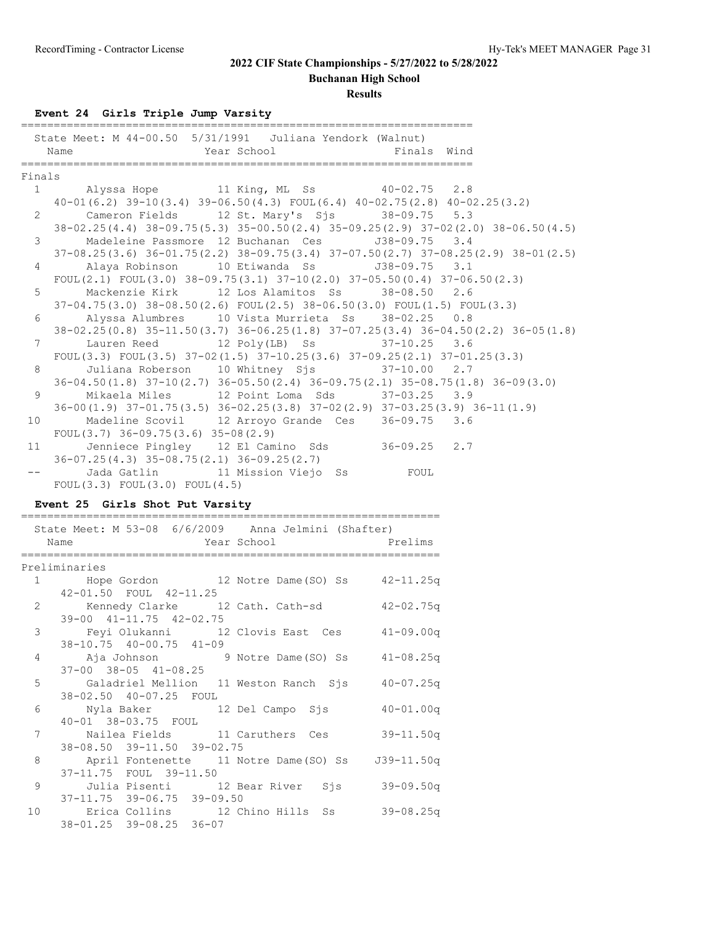**Buchanan High School**

**Results**

**Event 24 Girls Triple Jump Varsity**

|                                                                                                                                                                                                                                                                                                                                                                                                                                                                     | State Meet: M 44-00.50 5/31/1991 Juliana Yendork (Walnut)<br>Year School <a> Finals Wind</a> Finals Wind<br>Name |               |
|---------------------------------------------------------------------------------------------------------------------------------------------------------------------------------------------------------------------------------------------------------------------------------------------------------------------------------------------------------------------------------------------------------------------------------------------------------------------|------------------------------------------------------------------------------------------------------------------|---------------|
|                                                                                                                                                                                                                                                                                                                                                                                                                                                                     |                                                                                                                  |               |
| Finals                                                                                                                                                                                                                                                                                                                                                                                                                                                              |                                                                                                                  |               |
|                                                                                                                                                                                                                                                                                                                                                                                                                                                                     | 1 Alyssa Hope 11 King, ML Ss 40-02.75 2.8                                                                        |               |
|                                                                                                                                                                                                                                                                                                                                                                                                                                                                     | $40-01(6.2)$ 39-10(3.4) 39-06.50(4.3) FOUL(6.4) $40-02.75(2.8)$ $40-02.25(3.2)$                                  |               |
| $\overline{2}$                                                                                                                                                                                                                                                                                                                                                                                                                                                      | Cameron Fields 12 St. Mary's Sjs 38-09.75 5.3                                                                    |               |
|                                                                                                                                                                                                                                                                                                                                                                                                                                                                     | 38-02.25(4.4) 38-09.75(5.3) 35-00.50(2.4) 35-09.25(2.9) 37-02(2.0) 38-06.50(4.5)                                 |               |
| 3                                                                                                                                                                                                                                                                                                                                                                                                                                                                   | Madeleine Passmore 12 Buchanan Ces J38-09.75 3.4                                                                 |               |
|                                                                                                                                                                                                                                                                                                                                                                                                                                                                     | $37-08.25(3.6)$ $36-01.75(2.2)$ $38-09.75(3.4)$ $37-07.50(2.7)$ $37-08.25(2.9)$ $38-01(2.5)$                     |               |
| 4                                                                                                                                                                                                                                                                                                                                                                                                                                                                   | Alaya Robinson 10 Etiwanda Ss 538-09.75 3.1                                                                      |               |
|                                                                                                                                                                                                                                                                                                                                                                                                                                                                     | FOUL(2.1) FOUL(3.0) 38-09.75(3.1) 37-10(2.0) 37-05.50(0.4) 37-06.50(2.3)                                         |               |
| 5                                                                                                                                                                                                                                                                                                                                                                                                                                                                   | Mackenzie Kirk 12 Los Alamitos Ss 38-08.50 2.6                                                                   |               |
|                                                                                                                                                                                                                                                                                                                                                                                                                                                                     | 37-04.75(3.0) 38-08.50(2.6) FOUL(2.5) 38-06.50(3.0) FOUL(1.5) FOUL(3.3)                                          |               |
| 6                                                                                                                                                                                                                                                                                                                                                                                                                                                                   | Alyssa Alumbres 10 Vista Murrieta Ss 38-02.25 0.8                                                                |               |
|                                                                                                                                                                                                                                                                                                                                                                                                                                                                     | 38-02.25 (0.8) 35-11.50 (3.7) 36-06.25 (1.8) 37-07.25 (3.4) 36-04.50 (2.2) 36-05 (1.8)                           |               |
| $7^{\circ}$                                                                                                                                                                                                                                                                                                                                                                                                                                                         | Lauren Reed 12 Poly(LB) Ss 37-10.25 3.6                                                                          |               |
|                                                                                                                                                                                                                                                                                                                                                                                                                                                                     | FOUL(3.3) FOUL(3.5) $37-02(1.5)$ $37-10.25(3.6)$ $37-09.25(2.1)$ $37-01.25(3.3)$                                 |               |
| 8                                                                                                                                                                                                                                                                                                                                                                                                                                                                   | Juliana Roberson 10 Whitney Sjs 37-10.00 2.7                                                                     |               |
|                                                                                                                                                                                                                                                                                                                                                                                                                                                                     | 36-04.50(1.8) 37-10(2.7) 36-05.50(2.4) 36-09.75(2.1) 35-08.75(1.8) 36-09(3.0)                                    |               |
| 9                                                                                                                                                                                                                                                                                                                                                                                                                                                                   | Mikaela Miles 12 Point Loma Sds 37-03.25 3.9                                                                     |               |
|                                                                                                                                                                                                                                                                                                                                                                                                                                                                     | 36-00 (1.9) 37-01.75 (3.5) 36-02.25 (3.8) 37-02 (2.9) 37-03.25 (3.9) 36-11 (1.9)                                 |               |
| 10                                                                                                                                                                                                                                                                                                                                                                                                                                                                  | Madeline Scovil 12 Arroyo Grande Ces 36-09.75 3.6                                                                |               |
|                                                                                                                                                                                                                                                                                                                                                                                                                                                                     | FOUL $(3.7)$ 36-09.75 $(3.6)$ 35-08 $(2.9)$                                                                      |               |
| 11                                                                                                                                                                                                                                                                                                                                                                                                                                                                  | Jenniece Pingley 12 El Camino Sds 36-09.25 2.7                                                                   |               |
|                                                                                                                                                                                                                                                                                                                                                                                                                                                                     | $36-07.25(4.3)$ $35-08.75(2.1)$ $36-09.25(2.7)$                                                                  |               |
|                                                                                                                                                                                                                                                                                                                                                                                                                                                                     |                                                                                                                  |               |
|                                                                                                                                                                                                                                                                                                                                                                                                                                                                     |                                                                                                                  |               |
| $\frac{1}{2} \frac{1}{2} \left( \frac{1}{2} \right) \left( \frac{1}{2} \right) \left( \frac{1}{2} \right) \left( \frac{1}{2} \right) \left( \frac{1}{2} \right) \left( \frac{1}{2} \right) \left( \frac{1}{2} \right) \left( \frac{1}{2} \right) \left( \frac{1}{2} \right) \left( \frac{1}{2} \right) \left( \frac{1}{2} \right) \left( \frac{1}{2} \right) \left( \frac{1}{2} \right) \left( \frac{1}{2} \right) \left( \frac{1}{2} \right) \left( \frac{1}{2} \$ | Jada Gatlin 11 Mission Viejo Ss FOUL                                                                             |               |
|                                                                                                                                                                                                                                                                                                                                                                                                                                                                     | FOUL $(3.3)$ FOUL $(3.0)$ FOUL $(4.5)$                                                                           |               |
|                                                                                                                                                                                                                                                                                                                                                                                                                                                                     | Event 25 Girls Shot Put Varsity                                                                                  |               |
|                                                                                                                                                                                                                                                                                                                                                                                                                                                                     |                                                                                                                  |               |
|                                                                                                                                                                                                                                                                                                                                                                                                                                                                     | State Meet: M 53-08 6/6/2009 Anna Jelmini (Shafter)                                                              |               |
|                                                                                                                                                                                                                                                                                                                                                                                                                                                                     | Year School Prelims<br>Name                                                                                      |               |
|                                                                                                                                                                                                                                                                                                                                                                                                                                                                     |                                                                                                                  |               |
|                                                                                                                                                                                                                                                                                                                                                                                                                                                                     | Preliminaries                                                                                                    |               |
|                                                                                                                                                                                                                                                                                                                                                                                                                                                                     | 1 Hope Gordon 12 Notre Dame (SO) Ss 42-11.25q                                                                    |               |
|                                                                                                                                                                                                                                                                                                                                                                                                                                                                     | 42-01.50 FOUL 42-11.25                                                                                           |               |
|                                                                                                                                                                                                                                                                                                                                                                                                                                                                     |                                                                                                                  |               |
|                                                                                                                                                                                                                                                                                                                                                                                                                                                                     | 2 Kennedy Clarke 12 Cath. Cath-sd 42-02.75q<br>39-00 41-11.75 42-02.75                                           |               |
|                                                                                                                                                                                                                                                                                                                                                                                                                                                                     | 3 Feyi Olukanni 12 Clovis East Ces 41-09.00q                                                                     |               |
|                                                                                                                                                                                                                                                                                                                                                                                                                                                                     | 38-10.75 40-00.75 41-09                                                                                          |               |
| 4                                                                                                                                                                                                                                                                                                                                                                                                                                                                   | Aja Johnson 9 Notre Dame (SO) Ss 41-08.25q                                                                       |               |
|                                                                                                                                                                                                                                                                                                                                                                                                                                                                     | $37-00$ $38-05$ $41-08.25$                                                                                       |               |
| 5                                                                                                                                                                                                                                                                                                                                                                                                                                                                   | Galadriel Mellion 11 Weston Ranch Sjs                                                                            | $40 - 07.25q$ |
|                                                                                                                                                                                                                                                                                                                                                                                                                                                                     | 38-02.50 40-07.25 FOUL                                                                                           |               |
| 6                                                                                                                                                                                                                                                                                                                                                                                                                                                                   | 12 Del Campo Sjs<br>Nyla Baker                                                                                   | $40 - 01.00q$ |
|                                                                                                                                                                                                                                                                                                                                                                                                                                                                     |                                                                                                                  |               |
| $7\phantom{.0}$                                                                                                                                                                                                                                                                                                                                                                                                                                                     | 40-01 38-03.75 FOUL<br>Nailea Fields<br>11 Caruthers Ces 39-11.50q                                               |               |
|                                                                                                                                                                                                                                                                                                                                                                                                                                                                     |                                                                                                                  |               |
| 8                                                                                                                                                                                                                                                                                                                                                                                                                                                                   | 38-08.50 39-11.50 39-02.75                                                                                       |               |
|                                                                                                                                                                                                                                                                                                                                                                                                                                                                     | April Fontenette 11 Notre Dame (SO) Ss J39-11.50q                                                                |               |
| 9                                                                                                                                                                                                                                                                                                                                                                                                                                                                   | 37-11.75 FOUL 39-11.50                                                                                           |               |
|                                                                                                                                                                                                                                                                                                                                                                                                                                                                     | Julia Pisenti 12 Bear River Sjs 39-09.50q                                                                        |               |
| 10                                                                                                                                                                                                                                                                                                                                                                                                                                                                  | 37-11.75 39-06.75 39-09.50<br>Erica Collins<br>12 Chino Hills Ss 39-08.25q                                       |               |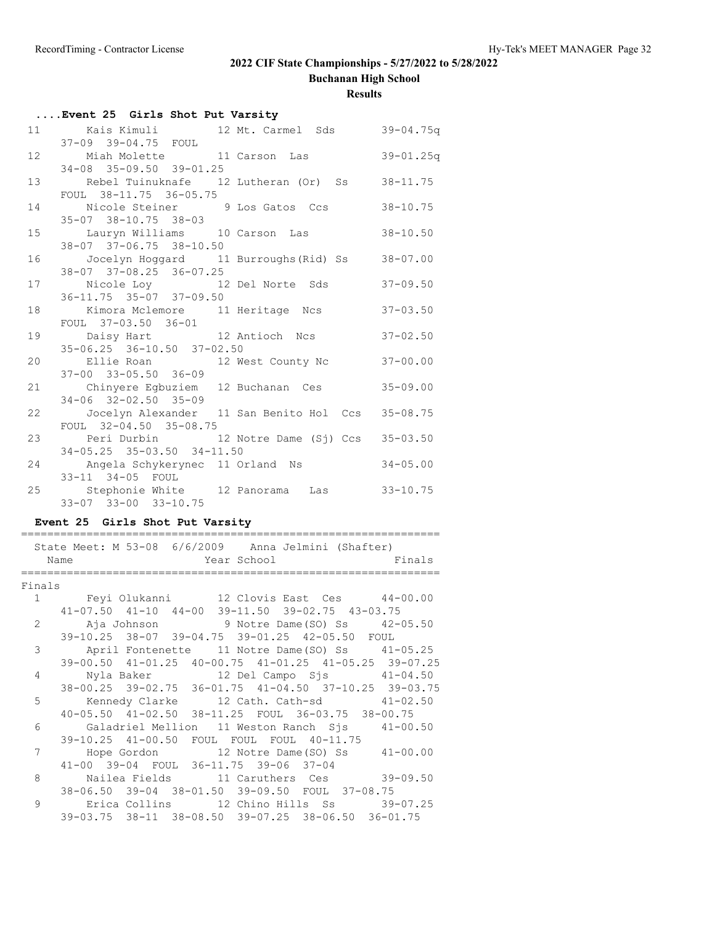**Buchanan High School**

**Results**

|    | Event 25 Girls Shot Put Varsity                                              |               |
|----|------------------------------------------------------------------------------|---------------|
|    | 11 Kais Kimuli 12 Mt. Carmel Sds 39-04.75q                                   |               |
|    | 37-09 39-04.75 FOUL                                                          |               |
|    | 12 Miah Molette 11 Carson Las                                                | $39 - 01.25q$ |
|    | 34-08 35-09.50 39-01.25                                                      |               |
|    | 13 Rebel Tuinuknafe 12 Lutheran (Or) Ss                                      | $38 - 11.75$  |
|    | FOUL 38-11.75 36-05.75                                                       |               |
|    | 14 Nicole Steiner 9 Los Gatos Ccs                                            | $38 - 10.75$  |
|    | $35 - 07$ $38 - 10.75$ $38 - 03$                                             |               |
|    | 15 Lauryn Williams 10 Carson Las                                             | $38 - 10.50$  |
|    | 38-07 37-06.75 38-10.50<br>16 Jocelyn Hoggard 11 Burroughs (Rid) Ss 38-07.00 |               |
|    | 38-07 37-08.25 36-07.25                                                      |               |
|    | 17 Nicole Loy 12 Del Norte Sds                                               | $37 - 09.50$  |
|    | 36-11.75 35-07 37-09.50                                                      |               |
|    | 18 Kimora Mclemore 11 Heritage Ncs                                           | $37 - 03.50$  |
|    | FOUL 37-03.50 36-01                                                          |               |
|    | 19 Daisy Hart 12 Antioch Ncs                                                 | $37 - 02.50$  |
|    | $35-06.25$ $36-10.50$ $37-02.50$                                             |               |
|    | 20 Ellie Roan 12 West County Nc                                              | $37 - 00.00$  |
|    | $37 - 00$ $33 - 05.50$ $36 - 09$                                             |               |
|    | 21 Chinyere Egbuziem 12 Buchanan Ces                                         | $35 - 09.00$  |
|    | $34 - 06$ $32 - 02.50$ $35 - 09$                                             |               |
| 22 | Jocelyn Alexander 11 San Benito Hol Ccs 35-08.75                             |               |
|    | FOUL 32-04.50 35-08.75                                                       |               |
|    | 23 Peri Durbin 12 Notre Dame (Sj) Ccs 35-03.50                               |               |
|    | $34-05.25$ $35-03.50$ $34-11.50$                                             |               |
|    | 24 Angela Schykerynec 11 Orland Ns<br>33-11 34-05 FOUL                       | $34 - 05.00$  |
|    | 25 Stephonie White 12 Panorama Las 33-10.75                                  |               |
|    | 33-07 33-00 33-10.75                                                         |               |
|    |                                                                              |               |

### **Event 25 Girls Shot Put Varsity**

================================================================

|                | State Meet: M 53-08 6/6/2009 Anna Jelmini (Shafter)<br>Year School Finals<br>Name |  |
|----------------|-----------------------------------------------------------------------------------|--|
| Finals         |                                                                                   |  |
|                | 1 Feyi Olukanni 12 Clovis East Ces 44-00.00                                       |  |
|                | $41-07.50$ $41-10$ $44-00$ $39-11.50$ $39-02.75$ $43-03.75$                       |  |
|                | 2 Aja Johnson 9 Notre Dame (SO) Ss 42-05.50                                       |  |
|                | 39-10.25 38-07 39-04.75 39-01.25 42-05.50 FOUL                                    |  |
| $\mathcal{E}$  | April Fontenette 11 Notre Dame(SO) Ss 41-05.25                                    |  |
|                | 39-00.50 41-01.25 40-00.75 41-01.25 41-05.25 39-07.25                             |  |
| $\overline{4}$ | Nyla Baker 12 Del Campo Sjs 41-04.50                                              |  |
|                | 38-00.25 39-02.75 36-01.75 41-04.50 37-10.25 39-03.75                             |  |
| 5              | Kennedy Clarke 12 Cath. Cath-sd 41-02.50                                          |  |
|                | 40-05.50 41-02.50 38-11.25 FOUL 36-03.75 38-00.75                                 |  |
| 6              | Galadriel Mellion 11 Weston Ranch Sjs 41-00.50                                    |  |
|                | 39-10.25 41-00.50 FOUL FOUL FOUL 40-11.75                                         |  |
| 7              | Hope Gordon 12 Notre Dame (SO) Ss 41-00.00                                        |  |
|                | 41-00 39-04 FOUL 36-11.75 39-06 37-04                                             |  |
| 8              |                                                                                   |  |
|                | 38-06.50 39-04 38-01.50 39-09.50 FOUL 37-08.75                                    |  |
| $\mathsf{Q}$   | Erica Collins 12 Chino Hills Ss 39-07.25                                          |  |
|                | 39-03.75 38-11 38-08.50 39-07.25 38-06.50 36-01.75                                |  |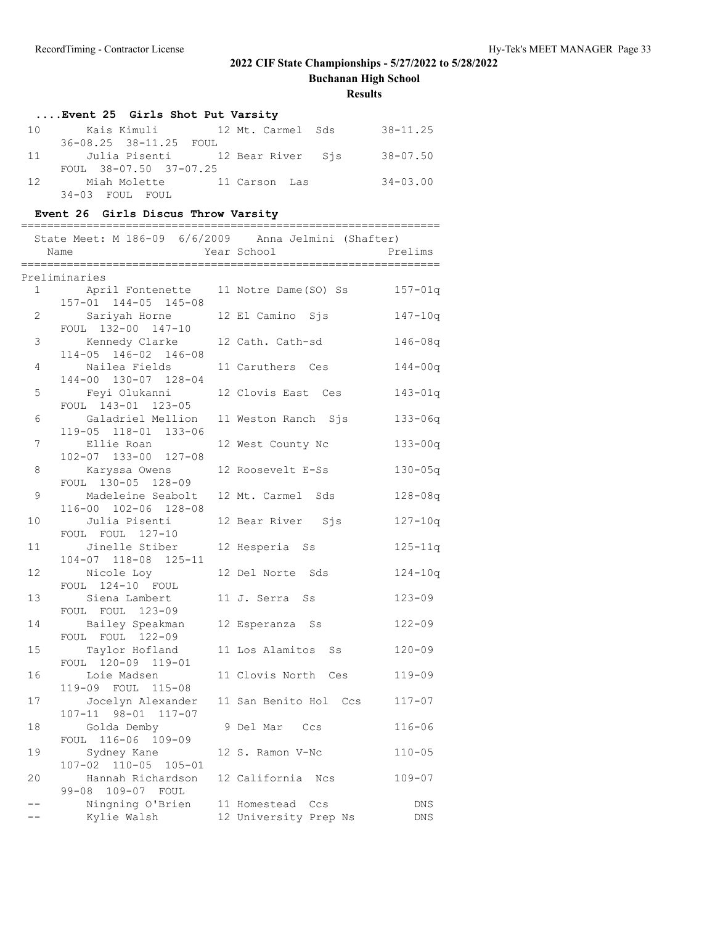**Buchanan High School**

**Results**

## **....Event 25 Girls Shot Put Varsity**

| 10 |                        |                                                | $38 - 11.25$ |
|----|------------------------|------------------------------------------------|--------------|
|    | 36-08.25 38-11.25 FOUL |                                                |              |
|    |                        | 11 Julia Pisenti         12 Bear River     Sjs | $38 - 07.50$ |
|    | FOUL 38-07.50 37-07.25 |                                                |              |
| 12 | Miah Molette           | 11 Carson Las                                  | 34-03.00     |
|    | 34-03 FOUL FOUL        |                                                |              |

### **Event 26 Girls Discus Throw Varsity**

|              | State Meet: M 186-09 6/6/2009 Anna Jelmini (Shafter)<br>Name | Year School                               | Prelims                  |
|--------------|--------------------------------------------------------------|-------------------------------------------|--------------------------|
|              | Preliminaries                                                |                                           |                          |
| $\mathbf{1}$ | April Fontenette<br>157-01 144-05 145-08                     | 11 Notre Dame(SO) Ss                      | $157 - 01q$              |
| 2            | Sariyah Horne<br>FOUL 132-00 147-10                          | 12 El Camino Sjs                          | $147 - 10q$              |
| 3            | Kennedy Clarke<br>114-05 146-02 146-08                       | 12 Cath. Cath-sd                          | $146 - 08q$              |
| 4            | Nailea Fields<br>144-00 130-07 128-04                        | 11 Caruthers Ces                          | $144 - 00q$              |
| 5            | Feyi Olukanni<br>FOUL 143-01 123-05                          | 12 Clovis East Ces                        | $143 - 01q$              |
| 6            | Galadriel Mellion                                            | 11 Weston Ranch Sjs                       | $133 - 06q$              |
| 7            | 119-05 118-01 133-06<br>Ellie Roan<br>102-07 133-00 127-08   | 12 West County Nc                         | $133 - 00q$              |
| 8            | Karyssa Owens<br>FOUL 130-05 128-09                          | 12 Roosevelt E-Ss                         | $130 - 05q$              |
| 9            | Madeleine Seabolt<br>116-00 102-06 128-08                    | 12 Mt. Carmel Sds                         | $128 - 08q$              |
| 10           | Julia Pisenti<br>FOUL FOUL 127-10                            | 12 Bear River Sjs                         | $127 - 10q$              |
| 11           | Jinelle Stiber<br>104-07 118-08 125-11                       | 12 Hesperia Ss                            | $125 - 11q$              |
| 12           | Nicole Loy<br>FOUL 124-10 FOUL                               | 12 Del Norte Sds                          | $124 - 10q$              |
| 13           | Siena Lambert<br>FOUL FOUL 123-09                            | 11 J. Serra Ss                            | $123 - 09$               |
| 14           | Bailey Speakman<br>FOUL FOUL 122-09                          | 12 Esperanza Ss                           | $122 - 09$               |
| 15           | Taylor Hofland<br>FOUL 120-09 119-01                         | 11 Los Alamitos Ss                        | $120 - 09$               |
| 16           | Loie Madsen<br>119-09 FOUL 115-08                            | 11 Clovis North Ces                       | $119 - 09$               |
| 17           | Jocelyn Alexander<br>107-11 98-01 117-07                     | 11 San Benito Hol Ccs                     | $117 - 07$               |
| 18           | Golda Demby<br>FOUL 116-06 109-09                            | 9 Del Mar Ccs                             | $116 - 06$               |
| 19           | Sydney Kane<br>107-02 110-05 105-01                          | 12 S. Ramon V-Nc                          | $110 - 05$               |
| 20           | Hannah Richardson<br>99-08 109-07 FOUL                       | 12 California Ncs                         | $109 - 07$               |
|              | Ningning O'Brien<br>Kylie Walsh                              | 11 Homestead Ccs<br>12 University Prep Ns | <b>DNS</b><br><b>DNS</b> |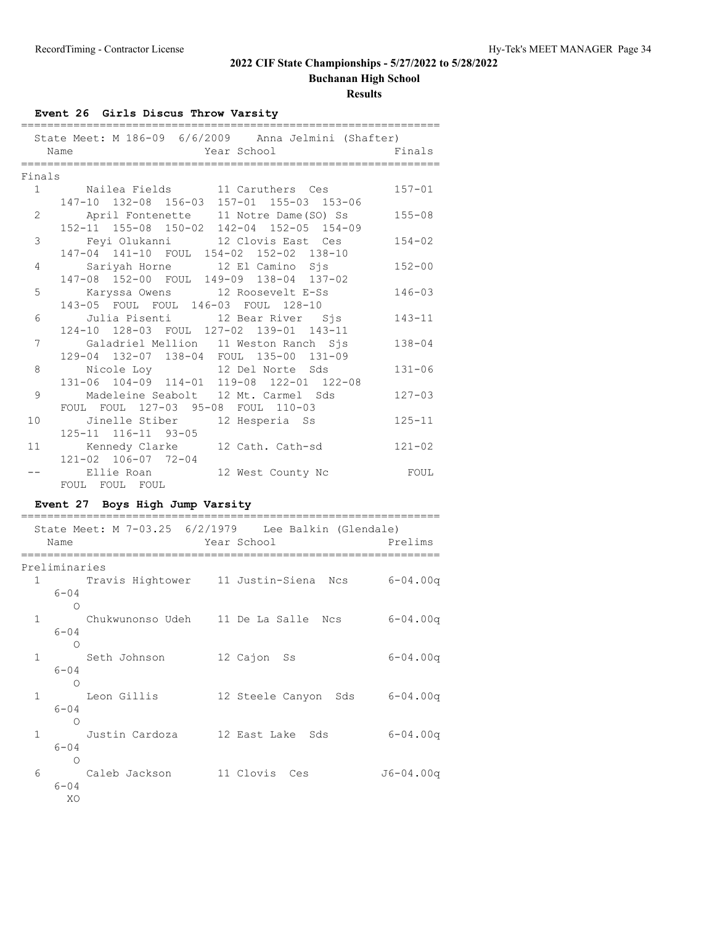**Buchanan High School**

**Results**

## **Event 26 Girls Discus Throw Varsity**

|                 | Name                                                                             | State Meet: M 186-09 6/6/2009 Anna Jelmini (Shafter)<br>Year School                 | Finals       |
|-----------------|----------------------------------------------------------------------------------|-------------------------------------------------------------------------------------|--------------|
|                 | ================                                                                 |                                                                                     |              |
| Finals          |                                                                                  |                                                                                     |              |
| 1               | Nailea Fields 11 Caruthers Ces                                                   | 147-10 132-08 156-03 157-01 155-03 153-06                                           | $157 - 01$   |
| 2               |                                                                                  | April Fontenette 11 Notre Dame (SO) Ss<br>152-11 155-08 150-02 142-04 152-05 154-09 | $155 - 08$   |
| 3               |                                                                                  | Feyi Olukanni 12 Clovis East Ces                                                    | $154 - 02$   |
| 4               | 147-04 141-10 FOUL 154-02 152-02 138-10<br>Sariyah Horne 12 El Camino Sjs        |                                                                                     | $152 - 00$   |
| 5               | 147-08 152-00 FOUL 149-09 138-04 137-02<br>Karyssa Owens 12 Roosevelt E-Ss       |                                                                                     | $146 - 03$   |
| 6               | 143-05 FOUL FOUL 146-03 FOUL 128-10<br>Julia Pisenti (12 Bear River) Sjs         |                                                                                     | $143 - 11$   |
| $7\overline{ }$ | 124-10 128-03 FOUL 127-02 139-01 143-11<br>Galadriel Mellion 11 Weston Ranch Sjs |                                                                                     | $138 - 04$   |
| 8               | 129-04 132-07 138-04 FOUL 135-00 131-09<br>Nicole Loy 12 Del Norte Sds           |                                                                                     | $131 - 06$   |
| 9               |                                                                                  | 131-06 104-09 114-01 119-08 122-01 122-08<br>Madeleine Seabolt 12 Mt. Carmel Sds    | $127 - 03$   |
| 10              | FOUL FOUL 127-03 95-08 FOUL 110-03<br>Jinelle Stiber 12 Hesperia Ss              |                                                                                     | $125 - 11$   |
|                 | 125-11 116-11 93-05                                                              |                                                                                     |              |
| 11              | Kennedy Clarke 12 Cath. Cath-sd<br>121-02 106-07 72-04                           |                                                                                     | $121 - 02$   |
| --              | FOUL FOUL FOUL                                                                   | Ellie Roan and 12 West County Nc                                                    | FOUL         |
|                 | Event 27 Boys High Jump Varsity                                                  |                                                                                     |              |
|                 |                                                                                  | State Meet: M 7-03.25 6/2/1979 Lee Balkin (Glendale)                                |              |
|                 | Name<br>====================                                                     | Year School Prelims                                                                 |              |
|                 |                                                                                  |                                                                                     |              |
|                 | Preliminaries                                                                    | 1 Travis Hightower 11 Justin-Siena Ncs 6-04.00q                                     |              |
|                 | $6 - 04$<br>$\circ$                                                              |                                                                                     |              |
| 1               | $6 - 04$                                                                         | Chukwunonso Udeh 11 De La Salle Ncs 6-04.00q                                        |              |
| 1               | $\bigcap$<br>Seth Johnson                                                        | 12 Cajon Ss                                                                         | $6 - 04.00q$ |
|                 | $6 - 04$<br>$\circ$                                                              |                                                                                     |              |
| 1               | Leon Gillis<br>6-04                                                              | 12 Steele Canyon Sds 6-04.00q                                                       |              |
| 1               | $\circ$<br>Justin Cardoza 12 East Lake<br>$6 - 04$<br>О                          | Sds                                                                                 | $6 - 04.00q$ |

 6 Caleb Jackson 11 Clovis Ces J6-04.00q 6-04

XO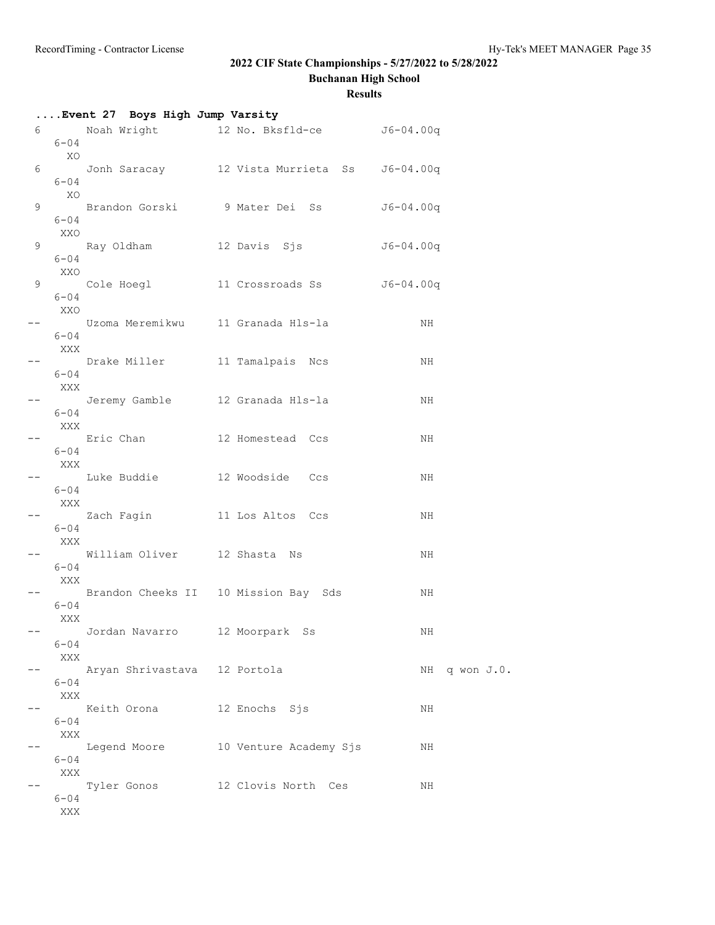**Buchanan High School**

|   |                         | Event 27 Boys High Jump Varsity      |                                             |               |
|---|-------------------------|--------------------------------------|---------------------------------------------|---------------|
|   | 6 — 1<br>$6 - 04$<br>XO |                                      | Noah Wright 12 No. Bksfld-ce J6-04.00q      |               |
| 6 | $6 - 04$                |                                      | Jonh Saracay 12 Vista Murrieta Ss 56-04.00q |               |
|   | XO<br>$6 - 04$          |                                      | 9 Brandon Gorski 9 Mater Dei Ss 56-04.00q   |               |
| 9 | XXO                     |                                      |                                             | J6-04.00q     |
|   | $6 - 04$<br>XXO         |                                      | 9 Cole Hoegl 11 Crossroads Ss 56-04.00q     |               |
|   | $6 - 04$<br>XXO         |                                      |                                             | NH            |
|   | $6 - 04$<br>XXX         |                                      | Uzoma Meremikwu   11 Granada Hls-la         |               |
|   | $6 - 04$<br>XXX         | Drake Miller                         | 11 Tamalpais Ncs                            | NH            |
|   | $6 - 04$                |                                      | Jeremy Gamble         12 Granada Hls-la     | NH            |
|   | XXX<br>$6 - 04$         | Eric Chan                            | 12 Homestead Ccs                            | NH            |
|   | XXX<br>$6 - 04$         |                                      | Luke Buddie 12 Woodside Ccs                 | NH            |
|   | XXX                     |                                      |                                             | NH            |
|   | $6 - 04$<br>XXX         | William Oliver 12 Shasta Ns          |                                             | NH            |
|   | $6 - 04$<br>XXX         |                                      | Brandon Cheeks II 10 Mission Bay Sds        | NH            |
|   | $6 - 04$<br>XXX         |                                      |                                             |               |
|   | $6 - 04$<br>XXX         | Jordan Navarro       12 Moorpark  Ss |                                             | ΝH            |
|   | $6 - 04$                | Aryan Shrivastava 12 Portola         |                                             | NH q won J.O. |
|   | XXX<br>$6 - 04$         | Keith Orona                          | 12 Enochs Sjs                               | NH            |
|   | XXX<br>$6 - 04$         | Legend Moore                         | 10 Venture Academy Sjs                      | NH            |
|   | XXX                     | Tyler Gonos                          | 12 Clovis North Ces                         | ΝH            |
|   | $6 - 04$<br>XXX         |                                      |                                             |               |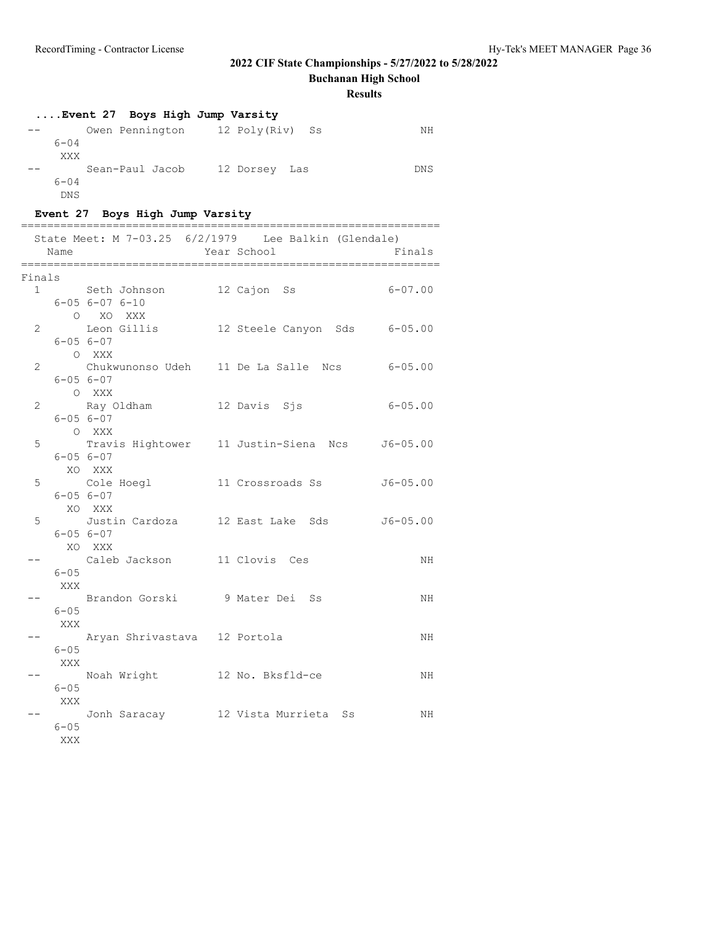**Buchanan High School**

**Results**

## **....Event 27 Boys High Jump Varsity**

|          | Owen Pennington | 12 Poly(Riv) Ss | NΗ  |
|----------|-----------------|-----------------|-----|
| $6 - 04$ |                 |                 |     |
| XXX      |                 |                 |     |
|          | Sean-Paul Jacob | 12 Dorsey Las   | DNS |
| $6 - 04$ |                 |                 |     |
| DNS      |                 |                 |     |

## **Event 27 Boys High Jump Varsity**

|                | Name            | State Meet: $M$ 7-03.25 6/2/1979 Lee Balkin (Glendale)       | Year School | Finals                                        |
|----------------|-----------------|--------------------------------------------------------------|-------------|-----------------------------------------------|
|                | Finals          |                                                              |             |                                               |
|                | 1               | Seth Johnson 12 Cajon Ss<br>$6 - 056 - 076 - 10$<br>O XO XXX |             | $6 - 07.00$                                   |
| $\overline{2}$ |                 | $6 - 056 - 07$                                               |             | Leon Gillis 12 Steele Canyon Sds 6-05.00      |
| $\overline{2}$ |                 | O XXX<br>$6 - 056 - 07$                                      |             | Chukwunonso Udeh 11 De La Salle Ncs 6-05.00   |
| 2              |                 | O XXX<br>$6 - 05 6 - 07$                                     |             | $6 - 05.00$                                   |
| 5              |                 | O XXX<br>$6 - 05 6 - 07$                                     |             | Travis Hightower 11 Justin-Siena Ncs 56-05.00 |
| 5              |                 | XO XXX<br>$6 - 056 - 07$                                     |             | $J6 - 05.00$                                  |
| 5              |                 | XO XXX<br>Justin Cardoza 12 East Lake Sds<br>$6 - 056 - 07$  |             | $J6 - 05.00$                                  |
|                | $6 - 05$        | XO XXX<br>Caleb Jackson 11 Clovis Ces                        |             | NH                                            |
|                | XXX<br>$6 - 05$ | Brandon Gorski 9 Mater Dei Ss                                |             | ΝH                                            |
|                | XXX<br>$6 - 05$ | Aryan Shrivastava 12 Portola                                 |             | ΝH                                            |
|                | XXX             | Noah Wright 12 No. Bksfld-ce                                 |             | ΝH                                            |
|                | $6 - 05$<br>XXX | Jonh Saracay 12 Vista Murrieta Ss                            |             | NH                                            |
|                | $6 - 05$<br>XXX |                                                              |             |                                               |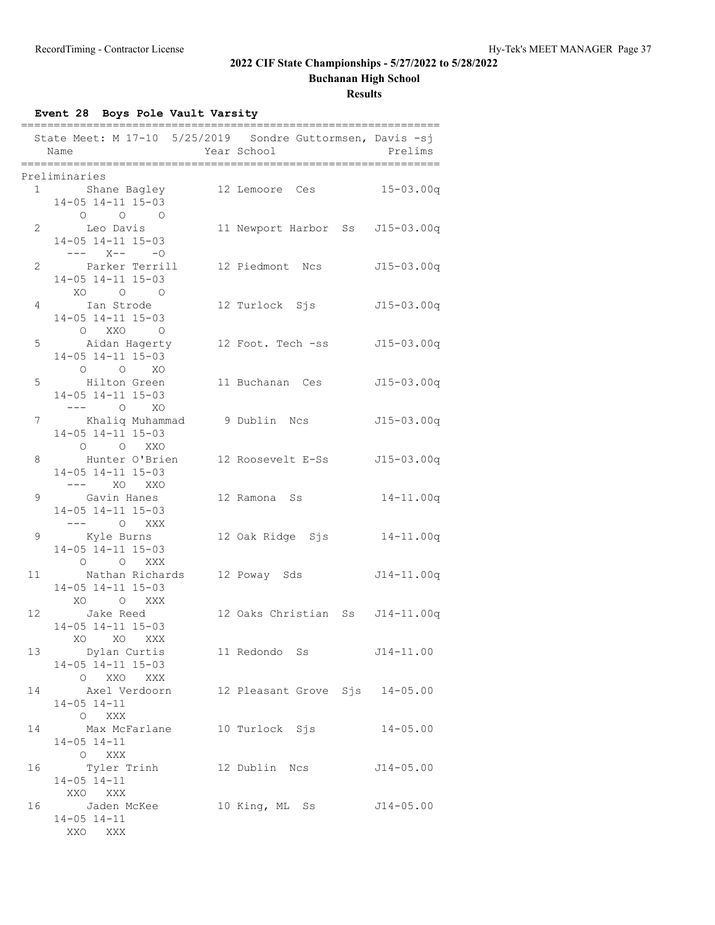**Buchanan High School**

### **Results**

**Event 28 Boys Pole Vault Varsity**

|    | State Meet: M 17-10 5/25/2019 Sondre Guttormsen, Davis -sj<br>Name | Year School |                                 | Prelims       |
|----|--------------------------------------------------------------------|-------------|---------------------------------|---------------|
|    |                                                                    |             |                                 |               |
|    | Preliminaries<br>1 Shane Bagley 12 Lemoore Ces 15-03.00q           |             |                                 |               |
|    | $14-05$ $14-11$ $15-03$                                            |             |                                 |               |
|    | $\begin{matrix} 0 & 0 & 0 \end{matrix}$                            |             |                                 |               |
|    | 2 Leo Davis                                                        |             | 11 Newport Harbor Ss J15-03.00q |               |
|    | 14-05 14-11 15-03                                                  |             |                                 |               |
|    | $--- X--- 0$                                                       |             |                                 |               |
|    | 2 Parker Terrill                                                   |             | 12 Piedmont Ncs J15-03.00q      |               |
|    | 14-05 14-11 15-03<br>XO O O                                        |             |                                 |               |
|    | 4 Ian Strode                                                       |             | 12 Turlock Sjs 515-03.00q       |               |
|    | 14-05 14-11 15-03                                                  |             |                                 |               |
|    | $O$ XXO $O$                                                        |             |                                 |               |
|    | 5 Aidan Hagerty                                                    |             | 12 Foot. Tech -ss J15-03.00q    |               |
|    | 14-05 14-11 15-03                                                  |             |                                 |               |
|    | $O$ $O$ $XO$                                                       |             |                                 |               |
|    | 5 Hilton Green                                                     |             | 11 Buchanan Ces J15-03.00q      |               |
|    | 14-05 14-11 15-03                                                  |             |                                 |               |
|    | $--- 0  X0$<br>7 Khaliq Muhammad 9 Dublin Ncs 515-03.00q           |             |                                 |               |
|    | 14-05 14-11 15-03                                                  |             |                                 |               |
|    | O O XXO                                                            |             |                                 |               |
|    | 8 Hunter O'Brien 12 Roosevelt E-Ss J15-03.00q                      |             |                                 |               |
|    | 14-05 14-11 15-03                                                  |             |                                 |               |
|    |                                                                    |             |                                 |               |
|    | 9 Gavin Hanes                                                      |             | 12 Ramona Ss                    | $14 - 11.00q$ |
|    | 14-05 14-11 15-03                                                  |             |                                 |               |
|    | --- 0 XXX                                                          |             |                                 |               |
| 9  |                                                                    |             |                                 |               |
|    | 14-05 14-11 15-03<br>O O XXX                                       |             |                                 |               |
|    | 11 Mathan Richards 12 Poway Sds 514-11.00q                         |             |                                 |               |
|    | 14-05 14-11 15-03                                                  |             |                                 |               |
|    | XO OXXX                                                            |             |                                 |               |
|    | 12 Jake Reed                                                       |             | 12 Oaks Christian Ss J14-11.00q |               |
|    | 14-05 14-11 15-03                                                  |             |                                 |               |
|    | XO XO XXX                                                          |             |                                 |               |
| 13 | Dylan Curtis                                                       |             | 11 Redondo Ss                   | $J14 - 11.00$ |
|    | $14-05$ $14-11$ $15-03$                                            |             |                                 |               |
|    | O XXO XXX                                                          |             |                                 |               |
| 14 | Axel Verdoorn<br>$14 - 05$ $14 - 11$                               |             | 12 Pleasant Grove Sjs 14-05.00  |               |
|    | O XXX                                                              |             |                                 |               |
| 14 | Max McFarlane                                                      |             | 10 Turlock Sjs                  | $14 - 05.00$  |
|    | $14 - 05$ $14 - 11$                                                |             |                                 |               |
|    | O XXX                                                              |             |                                 |               |
| 16 | Tyler Trinh                                                        |             | 12 Dublin Ncs                   | $J14 - 05.00$ |
|    | $14 - 05$ $14 - 11$                                                |             |                                 |               |
|    | XXO XXX                                                            |             |                                 |               |
| 16 | Jaden McKee                                                        |             | 10 King, ML Ss                  | $J14 - 05.00$ |
|    | $14 - 05$ $14 - 11$<br>XXO XXX                                     |             |                                 |               |
|    |                                                                    |             |                                 |               |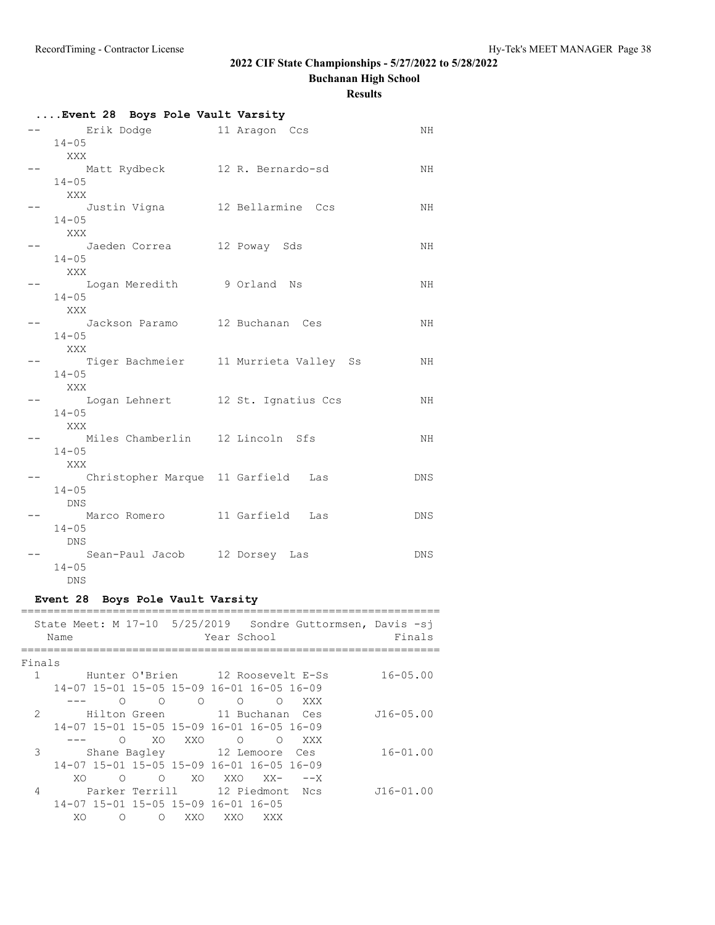**Buchanan High School**

|      | Event 28 Boys Pole Vault Varsity                                                      |  |  |            |  |  |  |
|------|---------------------------------------------------------------------------------------|--|--|------------|--|--|--|
|      | Erik Dodge 11 Aragon Ccs                                                              |  |  | ΝH         |  |  |  |
|      | $14 - 05$                                                                             |  |  |            |  |  |  |
|      | XXX                                                                                   |  |  |            |  |  |  |
|      | Matt Rydbeck 12 R. Bernardo-sd                                                        |  |  | NH         |  |  |  |
|      | $14 - 05$                                                                             |  |  |            |  |  |  |
|      | XXX                                                                                   |  |  |            |  |  |  |
|      | Justin Vigna 12 Bellarmine Ccs                                                        |  |  | NH         |  |  |  |
|      | $14 - 05$                                                                             |  |  |            |  |  |  |
|      | XXX                                                                                   |  |  |            |  |  |  |
|      | Jaeden Correa 12 Poway Sds                                                            |  |  | NH         |  |  |  |
|      | $14 - 05$                                                                             |  |  |            |  |  |  |
|      | XXX                                                                                   |  |  |            |  |  |  |
|      | Logan Meredith 9 Orland Ns                                                            |  |  | NH         |  |  |  |
|      | $14 - 05$<br>XXX                                                                      |  |  |            |  |  |  |
|      | Jackson Paramo 12 Buchanan Ces                                                        |  |  | NH         |  |  |  |
|      | $14 - 05$                                                                             |  |  |            |  |  |  |
|      | XXX                                                                                   |  |  |            |  |  |  |
|      | Tiger Bachmeier 11 Murrieta Valley Ss                                                 |  |  | NH         |  |  |  |
|      | $14 - 05$                                                                             |  |  |            |  |  |  |
|      | XXX                                                                                   |  |  |            |  |  |  |
|      | Logan Lehnert 12 St. Ignatius Ccs                                                     |  |  | ΝH         |  |  |  |
|      | $14 - 05$                                                                             |  |  |            |  |  |  |
|      | XXX                                                                                   |  |  |            |  |  |  |
|      | Miles Chamberlin 12 Lincoln Sfs                                                       |  |  | NH.        |  |  |  |
|      | $14 - 05$                                                                             |  |  |            |  |  |  |
|      | XXX                                                                                   |  |  |            |  |  |  |
|      | Christopher Marque 11 Garfield Las                                                    |  |  | DNS        |  |  |  |
|      | $14 - 05$                                                                             |  |  |            |  |  |  |
|      | DNS                                                                                   |  |  |            |  |  |  |
|      | Marco Romero 11 Garfield Las                                                          |  |  | DNS        |  |  |  |
|      | $14 - 05$                                                                             |  |  |            |  |  |  |
|      | DNS                                                                                   |  |  |            |  |  |  |
|      | Sean-Paul Jacob 12 Dorsey Las                                                         |  |  | <b>DNS</b> |  |  |  |
|      | $14 - 05$                                                                             |  |  |            |  |  |  |
|      | DNS                                                                                   |  |  |            |  |  |  |
|      | Event 28 Boys Pole Vault Varsity                                                      |  |  |            |  |  |  |
| ==== |                                                                                       |  |  |            |  |  |  |
|      | State Meet: M 17-10 5/25/2019 Sondre Guttormsen, Davis -sj<br>Name Vear School Finale |  |  |            |  |  |  |

|        | Name |                                     |            |          | Year School |                                           | SLALE MEEL: M I/-IU 3/23/2019 SONUIE GULLOIMSEN, DAVIS -ST | Finals        |
|--------|------|-------------------------------------|------------|----------|-------------|-------------------------------------------|------------------------------------------------------------|---------------|
| Finals |      |                                     |            |          |             |                                           |                                                            |               |
|        |      |                                     |            |          |             | Hunter O'Brien 12 Roosevelt E-Ss          |                                                            | $16 - 05.00$  |
|        |      |                                     |            |          |             | 14-07 15-01 15-05 15-09 16-01 16-05 16-09 |                                                            |               |
|        |      | ∩                                   | ∩          | $\Omega$ | $\Omega$    | $\bigcirc$                                | XXX                                                        |               |
| 2      |      | Hilton Green                        |            |          |             | 11 Buchanan Ces                           |                                                            | $J16 - 05.00$ |
|        |      |                                     |            |          |             | 14-07 15-01 15-05 15-09 16-01 16-05 16-09 |                                                            |               |
|        |      | $\Omega$                            | XO         | XXO      | $\Omega$    | $\bigcirc$                                | XXX                                                        |               |
| 3      |      |                                     |            |          |             | Shane Bagley 12 Lemoore Ces               |                                                            | $16 - 01.00$  |
|        |      |                                     |            |          |             | 14-07 15-01 15-05 15-09 16-01 16-05 16-09 |                                                            |               |
|        | XO   | ∩                                   | $\bigcirc$ | XO.      | XXO         | $XX -$                                    | $--x$                                                      |               |
| 4      |      |                                     |            |          |             | Parker Terrill 12 Piedmont Ncs            |                                                            | $J16 - 01.00$ |
|        |      | 14-07 15-01 15-05 15-09 16-01 16-05 |            |          |             |                                           |                                                            |               |
|        | XO   | ∩                                   | Ω          | XXO      | XXO         | XXX                                       |                                                            |               |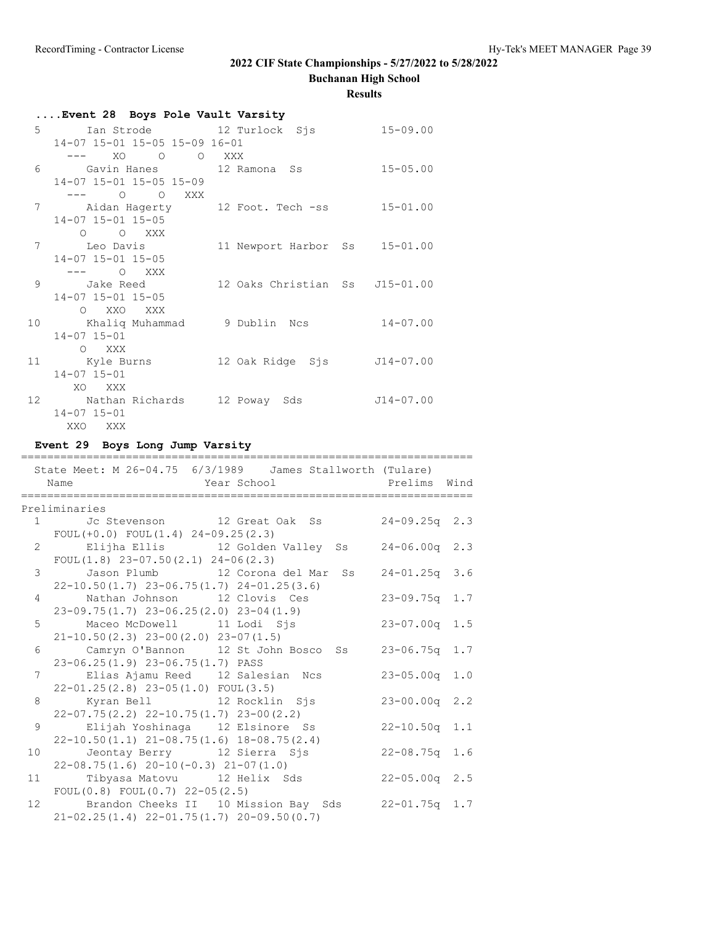**Buchanan High School**

### **Results**

| Event 28 Boys Pole Vault Varsity                                |                               |              |
|-----------------------------------------------------------------|-------------------------------|--------------|
| 5 Ian Strode 12 Turlock Sjs 15-09.00                            |                               |              |
| 14-07 15-01 15-05 15-09 16-01                                   |                               |              |
|                                                                 |                               |              |
| 6 Gavin Hanes 12 Ramona Ss                                      |                               | $15 - 05.00$ |
| 14-07 15-01 15-05 15-09                                         |                               |              |
| $--- 0 0  XXX$                                                  |                               |              |
| 7 Aidan Hagerty 12 Foot. Tech -ss 15-01.00                      |                               |              |
| 14-07 15-01 15-05                                               |                               |              |
| O O XXX                                                         |                               |              |
| 7 Leo Davis                                                     | 11 Newport Harbor Ss 15-01.00 |              |
| 14-07 15-01 15-05                                               |                               |              |
|                                                                 |                               |              |
| 9 Jake Reed 12 Oaks Christian Ss J15-01.00<br>14-07 15-01 15-05 |                               |              |
| O XXO XXX                                                       |                               |              |
| 10 Khaliq Muhammad 9 Dublin Ncs                                 |                               | $14 - 07.00$ |
| $14 - 07$ $15 - 01$                                             |                               |              |
| O XXX                                                           |                               |              |
| 11 Kyle Burns                                                   | 12 Oak Ridge Sjs 514-07.00    |              |
| $14 - 07$ $15 - 01$                                             |                               |              |
| XO XXX                                                          |                               |              |
| 12 Nathan Richards 12 Poway Sds 514-07.00                       |                               |              |
| $14 - 07$ $15 - 01$                                             |                               |              |
| XXO XXX                                                         |                               |              |

## **Event 29 Boys Long Jump Varsity**

| State Meet: M 26-04.75 6/3/1989 James Stallworth (Tulare)<br>Year School <a> Prelims Wind</a> Wind N<br>Name |                    |  |
|--------------------------------------------------------------------------------------------------------------|--------------------|--|
| Preliminaries                                                                                                |                    |  |
| 1 Jc Stevenson 12 Great Oak Ss 24-09.25q 2.3                                                                 |                    |  |
| FOUL $(+0.0)$ FOUL $(1.4)$ 24-09.25 $(2.3)$                                                                  |                    |  |
| 2 Elijha Ellis 12 Golden Valley Ss 24-06.00q 2.3                                                             |                    |  |
| FOUL $(1.8)$ 23-07.50 $(2.1)$ 24-06 $(2.3)$                                                                  |                    |  |
| 3 Jason Plumb 12 Corona del Mar Ss 24-01.25q 3.6                                                             |                    |  |
| $22-10.50(1.7)$ $23-06.75(1.7)$ $24-01.25(3.6)$                                                              |                    |  |
| 4 Nathan Johnson 12 Clovis Ces                                                                               | $23 - 09.75q$ 1.7  |  |
| $23-09.75(1.7)$ $23-06.25(2.0)$ $23-04(1.9)$                                                                 |                    |  |
| 5 Maceo McDowell 11 Lodi Sjs 33-07.00q 1.5                                                                   |                    |  |
| $21-10.50(2.3)$ $23-00(2.0)$ $23-07(1.5)$                                                                    |                    |  |
| 6 Camryn O'Bannon 12 St John Bosco Ss 23-06.75q 1.7                                                          |                    |  |
| $23-06.25(1.9)$ $23-06.75(1.7)$ PASS                                                                         |                    |  |
|                                                                                                              | 23-05.00q 1.0      |  |
| $22-01.25(2.8)$ $23-05(1.0)$ FOUL $(3.5)$                                                                    |                    |  |
| 8 Kyran Bell 12 Rocklin Sjs                                                                                  | $23 - 00.00q$ 2.2  |  |
| $22-07.75(2.2)$ $22-10.75(1.7)$ $23-00(2.2)$                                                                 |                    |  |
| 9 Elijah Yoshinaga 12 Elsinore Ss                                                                            | $22-10.50q$ 1.1    |  |
| $22-10.50(1.1)$ $21-08.75(1.6)$ $18-08.75(2.4)$                                                              |                    |  |
| Jeontay Berry 12 Sierra Sjs 22-08.75q 1.6<br>10                                                              |                    |  |
| $22-08.75(1.6)$ $20-10(-0.3)$ $21-07(1.0)$                                                                   |                    |  |
| 11 Tibyasa Matovu 12 Helix Sds                                                                               | $22 - 05.00$ q 2.5 |  |
| FOUL $(0.8)$ FOUL $(0.7)$ 22-05 $(2.5)$                                                                      |                    |  |
| 12 Brandon Cheeks II 10 Mission Bay Sds 22-01.75q 1.7                                                        |                    |  |
| $21-02.25(1.4)$ $22-01.75(1.7)$ $20-09.50(0.7)$                                                              |                    |  |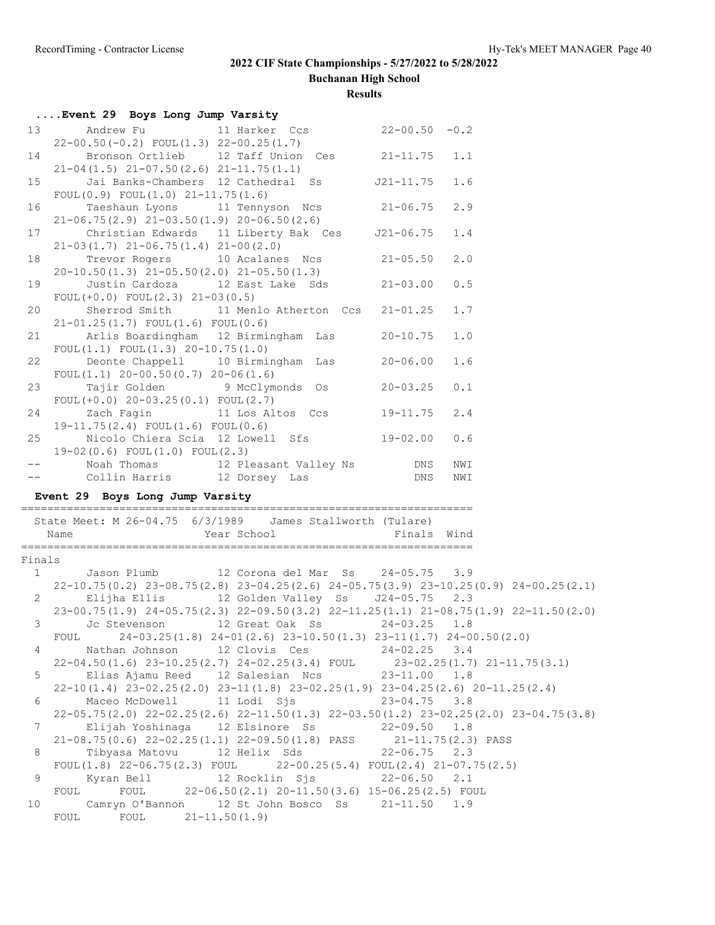**Buchanan High School**

|                                 | Event 29 Boys Long Jump Varsity                                                                                                                                                                                                                                                                      |                                       |                    |  |
|---------------------------------|------------------------------------------------------------------------------------------------------------------------------------------------------------------------------------------------------------------------------------------------------------------------------------------------------|---------------------------------------|--------------------|--|
| 13                              | 11 Harker Ccs 22-00.50 -0.2<br>Andrew Fu<br>$22-00.50(-0.2)$ FOUL $(1.3)$ $22-00.25(1.7)$                                                                                                                                                                                                            |                                       |                    |  |
| 14                              | Bronson Ortlieb 12 Taff Union Ces 21-11.75<br>$21-04(1.5)$ $21-07.50(2.6)$ $21-11.75(1.1)$                                                                                                                                                                                                           |                                       | 1.1                |  |
| 15                              | Jai Banks-Chambers 12 Cathedral Ss J21-11.75<br>FOUL $(0.9)$ FOUL $(1.0)$ 21-11.75 $(1.6)$                                                                                                                                                                                                           |                                       | 1.6                |  |
| 16                              | Taeshaun Lyons 11 Tennyson Ncs 21-06.75<br>$21-06.75(2.9)$ $21-03.50(1.9)$ $20-06.50(2.6)$                                                                                                                                                                                                           |                                       | 2.9                |  |
|                                 | 17<br>Christian Edwards 11 Liberty Bak Ces J21-06.75<br>$21-03(1.7)$ $21-06.75(1.4)$ $21-00(2.0)$                                                                                                                                                                                                    |                                       | 1.4                |  |
| 18                              | Trevor Rogers 10 Acalanes Ncs 21-05.50<br>$20-10.50(1.3)$ $21-05.50(2.0)$ $21-05.50(1.3)$                                                                                                                                                                                                            |                                       | 2.0                |  |
| 19                              | Justin Cardoza 12 East Lake Sds 21-03.00<br>FOUL $(+0.0)$ FOUL $(2.3)$ $21-03(0.5)$                                                                                                                                                                                                                  |                                       | 0.5                |  |
| 20                              | Sherrod Smith 11 Menlo Atherton Ccs 21-01.25<br>$21-01.25(1.7)$ FOUL $(1.6)$ FOUL $(0.6)$                                                                                                                                                                                                            |                                       | 1.7                |  |
| 21                              | Arlis Boardingham 12 Birmingham Las 20-10.75<br>FOUL $(1.1)$ FOUL $(1.3)$ 20-10.75 $(1.0)$                                                                                                                                                                                                           |                                       | 1.0                |  |
| 22                              | Deonte Chappell 10 Birmingham Las 20-06.00<br>FOUL $(1.1)$ 20-00.50 $(0.7)$ 20-06 $(1.6)$                                                                                                                                                                                                            |                                       | 1.6                |  |
|                                 | Tajir Golden 9 McClymonds 0s 20-03.25<br>23<br>FOUL $(+0.0)$ 20-03.25 $(0.1)$ FOUL $(2.7)$                                                                                                                                                                                                           |                                       | 0.1                |  |
|                                 | 24 Zach Fagin 11 Los Altos Ccs 19-11.75<br>$19-11.75(2.4)$ FOUL $(1.6)$ FOUL $(0.6)$                                                                                                                                                                                                                 |                                       | 2.4                |  |
| 25                              | Nicolo Chiera Scia 12 Lowell Sfs 19-02.00<br>$19-02(0.6)$ FOUL $(1.0)$ FOUL $(2.3)$                                                                                                                                                                                                                  |                                       | 0.6                |  |
|                                 |                                                                                                                                                                                                                                                                                                      |                                       | NWI                |  |
| $\frac{1}{2}$ and $\frac{1}{2}$ | Noah Thomas 12 Pleasant Valley Ns DNS                                                                                                                                                                                                                                                                |                                       | NWI                |  |
|                                 | Collin Harris 12 Dorsey Las DNS<br>Event 29 Boys Long Jump Varsity                                                                                                                                                                                                                                   |                                       |                    |  |
|                                 | State Meet: M 26-04.75 6/3/1989 James Stallworth (Tulare)<br>Year School <a> School <a> Finals Wind</a> Wind</a> School <a> Finals Wind</a> Wind School <a> Tinals <a> Wind</a> Tinals <a> Wind</a> Tinals <a> Wind</a> Tinals <a> Wind</a> Tinals <a> Wind</a> Tinals <a> Wind</a> Tin<br/>Name</a> |                                       |                    |  |
|                                 |                                                                                                                                                                                                                                                                                                      |                                       |                    |  |
| Finals                          | 1 Jason Plumb 12 Corona del Mar Ss 24-05.75 3.9                                                                                                                                                                                                                                                      |                                       |                    |  |
|                                 | 22-10.75(0.2) 23-08.75(2.8) 23-04.25(2.6) 24-05.75(3.9) 23-10.25(0.9) 24-00.25(2.1)                                                                                                                                                                                                                  |                                       |                    |  |
|                                 | 2 Elijha Ellis 12 Golden Valley Ss J24-05.75 2.3                                                                                                                                                                                                                                                     |                                       |                    |  |
|                                 | 23-00.75(1.9) 24-05.75(2.3) 22-09.50(3.2) 22-11.25(1.1) 21-08.75(1.9) 22-11.50(2.0)                                                                                                                                                                                                                  |                                       |                    |  |
|                                 | Jc Stevenson 12 Great Oak Ss 24-03.25<br>$3 \sim$                                                                                                                                                                                                                                                    |                                       | 1.8                |  |
| 4                               | $24-03.25(1.8)$ $24-01(2.6)$ $23-10.50(1.3)$ $23-11(1.7)$ $24-00.50(2.0)$<br>FOUL<br>Nathan Johnson                                                                                                                                                                                                  |                                       |                    |  |
|                                 | 22-04.50(1.6) 23-10.25(2.7) 24-02.25(3.4) FOUL 23-02.25(1.7) 21-11.75(3.1)                                                                                                                                                                                                                           | 12 Clovis Ces 24-02.25 3.4            |                    |  |
| 5                               | Elias Ajamu Reed 12 Salesian Ncs                                                                                                                                                                                                                                                                     | $23 - 11.00$                          | 1.8                |  |
|                                 | 22-10(1.4) 23-02.25(2.0) 23-11(1.8) 23-02.25(1.9) 23-04.25(2.6) 20-11.25(2.4)                                                                                                                                                                                                                        |                                       |                    |  |
| 6                               | Maceo McDowell<br>11 Lodi Sjs                                                                                                                                                                                                                                                                        | $23 - 04.75$ 3.8                      |                    |  |
| 7                               | 22-05.75 (2.0) 22-02.25 (2.6) 22-11.50 (1.3) 22-03.50 (1.2) 23-02.25 (2.0) 23-04.75 (3.8)<br>Elijah Yoshinaga<br>12 Elsinore Ss                                                                                                                                                                      | $22 - 09.50$ 1.8                      |                    |  |
|                                 | $21-08.75(0.6)$ $22-02.25(1.1)$ $22-09.50(1.8)$ PASS                                                                                                                                                                                                                                                 |                                       | 21-11.75(2.3) PASS |  |
| 8                               | Tibyasa Matovu<br>12 Helix Sds                                                                                                                                                                                                                                                                       | $22 - 06.75$                          | 2.3                |  |
|                                 | FOUL $(1.8)$ 22-06.75 $(2.3)$ FOUL                                                                                                                                                                                                                                                                   | 22-00.25(5.4) FOUL(2.4) 21-07.75(2.5) |                    |  |
| $\mathsf 9$                     | 12 Rocklin Sjs<br>Kyran Bell                                                                                                                                                                                                                                                                         | $22 - 06.50$ 2.1                      |                    |  |
| 10                              | 22-06.50(2.1) 20-11.50(3.6) 15-06.25(2.5) FOUL<br>FOUL<br>FOUL<br>Camryn O'Bannon 12 St John Bosco Ss                                                                                                                                                                                                | $21 - 11.50$ 1.9                      |                    |  |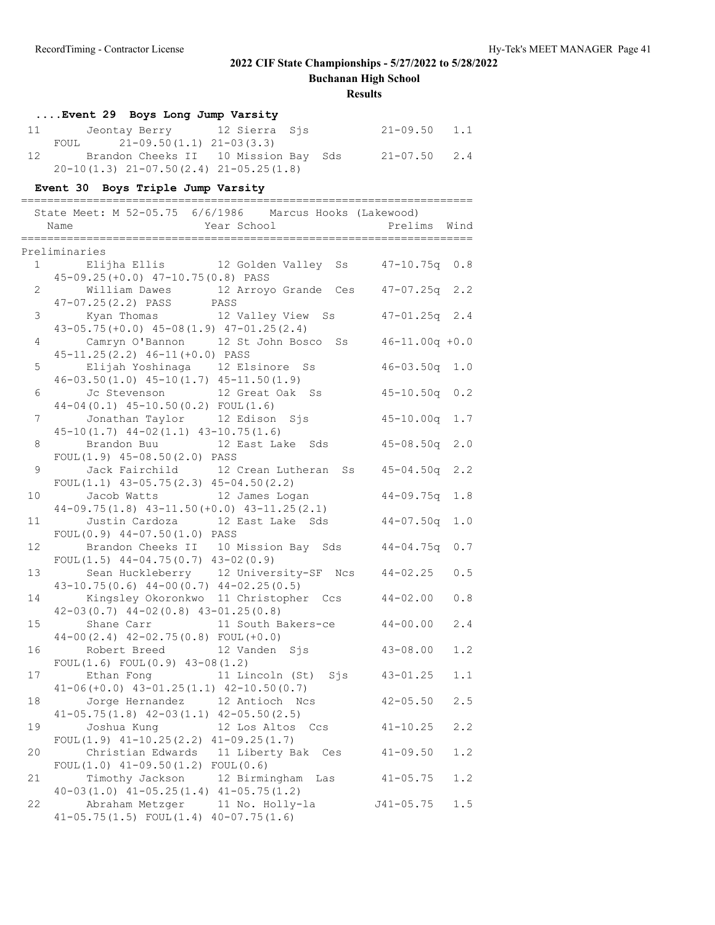**Buchanan High School**

|                | Event 29 Boys Long Jump Varsity                                                    |                    |     |
|----------------|------------------------------------------------------------------------------------|--------------------|-----|
|                | Jeontay Berry 12 Sierra Sjs<br>11 — 1                                              | $21 - 09.50$ 1.1   |     |
|                | $2\overline{1}$ -09.50(1.1) 21-03(3.3)<br>FOUL                                     |                    |     |
| 12             | Brandon Cheeks II 10 Mission Bay Sds 21-07.50 2.4                                  |                    |     |
|                | $20-10(1.3)$ $21-07.50(2.4)$ $21-05.25(1.8)$                                       |                    |     |
|                | Event 30 Boys Triple Jump Varsity                                                  |                    |     |
| $==$           | .___________________                                                               |                    |     |
|                | State Meet: M 52-05.75 6/6/1986 Marcus Hooks (Lakewood)                            |                    |     |
|                | Year School<br>Name                                                                | Prelims Wind       |     |
|                | ----------------------------<br>====================                               | .================= |     |
|                | Preliminaries<br>1 Elijha Ellis 12 Golden Valley Ss 47-10.75q 0.8                  |                    |     |
|                | 45-09.25(+0.0) 47-10.75(0.8) PASS                                                  |                    |     |
| $\mathbf{2}$   |                                                                                    |                    |     |
|                | William Dawes 12 Arroyo Grande Ces 47-07.25q 2.2<br>47-07.25(2.2) PASS PASS        |                    |     |
| 3 <sup>7</sup> | Kyan Thomas 12 Valley View Ss                                                      | $47 - 01.25q$ 2.4  |     |
|                | $43-05.75 (+0.0)$ $45-08(1.9)$ $47-01.25(2.4)$                                     |                    |     |
| 4              | Camryn O'Bannon 12 St John Bosco Ss 46-11.00q +0.0                                 |                    |     |
|                | 45-11.25(2.2) 46-11(+0.0) PASS                                                     |                    |     |
| 5 <sup>5</sup> | Elijah Yoshinaga    12 Elsinore  Ss                                                | $46 - 03.50q$ 1.0  |     |
|                | $46-03.50(1.0)$ $45-10(1.7)$ $45-11.50(1.9)$                                       |                    |     |
| 6              | Jc Stevenson<br>12 Great Oak Ss                                                    | $45 - 10.50q$ 0.2  |     |
|                | $44-04(0.1)$ $45-10.50(0.2)$ FOUL $(1.6)$<br>7 Jonathan Taylor 12 Edison Sjs       | $45 - 10.00q$ 1.7  |     |
|                | $45-10(1.7)$ $44-02(1.1)$ $43-10.75(1.6)$                                          |                    |     |
| 8              | Brandon Buu 12 East Lake Sds                                                       | $45 - 08.50q$      | 2.0 |
|                | FOUL $(1.9)$ 45-08.50 $(2.0)$ PASS                                                 |                    |     |
| 9              | Jack Fairchild 12 Crean Lutheran Ss  45-04.50q 2.2                                 |                    |     |
|                | FOUL $(1.1)$ 43-05.75 $(2.3)$ 45-04.50 $(2.2)$                                     |                    |     |
| 10             | Jacob Watts 12 James Logan                                                         | $44 - 09.75q$      | 1.8 |
|                | $44-09.75(1.8)$ $43-11.50(+0.0)$ $43-11.25(2.1)$                                   |                    |     |
| 11             | Justin Cardoza 12 East Lake Sds                                                    | $44 - 07.50q$      | 1.0 |
| 12             | FOUL (0.9) 44-07.50(1.0) PASS<br>Brandon Cheeks II 10 Mission Bay Sds 44-04.75q    |                    |     |
|                | FOUL $(1.5)$ 44-04.75 $(0.7)$ 43-02 $(0.9)$                                        |                    | 0.7 |
| 13             | Sean Huckleberry 12 University-SF Ncs 44-02.25                                     |                    | 0.5 |
|                | $43-10.75(0.6)$ $44-00(0.7)$ $44-02.25(0.5)$                                       |                    |     |
| 14             | Kingsley Okoronkwo 11 Christopher Ccs                                              | $44 - 02.00$       | 0.8 |
|                | $42-03(0.7)$ $44-02(0.8)$ $43-01.25(0.8)$                                          |                    |     |
| 15             | Shane Carr<br>11 South Bakers-ce                                                   | $44 - 00.00$       | 2.4 |
|                | $44-00(2.4)$ $42-02.75(0.8)$ FOUL $(+0.0)$                                         |                    |     |
| 16             | Robert Breed<br>12 Vanden<br>Sis                                                   | $43 - 08.00$       | 1.2 |
| 17             | FOUL $(1.6)$ FOUL $(0.9)$ 43-08 $(1.2)$<br>11 Lincoln (St) Sjs<br>Ethan Fong       |                    | 1.1 |
|                | $41-06(+0.0)$ $43-01.25(1.1)$ $42-10.50(0.7)$                                      | $43 - 01.25$       |     |
| 18             | 12 Antioch Ncs<br>Jorge Hernandez                                                  | $42 - 05.50$       | 2.5 |
|                | $41-05.75(1.8)$ $42-03(1.1)$ $42-05.50(2.5)$                                       |                    |     |
| 19             | Joshua Kung<br>12 Los Altos Ccs                                                    | $41 - 10.25$       | 2.2 |
|                | FOUL $(1.9)$ $41-10.25(2.2)$ $41-09.25(1.7)$                                       |                    |     |
| 20             | Christian Edwards 11 Liberty Bak Ces                                               | $41 - 09.50$       | 1.2 |
|                | FOUL $(1.0)$ 41-09.50 $(1.2)$ FOUL $(0.6)$                                         |                    |     |
| 21             | Timothy Jackson<br>12 Birmingham<br>Las                                            | $41 - 05.75$       | 1.2 |
| 22             | $40-03(1.0)$ $41-05.25(1.4)$ $41-05.75(1.2)$                                       | $J41 - 05.75$      | 1.5 |
|                | Abraham Metzger<br>11 No. Holly-la<br>$41-05.75(1.5)$ FOUL $(1.4)$ $40-07.75(1.6)$ |                    |     |
|                |                                                                                    |                    |     |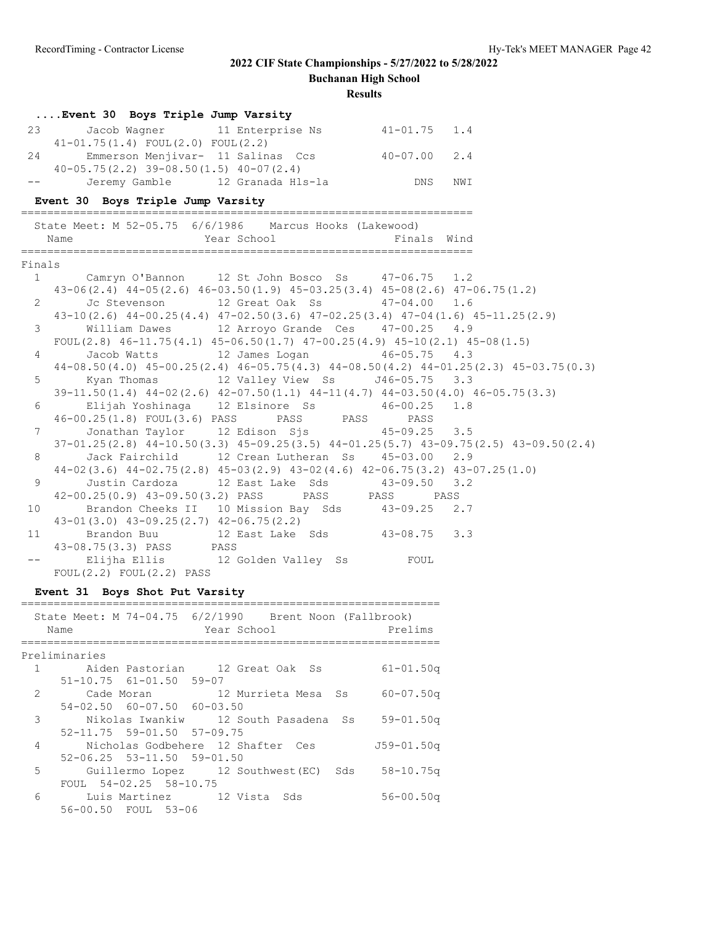**Buchanan High School**

### **Results**

|                | Event 30 Boys Triple Jump Varsity                                                               |                                                   |             |     |  |  |
|----------------|-------------------------------------------------------------------------------------------------|---------------------------------------------------|-------------|-----|--|--|
| 23             | $41-01.75(1.4)$ FOUL $(2.0)$ FOUL $(2.2)$                                                       | Jacob Wagner 11 Enterprise Ns 41-01.75 1.4        |             |     |  |  |
| 24             |                                                                                                 | Emmerson Menjivar- 11 Salinas Ccs 40-07.00        |             | 2.4 |  |  |
|                | $40-05.75(2.2)$ 39-08.50(1.5) 40-07(2.4)                                                        |                                                   |             |     |  |  |
|                |                                                                                                 | Jeremy Gamble 12 Granada Hls-la                   | DNS         | NWI |  |  |
|                | Event 30 Boys Triple Jump Varsity                                                               |                                                   |             |     |  |  |
|                |                                                                                                 |                                                   |             |     |  |  |
|                | State Meet: M 52-05.75 6/6/1986 Marcus Hooks (Lakewood)                                         |                                                   |             |     |  |  |
|                | Name                                                                                            | Year School                                       | Finals Wind |     |  |  |
|                |                                                                                                 |                                                   |             |     |  |  |
| Finals         |                                                                                                 |                                                   |             |     |  |  |
|                | 1 Camryn O'Bannon 12 St John Bosco Ss 47-06.75 1.2                                              |                                                   |             |     |  |  |
|                | 43-06(2.4) 44-05(2.6) 46-03.50(1.9) 45-03.25(3.4) 45-08(2.6) 47-06.75(1.2)                      |                                                   |             |     |  |  |
| $\overline{2}$ | Jc Stevenson 12 Great Oak Ss 47-04.00 1.6                                                       |                                                   |             |     |  |  |
|                | $43-10(2.6)$ $44-00.25(4.4)$ $47-02.50(3.6)$ $47-02.25(3.4)$ $47-04(1.6)$ $45-11.25(2.9)$       |                                                   |             |     |  |  |
| $\mathcal{E}$  |                                                                                                 | William Dawes 12 Arroyo Grande Ces 47-00.25 4.9   |             |     |  |  |
|                | $FOUL(2.8)$ 46-11.75(4.1) 45-06.50(1.7) 47-00.25(4.9) 45-10(2.1) 45-08(1.5)                     |                                                   |             |     |  |  |
|                | $4\degree$                                                                                      | Jacob Watts 12 James Logan 46-05.75 4.3           |             |     |  |  |
|                | $44-08.50(4.0)$ $45-00.25(2.4)$ $46-05.75(4.3)$ $44-08.50(4.2)$ $44-01.25(2.3)$ $45-03.75(0.3)$ |                                                   |             |     |  |  |
| $5 -$          |                                                                                                 | Kyan Thomas 12 Valley View Ss J46-05.75 3.3       |             |     |  |  |
|                | $39-11.50(1.4)$ $44-02(2.6)$ $42-07.50(1.1)$ $44-11(4.7)$ $44-03.50(4.0)$ $46-05.75(3.3)$       |                                                   |             |     |  |  |
| 6              |                                                                                                 | Elijah Yoshinaga 12 Elsinore Ss 46-00.25 1.8      |             |     |  |  |
|                | 46-00.25(1.8) FOUL(3.6) PASS PASS PASS                                                          |                                                   | PASS        |     |  |  |
| 7              |                                                                                                 | Jonathan Taylor 12 Edison Sjs 45-09.25 3.5        |             |     |  |  |
|                | $37-01.25(2.8)$ $44-10.50(3.3)$ $45-09.25(3.5)$ $44-01.25(5.7)$ $43-09.75(2.5)$ $43-09.50(2.4)$ |                                                   |             |     |  |  |
| 8              |                                                                                                 | Jack Fairchild 12 Crean Lutheran Ss 45-03.00 2.9  |             |     |  |  |
|                | 44-02 (3.6) 44-02.75 (2.8) 45-03 (2.9) 43-02 (4.6) 42-06.75 (3.2) 43-07.25 (1.0)                |                                                   |             |     |  |  |
| 9              |                                                                                                 | Justin Cardoza 12 East Lake Sds 43-09.50 3.2      |             |     |  |  |
|                | 42-00.25(0.9) 43-09.50(3.2) PASS PASS PASS PASS PASS                                            |                                                   |             |     |  |  |
| 10             |                                                                                                 | Brandon Cheeks II 10 Mission Bay Sds 43-09.25 2.7 |             |     |  |  |
|                | $43-01(3.0)$ $43-09.25(2.7)$ $42-06.75(2.2)$                                                    |                                                   |             |     |  |  |
| 11             | Brandon Buu 12 East Lake Sds 43-08.75 3.3                                                       |                                                   |             |     |  |  |
|                | 43-08.75(3.3) PASS PASS                                                                         |                                                   |             |     |  |  |
|                | -- Elijha Ellis 12 Golden Valley Ss FOUL                                                        |                                                   |             |     |  |  |
|                | FOUL(2.2) FOUL(2.2) PASS                                                                        |                                                   |             |     |  |  |

### **Event 31 Boys Shot Put Varsity**

|                | State Meet: M 74-04.75 6/2/1990 Brent Noon (Fallbrook)<br>Name | Year School |  | Prelims       |
|----------------|----------------------------------------------------------------|-------------|--|---------------|
|                | Preliminaries                                                  |             |  |               |
| 1              | Aiden Pastorian     12 Great Oak  Ss                           |             |  | $61 - 01.50q$ |
|                | $51 - 10.75$ $61 - 01.50$ $59 - 07$                            |             |  |               |
| $\overline{2}$ | Cade Moran 12 Murrieta Mesa Ss 60-07.50q                       |             |  |               |
|                | 54-02.50 60-07.50 60-03.50                                     |             |  |               |
| 3              | Nikolas Iwankiw     12 South Pasadena  Ss                      |             |  | $59 - 01.50q$ |
|                | $52 - 11.75$ $59 - 01.50$ $57 - 09.75$                         |             |  |               |
| 4              | Nicholas Godbehere 12 Shafter Ces                              |             |  | J59-01.50a    |
|                | $52-06.25$ $53-11.50$ $59-01.50$                               |             |  |               |
| 5              | Guillermo Lopez 12 Southwest (EC) Sds 58-10.75q                |             |  |               |
|                | FOUL 54-02.25 58-10.75                                         |             |  |               |
| 6              | Luis Martinez 12 Vista Sds                                     |             |  | $56 - 00.50q$ |
|                | 56-00.50 FOUL 53-06                                            |             |  |               |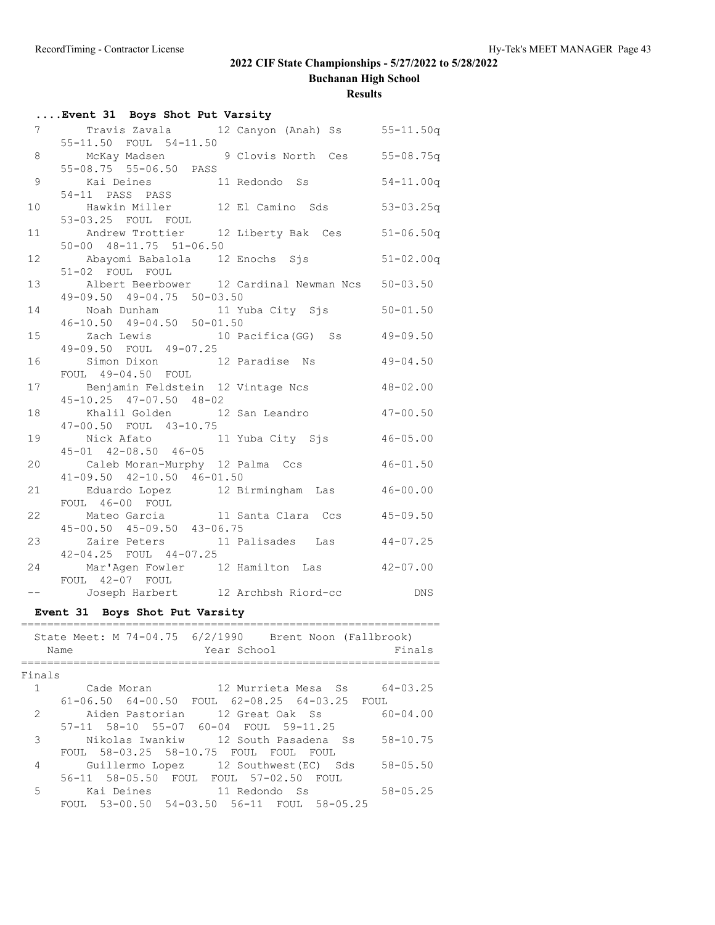**Buchanan High School**

|                 | Event 31 Boys Shot Put Varsity                                                  |               |
|-----------------|---------------------------------------------------------------------------------|---------------|
|                 | 7 Travis Zavala 12 Canyon (Anah) Ss 55-11.50q<br>55-11.50 FOUL 54-11.50         |               |
|                 | 8 McKay Madsen 9 Clovis North Ces 55-08.75q<br>55-08.75 55-06.50 PASS           |               |
|                 |                                                                                 |               |
| 9               | Kai Deines 11 Redondo Ss<br>54-11 PASS PASS                                     | $54 - 11.00q$ |
| 10              | Hawkin Miller 12 El Camino Sds<br>53-03.25 FOUL FOUL                            | $53 - 03.25q$ |
| 11              | Andrew Trottier 12 Liberty Bak Ces                                              | $51 - 06.50q$ |
|                 | 50-00 48-11.75 51-06.50                                                         |               |
| 12 <sup>7</sup> | Abayomi Babalola 12 Enochs Sjs<br>51-02 FOUL FOUL                               | $51 - 02.00q$ |
| 13 <sup>7</sup> | Albert Beerbower 12 Cardinal Newman Ncs 50-03.50                                |               |
|                 | 49-09.50 49-04.75 50-03.50                                                      |               |
| 14              |                                                                                 | $50 - 01.50$  |
|                 | $46 - 10.50$ $49 - 04.50$ $50 - 01.50$                                          |               |
| 15              | Zach Lewis 10 Pacifica (GG) Ss 49-09.50                                         |               |
|                 | 49-09.50 FOUL 49-07.25                                                          |               |
| 16              | Simon Dixon 12 Paradise Ns<br>FOUL 49-04.50 FOUL                                | $49 - 04.50$  |
| 17              | Benjamin Feldstein 12 Vintage Ncs                                               | $48 - 02.00$  |
|                 | 45-10.25 47-07.50 48-02                                                         |               |
| 18              | Khalil Golden 12 San Leandro 47-00.50                                           |               |
|                 | 47-00.50 FOUL 43-10.75                                                          |               |
| 19              | Nick Afato 11 Yuba City Sjs                                                     | $46 - 05.00$  |
|                 | $45 - 01$ $42 - 08.50$ $46 - 05$                                                |               |
| 20              | Caleb Moran-Murphy 12 Palma Ccs                                                 | $46 - 01.50$  |
|                 | $41-09.50$ $42-10.50$ $46-01.50$                                                |               |
| 21              | Eduardo Lopez 12 Birmingham Las 46-00.00<br>FOUL 46-00 FOUL                     |               |
| 22              | Mateo Garcia 11 Santa Clara Ccs 45-09.50                                        |               |
|                 | $45 - 00.50$ $45 - 09.50$ $43 - 06.75$                                          |               |
| 23              | Zaire Peters 11 Palisades Las 44-07.25                                          |               |
|                 | 42-04.25 FOUL 44-07.25                                                          |               |
| 24              | Mar'Agen Fowler 12 Hamilton Las 42-07.00                                        |               |
|                 | FOUL 42-07 FOUL<br>Joseph Harbert 12 Archbsh Riord-cc DNS                       |               |
| $---$           |                                                                                 |               |
|                 | Event 31 Boys Shot Put Varsity                                                  |               |
|                 | State Meet: M 74-04.75 6/2/1990 Brent Noon (Fallbrook)                          |               |
|                 | Year School<br>Name                                                             | Finals        |
|                 |                                                                                 |               |
| Finals          |                                                                                 |               |
| $\mathbf{1}$    | Cade Moran 12 Murrieta Mesa Ss 64-03.25                                         |               |
|                 | 61-06.50 64-00.50 FOUL 62-08.25 64-03.25 FOUL                                   |               |
| 2               | Aiden Pastorian<br>12 Great Oak Ss                                              | $60 - 04.00$  |
|                 | 57-11 58-10 55-07 60-04 FOUL 59-11.25                                           |               |
| 3               | Nikolas Iwankiw 12 South Pasadena Ss                                            | $58 - 10.75$  |
|                 | FOUL 58-03.25 58-10.75 FOUL FOUL FOUL                                           |               |
| 4               | Guillermo Lopez 12 Southwest (EC) Sds<br>56-11 58-05.50 FOUL FOUL 57-02.50 FOUL | $58 - 05.50$  |
| 5               | Kai Deines 11 Redondo Ss                                                        | $58 - 05.25$  |
|                 | FOUL 53-00.50 54-03.50 56-11 FOUL 58-05.25                                      |               |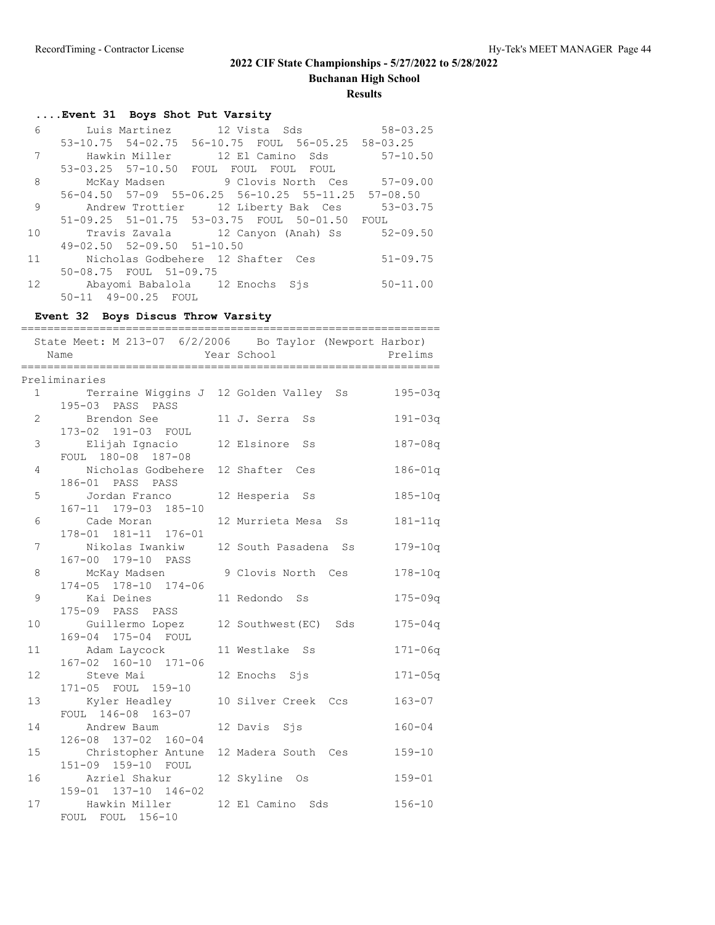**Buchanan High School**

#### **Results**

## **....Event 31 Boys Shot Put Varsity**

|    |                                        | 6 Luis Martinez 12 Vista Sds 58-03.25                          |              |
|----|----------------------------------------|----------------------------------------------------------------|--------------|
|    |                                        | 53-10.75 54-02.75 56-10.75 FOUL 56-05.25 58-03.25              |              |
| 7  |                                        |                                                                |              |
|    |                                        | 53-03.25 57-10.50 FOUL FOUL FOUL FOUL                          |              |
| 8  |                                        | McKay Madsen 57-09.00 9 Clovis North Ces 57-09.00              |              |
|    |                                        | $56-04.50$ $57-09$ $55-06.25$ $56-10.25$ $55-11.25$ $57-08.50$ |              |
| 9  |                                        | Andrew Trottier 12 Liberty Bak Ces 53-03.75                    |              |
|    |                                        | 51-09.25 51-01.75 53-03.75 FOUL 50-01.50 FOUL                  |              |
| 10 |                                        | Travis Zavala (12 Canyon (Anah) Ss (52-09.50                   |              |
|    | $49 - 02.50$ $52 - 09.50$ $51 - 10.50$ |                                                                |              |
| 11 |                                        | Nicholas Godbehere 12 Shafter Ces                              | $51 - 09.75$ |
|    | 50-08.75 FOUL 51-09.75                 |                                                                |              |
|    | 12 Maayomi Babalola 12 Enochs Sjs      |                                                                | $50 - 11.00$ |
|    | 50-11 49-00.25 FOUL                    |                                                                |              |

## **Event 32 Boys Discus Throw Varsity**

| Name | State Meet: M 213-07 6/2/2006 Bo Taylor (Newport Harbor)             | Year School <b>Prelims</b>            |             |
|------|----------------------------------------------------------------------|---------------------------------------|-------------|
|      | Preliminaries                                                        |                                       |             |
|      | 1 Terraine Wiggins J 12 Golden Valley Ss 195-03q<br>195-03 PASS PASS |                                       |             |
|      | 2 Brendon See 11 J. Serra Ss                                         |                                       | $191 - 03q$ |
| 3    | 173-02 191-03 FOUL<br>Elijah Ignacio 12 Elsinore Ss                  |                                       | $187 - 08q$ |
|      | FOUL 180-08 187-08                                                   |                                       |             |
| 4    | Nicholas Godbehere 12 Shafter Ces<br>186-01 PASS PASS                |                                       | $186 - 01q$ |
| 5    | Jordan Franco<br>167-11 179-03 185-10                                | 12 Hesperia Ss                        | $185 - 10q$ |
| 6    | Cade Moran<br>178-01 181-11 176-01                                   | 12 Murrieta Mesa Ss                   | $181 - 11q$ |
| 7    | 167-00 179-10 PASS                                                   | Nikolas Iwankiw 12 South Pasadena Ss  | $179 - 10q$ |
| 8    | McKay Madsen 9 Clovis North Ces<br>174-05 178-10 174-06              |                                       | $178 - 10q$ |
| 9    | Kai Deines<br>175-09 PASS PASS                                       | 11 Redondo Ss                         | $175 - 09q$ |
| 10   | 169-04 175-04 FOUL                                                   | Guillermo Lopez 12 Southwest (EC) Sds | $175 - 04q$ |
| 11   | Adam Laycock<br>167-02 160-10 171-06                                 | 11 Westlake Ss                        | $171 - 06q$ |
| 12   | Steve Mai<br>171-05 FOUL 159-10                                      | 12 Enochs Sjs                         | $171 - 05q$ |
| 13   | Kyler Headley<br>FOUL 146-08 163-07                                  | 10 Silver Creek Ccs                   | $163 - 07$  |
| 14   | Andrew Baum<br>126-08 137-02 160-04                                  | 12 Davis Sjs                          | $160 - 04$  |
| 15   | Christopher Antune 12 Madera South Ces<br>151-09 159-10 FOUL         |                                       | $159 - 10$  |
|      | 16 Mariel Shakur 12 Skyline Os<br>159-01 137-10 146-02               |                                       | $159 - 01$  |
| 17   | Hawkin Miller<br>FOUL FOUL 156-10                                    | 12 El Camino Sds                      | $156 - 10$  |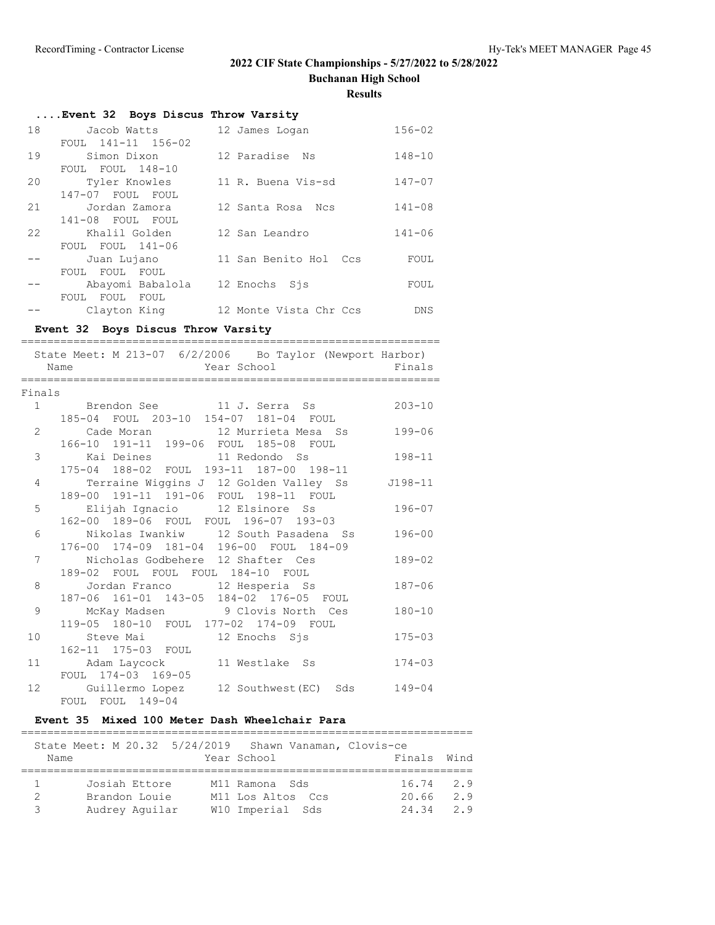**Buchanan High School**

**Results**

|    | Event 32 Boys Discus Throw Varsity |                        |            |
|----|------------------------------------|------------------------|------------|
| 18 | Jacob Watts                        | 12 James Logan         | $156 - 02$ |
|    | FOUL $141 - 11$ $156 - 02$         |                        |            |
| 19 | Simon Dixon                        | 12 Paradise Ns         | $148 - 10$ |
|    | FOUL FOUL 148-10                   |                        |            |
| 20 | Tyler Knowles                      | 11 R. Buena Vis-sd     | $147 - 07$ |
|    | 147-07 FOUL FOUL                   |                        |            |
| 21 | Jordan Zamora                      | 12 Santa Rosa Ncs      | $141 - 08$ |
|    | 141-08 FOUL FOUL                   |                        |            |
| 22 | Khalil Golden                      | 12 San Leandro         | $141 - 06$ |
|    | FOUL FOUL 141-06                   |                        |            |
|    | Juan Lujano                        | 11 San Benito Hol Ccs  | FOUL       |
|    | FOUL FOUL FOUL                     |                        |            |
|    | Abayomi Babalola                   | 12 Enochs Sjs          | FOUL       |
|    | FOUL FOUL FOUL                     |                        |            |
|    | Clayton King                       | 12 Monte Vista Chr Ccs | DNS.       |

# **Event 32 Boys Discus Throw Varsity**

|    | State Meet: M 213-07 6/2/2006 Bo Taylor (Newport Harbor)<br>Year School Finals<br>Name |            |
|----|----------------------------------------------------------------------------------------|------------|
|    | Finals                                                                                 |            |
|    | 1 Brendon See 11 J. Serra Ss                                                           | $203 - 10$ |
|    | 185-04 FOUL 203-10 154-07 181-04 FOUL                                                  |            |
|    | 2 Cade Moran 12 Murrieta Mesa Ss                                                       | $199 - 06$ |
|    | 166-10 191-11 199-06 FOUL 185-08 FOUL                                                  |            |
|    | 3<br>Kai Deines 11 Redondo Ss                                                          | $198 - 11$ |
|    | 175-04 188-02 FOUL 193-11 187-00 198-11                                                |            |
|    | Terraine Wiggins J 12 Golden Valley Ss J198-11<br>$\overline{4}$                       |            |
|    | 189-00 191-11 191-06 FOUL 198-11 FOUL                                                  |            |
|    | Elijah Ignacio 12 Elsinore Ss<br>5                                                     | $196 - 07$ |
|    | 162-00 189-06 FOUL FOUL 196-07 193-03                                                  |            |
|    | Nikolas Iwankiw 12 South Pasadena Ss<br>6                                              | $196 - 00$ |
|    | 176-00 174-09 181-04 196-00 FOUL 184-09                                                |            |
|    | Nicholas Godbehere 12 Shafter Ces<br>7                                                 | $189 - 02$ |
|    | 189-02 FOUL FOUL FOUL 184-10 FOUL                                                      |            |
|    | 8<br>Jordan Franco 12 Hesperia Ss                                                      | $187 - 06$ |
|    | 187-06 161-01 143-05 184-02 176-05 FOUL                                                |            |
|    | 9<br>McKay Madsen           9 Clovis North Ces                                         | $180 - 10$ |
|    | 119-05 180-10 FOUL 177-02 174-09 FOUL                                                  |            |
| 10 | Steve Mai based in the 12 Enochs Sjs                                                   | $175 - 03$ |
|    | 162-11 175-03 FOUL                                                                     |            |
| 11 | Adam Laycock 11 Westlake Ss                                                            | $174 - 03$ |
|    | FOUL 174-03 169-05                                                                     |            |
| 12 | Guillermo Lopez 12 Southwest (EC) Sds 149-04                                           |            |
|    | FOUL FOUL 149-04                                                                       |            |

### **Event 35 Mixed 100 Meter Dash Wheelchair Para**

|      | State Meet: M 20.32 5/24/2019 Shawn Vanaman, Clovis-ce |                   |             |      |
|------|--------------------------------------------------------|-------------------|-------------|------|
| Name |                                                        | Year School       | Finals      | Wind |
|      |                                                        |                   |             |      |
|      | Josiah Ettore                                          | M11 Ramona Sds    | $16.74$ 2.9 |      |
|      | Brandon Louie                                          | M11 Los Altos Ccs | 20.66       | 2.9  |
|      | Audrey Aquilar                                         | W10 Imperial Sds  | 24.34       | 29   |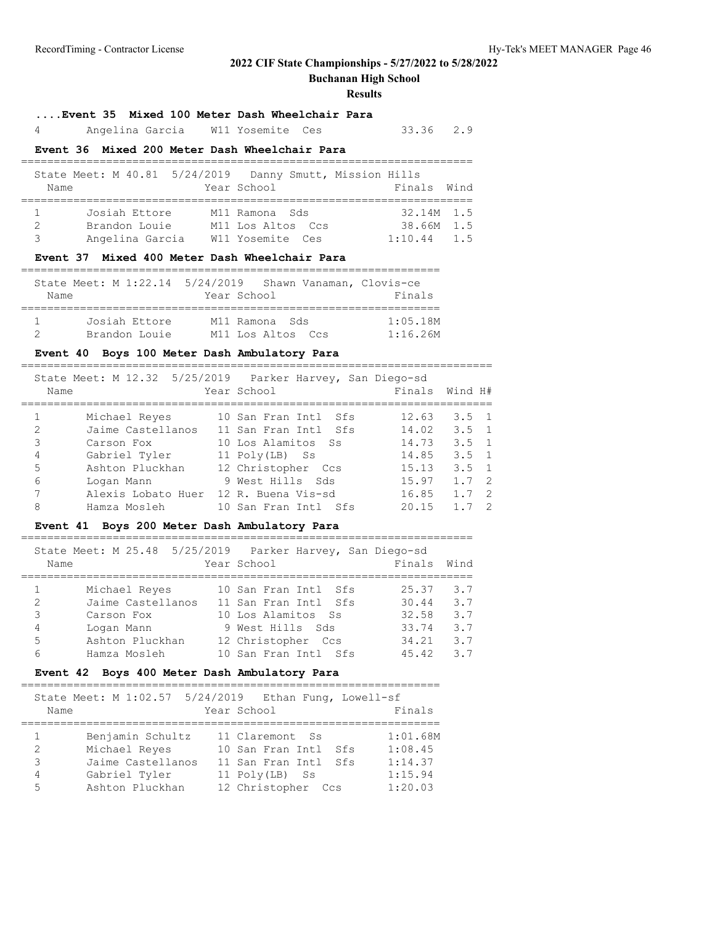**Buchanan High School**

#### **Results**

#### **....Event 35 Mixed 100 Meter Dash Wheelchair Para**

4 Angelina Garcia W11 Yosemite Ces 33.36 2.9

#### **Event 36 Mixed 200 Meter Dash Wheelchair Para**

|      | State Meet: M 40.81 5/24/2019 Danny Smutt, Mission Hills |                   |  |               |  |
|------|----------------------------------------------------------|-------------------|--|---------------|--|
| Name |                                                          | Year School       |  | Finals Wind   |  |
|      |                                                          |                   |  |               |  |
|      | Josiah Ettore                                            | M11 Ramona Sds    |  | $32.14M$ 1.5  |  |
|      | Brandon Louie                                            | M11 Los Altos Ccs |  | 38.66M 1.5    |  |
| 3    | Angelina Garcia                                          | W11 Yosemite Ces  |  | $1:10.44$ 1.5 |  |
|      |                                                          |                   |  |               |  |

#### **Event 37 Mixed 400 Meter Dash Wheelchair Para**

|      | State Meet: M 1:22.14 5/24/2019 Shawn Vanaman, Clovis-ce |             |                   |          |
|------|----------------------------------------------------------|-------------|-------------------|----------|
| Name |                                                          | Year School |                   | Finals   |
|      |                                                          |             |                   |          |
|      | Josiah Ettore                                            |             | M11 Ramona Sds    | 1:05.18M |
|      | Brandon Louie                                            |             | M11 Los Altos Ccs | 1:16.26M |

### **Event 40 Boys 100 Meter Dash Ambulatory Para**

|                | State Meet: M 12.32 5/25/2019 Parker Harvey, San Diego-sd<br>Name | Year School          |  | Finals Wind H# |                  |                |
|----------------|-------------------------------------------------------------------|----------------------|--|----------------|------------------|----------------|
|                | Michael Reyes                                                     | 10 San Fran Intl Sfs |  | 12.63          | $3.5 \quad 1$    |                |
| $\mathfrak{D}$ | Jaime Castellanos                                                 | 11 San Fran Intl Sfs |  | 14.02          | $3.5 \quad 1$    |                |
| 3              | Carson Fox                                                        | 10 Los Alamitos Ss   |  | 14.73          | $3.5 \quad 1$    |                |
| 4              | Gabriel Tyler                                                     | 11 Poly(LB) Ss       |  | 14.85          | $3.5 \quad 1$    |                |
| 5              | Ashton Pluckhan                                                   | 12 Christopher Ccs   |  | 15.13          | $3.5 \quad 1$    |                |
| 6              | Logan Mann                                                        | 9 West Hills Sds     |  | 15.97          | $1.7 \t2$        |                |
| 7              | Alexis Lobato Huer                                                | 12 R. Buena Vis-sd   |  | 16.85          | $1.7 \t2$        |                |
| 8              | Hamza Mosleh                                                      | 10 San Fran Intl Sfs |  | 20.15          | $1 \overline{7}$ | $\overline{2}$ |

#### **Event 41 Boys 200 Meter Dash Ambulatory Para**

|   | State Meet: M 25.48 5/25/2019 Parker Harvey, San Diego-sd<br>Name | Year School          | Finals | Wind |
|---|-------------------------------------------------------------------|----------------------|--------|------|
|   | Michael Reyes                                                     | 10 San Fran Intl Sfs | 25.37  | 3.7  |
| 2 | Jaime Castellanos                                                 | 11 San Fran Intl Sfs | 30.44  | 3.7  |
| 3 | Carson Fox                                                        | 10 Los Alamitos Ss   | 32.58  | 3.7  |
| 4 | Logan Mann                                                        | 9 West Hills Sds     | 33.74  | 3.7  |
| 5 | Ashton Pluckhan                                                   | 12 Christopher Ccs   | 34.21  | 3.7  |
| 6 | Hamza Mosleh                                                      | 10 San Fran Intl Sfs | 45.42  | 3.7  |

=====================================================================

#### **Event 42 Boys 400 Meter Dash Ambulatory Para**

#### ================================================================ State Meet: M 1:02.57 5/24/2019 Ethan Fung, Lowell-sf Name Year School Finals ================================================================ 1 Benjamin Schultz 11 Claremont Ss 1:01.68M 2 Michael Reyes 10 San Fran Intl Sfs 1:08.45<br>3 Jaime Castellanos 11 San Fran Intl Sfs 1:14.37<br>4 Gabriel Tyler 11 Poly(LB) Ss 1:15.94 Michael Reyes<br>Jaime Castellanos 11 San Fran Intl Sfs 1:14.37<br>11 Poly(LB) Ss 1:15.94 4 Gabriel Tyler 11 Poly(LB) Ss 1:15.94 5 Ashton Pluckhan 12 Christopher Ccs 1:20.03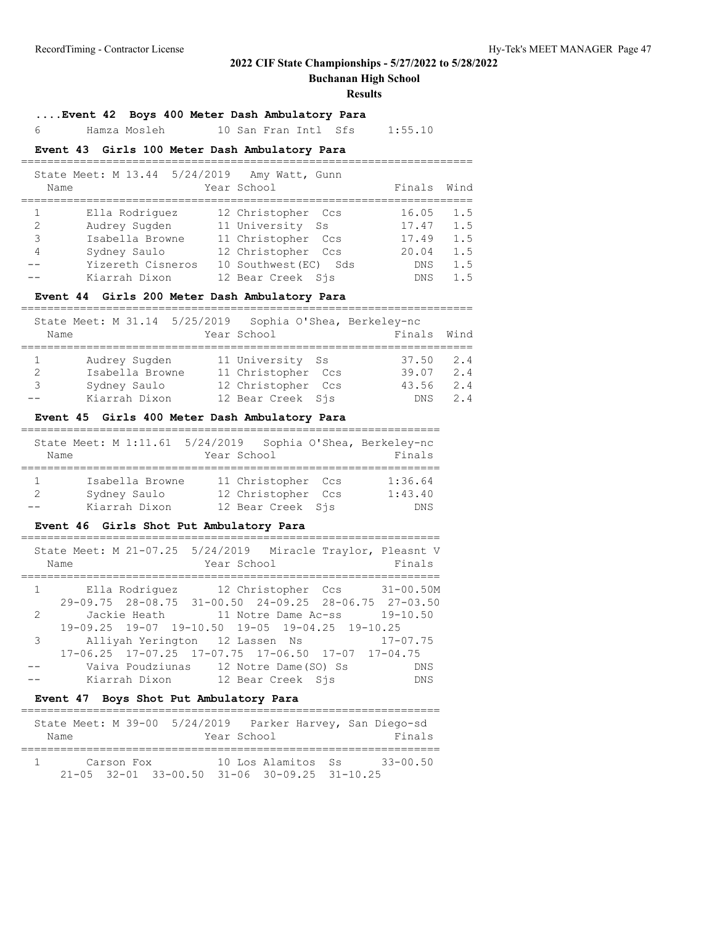**Buchanan High School**

#### **Results**

=====================================================================

### **....Event 42 Boys 400 Meter Dash Ambulatory Para**

6 Hamza Mosleh 10 San Fran Intl Sfs 1:55.10

### **Event 43 Girls 100 Meter Dash Ambulatory Para**

| State Meet: M 13.44 5/24/2019 Amy Watt, Gunn<br>Name                                               |                   | Year School                                                                                                                  |     | Finals                                                       | Wind                                   |
|----------------------------------------------------------------------------------------------------|-------------------|------------------------------------------------------------------------------------------------------------------------------|-----|--------------------------------------------------------------|----------------------------------------|
| Ella Rodriquez<br>2<br>Audrey Sugden<br>3<br>Isabella Browne<br>Sydney Saulo<br>4<br>Kiarrah Dixon | Yizereth Cisneros | 12 Christopher Ccs<br>11 University Ss<br>11 Christopher Ccs<br>12 Christopher Ccs<br>10 Southwest (EC)<br>12 Bear Creek Sis | Sds | 16.05<br>17.47<br>17.49<br>20.04<br><b>DNS</b><br><b>DNS</b> | 1.5<br>1.5<br>1.5<br>1.5<br>1.5<br>1.5 |

### **Event 44 Girls 200 Meter Dash Ambulatory Para**

|               | State Meet: M 31.14 5/25/2019 Sophia O'Shea, Berkeley-nc |                    |        |      |
|---------------|----------------------------------------------------------|--------------------|--------|------|
| Name          |                                                          | Year School        | Finals | Wind |
|               |                                                          |                    |        |      |
|               | Audrey Sugden                                            | 11 University Ss   | 37.50  | 2.4  |
| $\mathcal{P}$ | Isabella Browne                                          | 11 Christopher Ccs | 39.07  | 2.4  |
| 3             | Sydney Saulo                                             | 12 Christopher Ccs | 43.56  | 2.4  |
|               | Kiarrah Dixon                                            | 12 Bear Creek Sis  | DNS.   | 24   |

### **Event 45 Girls 400 Meter Dash Ambulatory Para**

| Name | State Meet: M 1:11.61 5/24/2019 Sophia O'Shea, Berkeley-nc | Year School                                                   | Finals                     |
|------|------------------------------------------------------------|---------------------------------------------------------------|----------------------------|
| 2    | Isabella Browne<br>Sydney Saulo<br>Kiarrah Dixon           | 11 Christopher Ccs<br>12 Christopher Ccs<br>12 Bear Creek Sis | 1:36.64<br>1:43.40<br>DN S |

#### **Event 46 Girls Shot Put Ambulatory Para**

|          | State Meet: M 21-07.25 5/24/2019 Miracle Traylor, Pleasnt V<br>Year School<br>Name | Finals       |
|----------|------------------------------------------------------------------------------------|--------------|
|          | 1 Ella Rodriquez 12 Christopher Ccs 31-00.50M                                      |              |
|          | $29-09.75$ $28-08.75$ $31-00.50$ $24-09.25$ $28-06.75$ $27-03.50$                  |              |
| 2        | Jackie Heath 11 Notre Dame Ac-ss 19-10.50                                          |              |
|          | 19-09.25 19-07 19-10.50 19-05 19-04.25 19-10.25                                    |              |
| $3 \sim$ | Alliyah Yerington 12 Lassen Ns                                                     | $17 - 07.75$ |
|          | $17-06.25$ $17-07.25$ $17-07.75$ $17-06.50$ $17-07$ $17-04.75$                     |              |
|          | Vaiva Poudziunas 12 Notre Dame (SO) Ss                                             | DNS          |
|          | Kiarrah Dixon 12 Bear Creek Sis                                                    | DNS          |
|          |                                                                                    |              |

#### **Event 47 Boys Shot Put Ambulatory Para**

|                                                          |            |  |             |                    |  | State Meet: M 39-00 5/24/2019 Parker Harvey, San Diego-sd |
|----------------------------------------------------------|------------|--|-------------|--------------------|--|-----------------------------------------------------------|
| Name                                                     |            |  | Year School |                    |  | Finals                                                    |
|                                                          |            |  |             |                    |  |                                                           |
|                                                          | Carson Fox |  |             | 10 Los Alamitos Ss |  | $33 - 00.50$                                              |
| $21-05$ $32-01$ $33-00.50$ $31-06$ $30-09.25$ $31-10.25$ |            |  |             |                    |  |                                                           |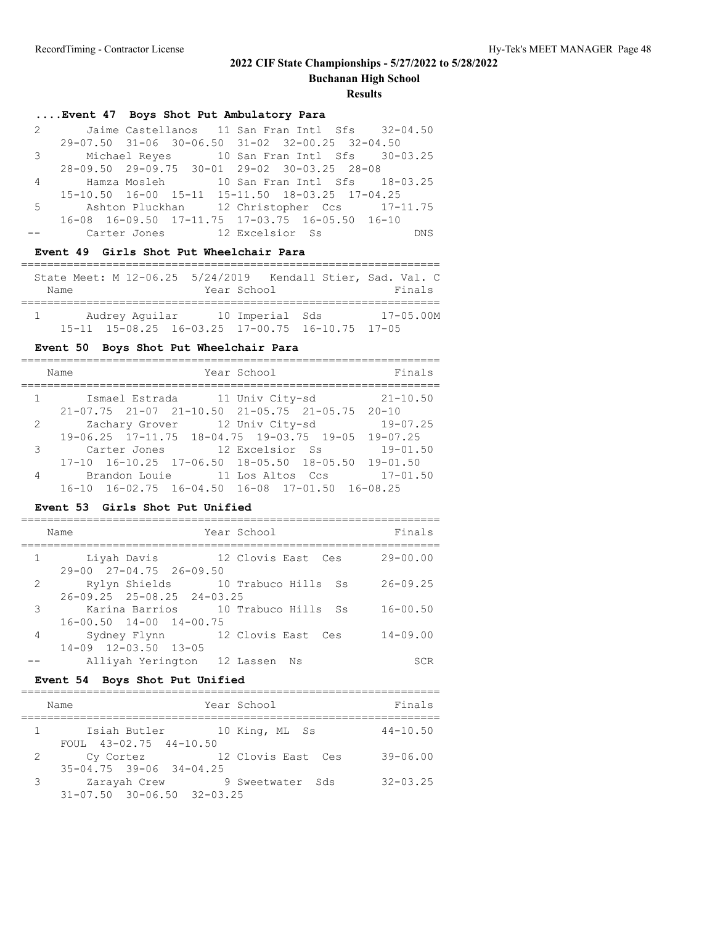**Buchanan High School**

#### **Results**

## **....Event 47 Boys Shot Put Ambulatory Para**

| 2 Jaime Castellanos 11 San Fran Intl Sfs 32-04.50 |
|---------------------------------------------------|
| 29-07.50 31-06 30-06.50 31-02 32-00.25 32-04.50   |
| 3 Michael Reyes 10 San Fran Intl Sfs 30-03.25     |
| 28-09.50 29-09.75 30-01 29-02 30-03.25 28-08      |
| 4 Hamza Mosleh 10 San Fran Intl Sfs 18-03.25      |
| 15-10.50 16-00 15-11 15-11.50 18-03.25 17-04.25   |
| 5 Ashton Pluckhan 12 Christopher Ccs 17-11.75     |
| 16-08 16-09.50 17-11.75 17-03.75 16-05.50 16-10   |
| -- Carter Jones 12 Excelsior Ss<br>DNS            |

#### **Event 49 Girls Shot Put Wheelchair Para**

|      |  |                                                             |             | State Meet: M 12-06.25 5/24/2019 Kendall Stier, Sad. Val. C |
|------|--|-------------------------------------------------------------|-------------|-------------------------------------------------------------|
| Name |  |                                                             | Year School | Finals                                                      |
|      |  |                                                             |             |                                                             |
|      |  | Audrey Aquilar 10 Imperial Sds                              |             | $17 - 05.00M$                                               |
|      |  | $15-11$ $15-08.25$ $16-03.25$ $17-00.75$ $16-10.75$ $17-05$ |             |                                                             |

### **Event 50 Boys Shot Put Wheelchair Para**

|   | Year School<br>Name                                                       | Finals       |
|---|---------------------------------------------------------------------------|--------------|
|   | $1 \qquad \qquad$<br>Ismael Estrada 11 Univ City-sd                       | $21 - 10.50$ |
|   | $21-07.75$ $21-07$ $21-10.50$ $21-05.75$ $21-05.75$ $20-10$               |              |
|   | Zachary Grover 12 Univ City-sd 19-07.25<br>$2 \left( \frac{1}{2} \right)$ |              |
|   | $19-06.25$ $17-11.75$ $18-04.75$ $19-03.75$ $19-05$                       | $19 - 07.25$ |
| 3 | Carter Jones 12 Excelsior Ss                                              | $19 - 01.50$ |
|   | $17-10$ $16-10.25$ $17-06.50$ $18-05.50$ $18-05.50$ $19-01.50$            |              |
| 4 | Brandon Louie 11 Los Altos Ccs                                            | $17 - 01.50$ |
|   | $16-10$ $16-02.75$ $16-04.50$ $16-08$ $17-01.50$ $16-08.25$               |              |

#### **Event 53 Girls Shot Put Unified**

|              | Year School<br>Name                                                         | Finals       |
|--------------|-----------------------------------------------------------------------------|--------------|
| $\mathbf{1}$ | 12 Clovis East Ces<br>Liyah Davis<br>29-00 27-04.75 26-09.50                | $29 - 00.00$ |
| 2            | Rylyn Shields 10 Trabuco Hills Ss<br>$26 - 09.25$ $25 - 08.25$ $24 - 03.25$ | $26 - 09.25$ |
| 3            | Karina Barrios 10 Trabuco Hills Ss<br>$16 - 00.50$ $14 - 00$ $14 - 00.75$   | $16 - 00.50$ |
| 4            | Sydney Flynn 12 Clovis East Ces<br>$14 - 09$ $12 - 03.50$ $13 - 05$         | $14 - 09.00$ |
|              | Alliyah Yerington 12 Lassen Ns                                              | SCR          |

#### **Event 54 Boys Shot Put Unified**

|   | Name                                                   | Year School                 | Finals       |
|---|--------------------------------------------------------|-----------------------------|--------------|
|   | FOUL $43-02.75$ $44-10.50$                             | Isiah Butler 10 King, ML Ss | $44 - 10.50$ |
| 2 | Cy Cortez<br>$35 - 04.75$ $39 - 06$ $34 - 04.25$       | 12 Clovis East Ces          | $39 - 06.00$ |
| 3 | Zarayah Crew<br>$31 - 07.50$ $30 - 06.50$ $32 - 03.25$ | 9 Sweetwater Sds            | $32 - 03.25$ |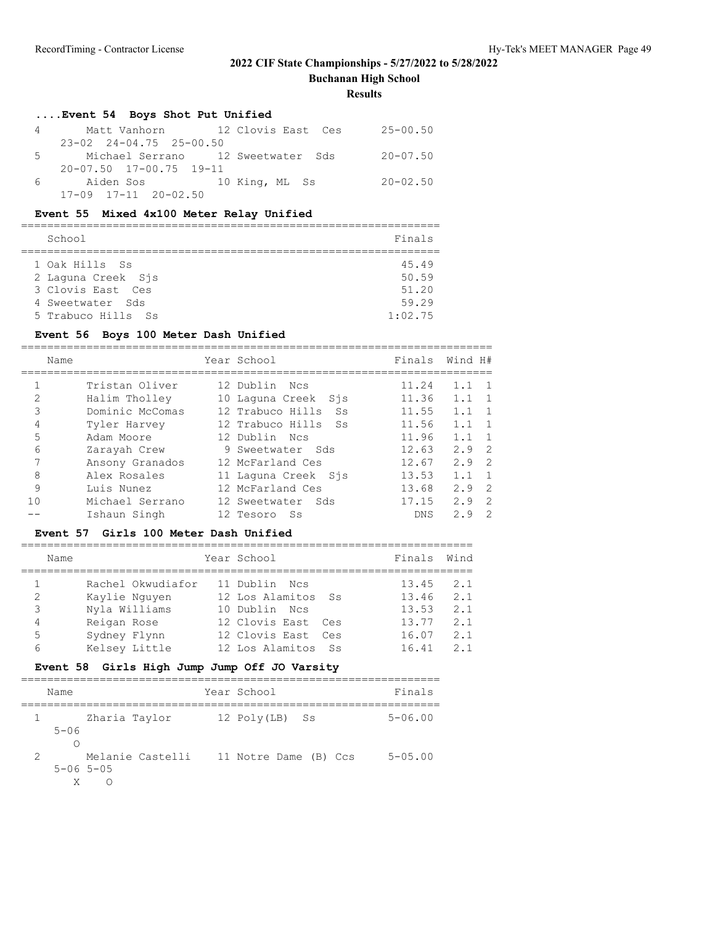**Buchanan High School**

#### **Results**

## **....Event 54 Boys Shot Put Unified**

| $\sim$ 4 | Matt Vanhorn 12 Clovis East Ces     |  | 25-00.50     |
|----------|-------------------------------------|--|--------------|
|          | $23 - 02$ $24 - 04.75$ $25 - 00.50$ |  |              |
|          | 5 Michael Serrano 12 Sweetwater Sds |  | $20 - 07.50$ |
|          | $20 - 07.50$ $17 - 00.75$ $19 - 11$ |  |              |
|          |                                     |  | $20 - 02.50$ |
|          | $17-09$ $17-11$ $20-02.50$          |  |              |

### **Event 55 Mixed 4x100 Meter Relay Unified**

| School             | Finals  |
|--------------------|---------|
| 1 Oak Hills Ss     | 45.49   |
| 2 Laquna Creek Sjs | 50.59   |
| 3 Clovis East, Ces | 51.20   |
| 4 Sweetwater Sds   | 59.29   |
| 5 Trabuco Hills Ss | 1:02.75 |

### **Event 56 Boys 100 Meter Dash Unified**

|                | Name            | Year School             | Finals     | Wind H#               |
|----------------|-----------------|-------------------------|------------|-----------------------|
|                | Tristan Oliver  | 12 Dublin Ncs           | 11.24      | 1.1<br>$\overline{1}$ |
| $\overline{2}$ | Halim Tholley   | 10 Laquna Creek Sjs     | 11.36      | 1.1<br>- 1            |
| 3              | Dominic McComas | 12 Trabuco Hills<br>Ss. | 11.55      | 1.1<br>$\overline{1}$ |
| 4              | Tyler Harvey    | 12 Trabuco Hills Ss     | 11.56      | $\overline{1}$<br>1.1 |
| 5              | Adam Moore      | 12 Dublin Nes           | 11.96      | 1.1<br>$\overline{1}$ |
| 6              | Zarayah Crew    | 9 Sweetwater Sds        | 12.63      | $2.9$ 2               |
| 7              | Ansony Granados | 12 McFarland Ces        | 12.67      | $\overline{2}$<br>2.9 |
| 8              | Alex Rosales    | 11 Laquna Creek Sis     | 13.53      | 1.1<br>$\overline{1}$ |
| 9              | Luis Nunez      | 12 McFarland Ces        | 13.68      | $2.9$ 2               |
| 1 <sub>0</sub> | Michael Serrano | 12 Sweetwater Sds       | 17.15      | 2.9<br>- 2            |
|                | Ishaun Singh    | 12 Tesoro<br>- Ss       | <b>DNS</b> | 2<br>2.9              |

#### **Event 57 Girls 100 Meter Dash Unified**

|                                                        | Wind |
|--------------------------------------------------------|------|
| Finals<br>Year School<br>Name                          |      |
| 1<br>Rachel Okwudiafor<br>11 Dublin Ncs<br>13.45       | 2.1  |
| 2<br>12 Los Alamitos<br>Kaylie Nguyen<br>13.46<br>- Ss | 2.1  |
| 3<br>Nyla Williams<br>10 Dublin Ncs<br>13.53           | 2.1  |
| 12 Clovis East Ces<br>13.77<br>Reigan Rose<br>4        | 2.1  |
| 12 Clovis East Ces<br>5<br>16.07<br>Sydney Flynn       | 2.1  |
| Kelsey Little<br>12 Los Alamitos Ss<br>16.41<br>6      | 2.1  |

### **Event 58 Girls High Jump Jump Off JO Varsity**

|               | Name                   |                  | Year School           | Finals         |
|---------------|------------------------|------------------|-----------------------|----------------|
|               | $5 - 06$               | Zharia Taylor    | 12 Poly(LB) Ss        | $5 - 06.00$    |
| $\mathcal{L}$ | $5 - 06$ $5 - 05$<br>X | Melanie Castelli | 11 Notre Dame (B) Ccs | $5 - 0.5$ , 00 |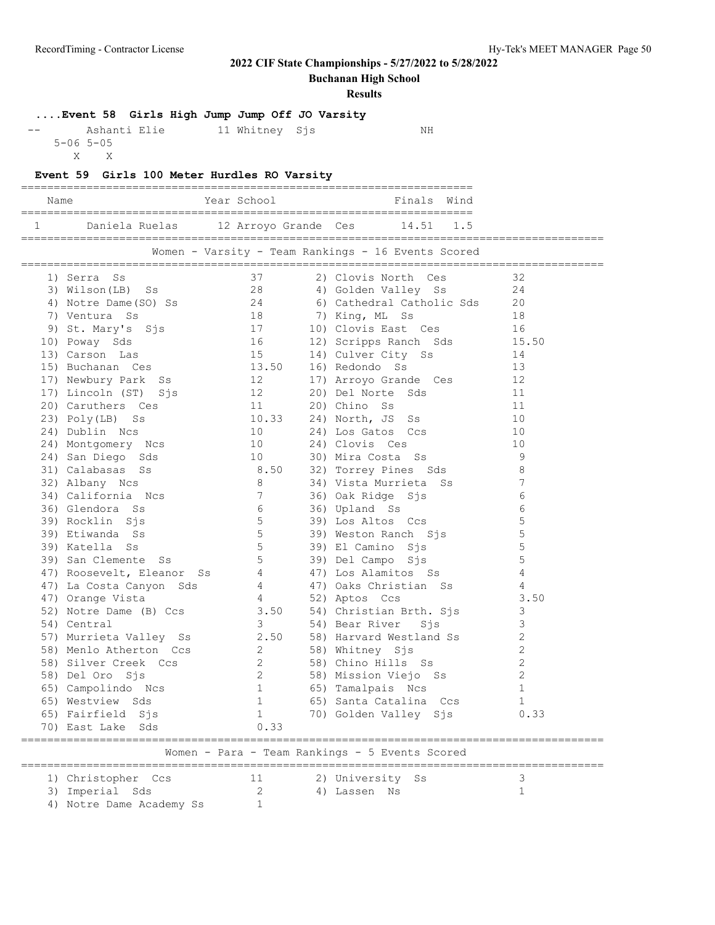**Buchanan High School**

**Results**

## **....Event 58 Girls High Jump Jump Off JO Varsity**

| $- -$ | Ashanti Elie      | 11 Whitney Sjs | NΗ |
|-------|-------------------|----------------|----|
|       | $5 - 06$ $5 - 05$ |                |    |

X X

#### **Event 59 Girls 100 Meter Hurdles RO Varsity**

| Name |                | Year School          | Finals Wind |
|------|----------------|----------------------|-------------|
|      |                |                      |             |
|      | Daniela Ruelas | 12 Arroyo Grande Ces | 14.51 1.5   |

=========================================================================================

| Women - Varsity - Team Rankings - 16 Events Scored |  |  |  |  |
|----------------------------------------------------|--|--|--|--|

|                                                | =========================                                                                                                                    |                                       |  |                                                                         |                |  |  |  |
|------------------------------------------------|----------------------------------------------------------------------------------------------------------------------------------------------|---------------------------------------|--|-------------------------------------------------------------------------|----------------|--|--|--|
|                                                | 1) Serra Ss                                                                                                                                  |                                       |  | 2) Clovis North Ces                                                     | 32             |  |  |  |
|                                                | 3) Wilson(LB) Ss                                                                                                                             | $\frac{37}{28}$                       |  | 4) Golden Valley Ss                                                     | 24             |  |  |  |
|                                                | 4) Notre Dame(SO) Ss                                                                                                                         |                                       |  | 6) Cathedral Catholic Sds                                               | 20             |  |  |  |
|                                                | 7) Ventura Ss                                                                                                                                | 18                                    |  | 7) King, ML Ss                                                          | 18             |  |  |  |
|                                                |                                                                                                                                              |                                       |  |                                                                         | 16             |  |  |  |
|                                                | 9) St. Mary's Sjs (17 10) Clovis East Ces<br>0) Poway Sds (16 12) Scripps Ranch Sds<br>3) Carson Las (15 14) Culver City Ss<br>10) Poway Sds |                                       |  |                                                                         | 15.50          |  |  |  |
|                                                | 13) Carson Las                                                                                                                               |                                       |  |                                                                         | 14             |  |  |  |
|                                                | 15) Buchanan Ces 13.50 16) Redondo Ss                                                                                                        |                                       |  |                                                                         | 13             |  |  |  |
|                                                | 17) Newbury Park Ss 12                                                                                                                       |                                       |  | 17) Arroyo Grande Ces                                                   | 12             |  |  |  |
|                                                | 17) Lincoln (ST) Sjs 12                                                                                                                      |                                       |  | 20) Del Norte Sds                                                       | 11             |  |  |  |
|                                                |                                                                                                                                              |                                       |  | 20) Chino Ss                                                            | 11             |  |  |  |
|                                                | 17) Lincoln<br>20) Caruthers Ces<br>23) Poly(LB) Ss                                                                                          | $\frac{11}{10.33}$                    |  | 24) North, JS Ss                                                        | 10             |  |  |  |
|                                                | 10<br>24) Dublin Ncs                                                                                                                         |                                       |  | 24) Los Gatos Ccs                                                       | 10             |  |  |  |
|                                                | 24) Dublem Nobel<br>24) Montgomery Nos<br>24) San Diego Sds 10                                                                               |                                       |  | 24) Clovis Ces                                                          | 10             |  |  |  |
|                                                |                                                                                                                                              |                                       |  | 30) Mira Costa Ss                                                       | $\overline{9}$ |  |  |  |
|                                                | 31) Calabasas Ss                                                                                                                             |                                       |  | 8.50 32) Torrey Pines Sds                                               | 8              |  |  |  |
|                                                | 32) Albany Ncs<br>8 <sup>8</sup>                                                                                                             |                                       |  | 34) Vista Murrieta Ss                                                   | 7              |  |  |  |
|                                                | 34) California Ncs                                                                                                                           |                                       |  | 36) Oak Ridge Sjs                                                       | 6              |  |  |  |
|                                                | 36) Glendora Ss                                                                                                                              | $\begin{array}{c} 7 \\ 6 \end{array}$ |  | 36) Upland Ss                                                           | 6              |  |  |  |
|                                                | 39) Rocklin Sjs                                                                                                                              | $\frac{3}{5}$                         |  | 39) Los Altos Ccs                                                       | 5              |  |  |  |
|                                                | 39) Etiwanda Ss                                                                                                                              | 5 <sub>1</sub>                        |  | 39) Weston Ranch Sjs                                                    | 5              |  |  |  |
|                                                | 39) Katella Ss                                                                                                                               | 5 <sup>1</sup>                        |  | 39) El Camino Sjs                                                       | $\mathsf S$    |  |  |  |
|                                                | 39) San Clemente Ss                                                                                                                          | 5 <sup>5</sup>                        |  | 39) Del Campo Sjs                                                       | $\mathsf S$    |  |  |  |
|                                                | 47) Roosevelt, Eleanor Ss 4 47) Los Alamitos Ss                                                                                              |                                       |  |                                                                         | $\overline{4}$ |  |  |  |
|                                                | 47) La Costa Canyon Sds                                                                                                                      | $4\overline{ }$                       |  | 47) Oaks Christian Ss                                                   | 4              |  |  |  |
|                                                | 47) Orange Vista                                                                                                                             |                                       |  |                                                                         | 3.50           |  |  |  |
|                                                | 52) Notre Dame (B) Ccs                                                                                                                       |                                       |  | 4 52) Aptos Ccs<br>3.50 54) Christian Brth. Sjs<br>3 54) Bear River Sjs | 3              |  |  |  |
|                                                | 54) Central                                                                                                                                  |                                       |  |                                                                         | 3              |  |  |  |
|                                                | 57) Murrieta Valley Ss 2.50 58) Harvard Westland Ss                                                                                          |                                       |  |                                                                         | 2              |  |  |  |
|                                                | 58) Menlo Atherton Ccs 2 58) Whitney Sjs                                                                                                     |                                       |  |                                                                         | $\overline{c}$ |  |  |  |
|                                                |                                                                                                                                              | $\overline{\phantom{a}}$              |  | 58) Chino Hills Ss                                                      | $\overline{c}$ |  |  |  |
|                                                | 58) Silver Creek Ccs<br>58) Del Oro Sjs                                                                                                      | $\overline{2}$                        |  | 58) Mission Viejo Ss<br>58) Mission Viejo Ss                            | 2              |  |  |  |
|                                                | 65) Campolindo Ncs 1 65) Tamalpais Ncs                                                                                                       |                                       |  |                                                                         | $\mathbf{1}$   |  |  |  |
|                                                | 65) Westview Sds                                                                                                                             |                                       |  |                                                                         | 1              |  |  |  |
|                                                |                                                                                                                                              |                                       |  |                                                                         | 0.33           |  |  |  |
|                                                | 65) Fairfield Sjs<br>70) East Lake Sds                                                                                                       | 0.33                                  |  |                                                                         |                |  |  |  |
| Women - Para - Team Rankings - 5 Events Scored |                                                                                                                                              |                                       |  |                                                                         |                |  |  |  |
|                                                | -----<br>1) Christopher Ccs 11<br>3) Imperial Sds 2                                                                                          |                                       |  | 2) University Ss                                                        | 3              |  |  |  |
|                                                |                                                                                                                                              |                                       |  | 4) Lassen Ns                                                            | $\mathbf{1}$   |  |  |  |
|                                                | 4) Notre Dame Academy Ss                                                                                                                     | $\mathbf{1}$                          |  |                                                                         |                |  |  |  |
|                                                |                                                                                                                                              |                                       |  |                                                                         |                |  |  |  |